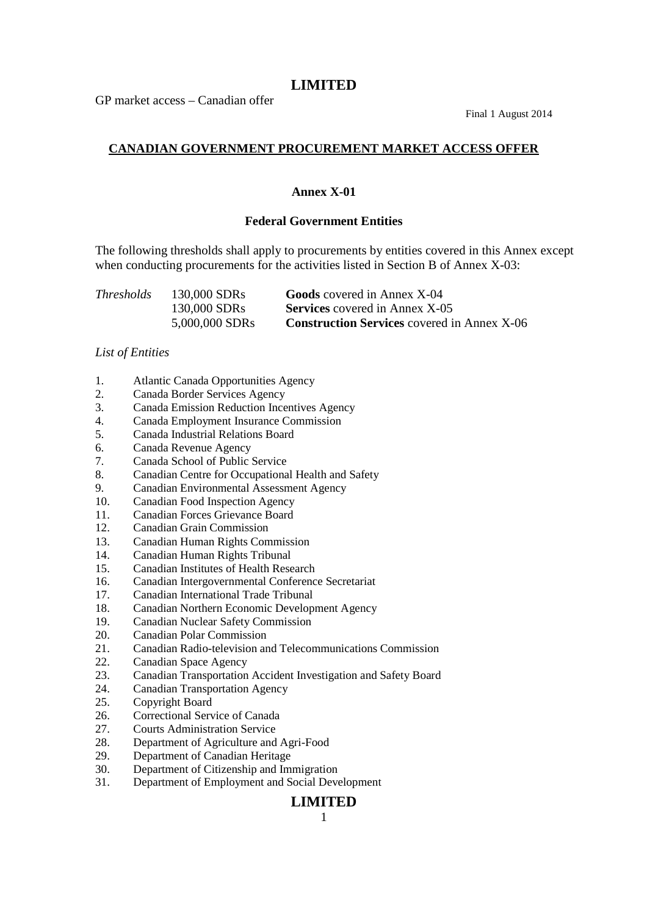GP market access – Canadian offer

Final 1 August 2014

# **CANADIAN GOVERNMENT PROCUREMENT MARKET ACCESS OFFER**

### **Annex X-01**

### **Federal Government Entities**

The following thresholds shall apply to procurements by entities covered in this Annex except when conducting procurements for the activities listed in Section B of Annex X-03:

| <i>Thresholds</i> | 130,000 SDRs   | <b>Goods</b> covered in Annex X-04                 |
|-------------------|----------------|----------------------------------------------------|
|                   | 130,000 SDRs   | <b>Services</b> covered in Annex X-05              |
|                   | 5,000,000 SDRs | <b>Construction Services</b> covered in Annex X-06 |

### *List of Entities*

- 1. Atlantic Canada Opportunities Agency
- 2. Canada Border Services Agency
- 3. Canada Emission Reduction Incentives Agency
- 4. Canada Employment Insurance Commission
- 5. Canada Industrial Relations Board
- 6. Canada Revenue Agency
- 7. Canada School of Public Service
- 8. Canadian Centre for Occupational Health and Safety
- 9. Canadian Environmental Assessment Agency
- 10. Canadian Food Inspection Agency
- 11. Canadian Forces Grievance Board
- 12. Canadian Grain Commission
- 13. Canadian Human Rights Commission
- 14. Canadian Human Rights Tribunal
- 15. Canadian Institutes of Health Research
- 16. Canadian Intergovernmental Conference Secretariat
- 17. Canadian International Trade Tribunal
- 18. Canadian Northern Economic Development Agency
- 19. Canadian Nuclear Safety Commission
- 20. Canadian Polar Commission
- 21. Canadian Radio-television and Telecommunications Commission
- 22. Canadian Space Agency
- 23. Canadian Transportation Accident Investigation and Safety Board
- 24. Canadian Transportation Agency
- 25. Copyright Board
- 26. Correctional Service of Canada
- 27. Courts Administration Service
- 28. Department of Agriculture and Agri-Food
- 29. Department of Canadian Heritage
- 30. Department of Citizenship and Immigration
- 31. Department of Employment and Social Development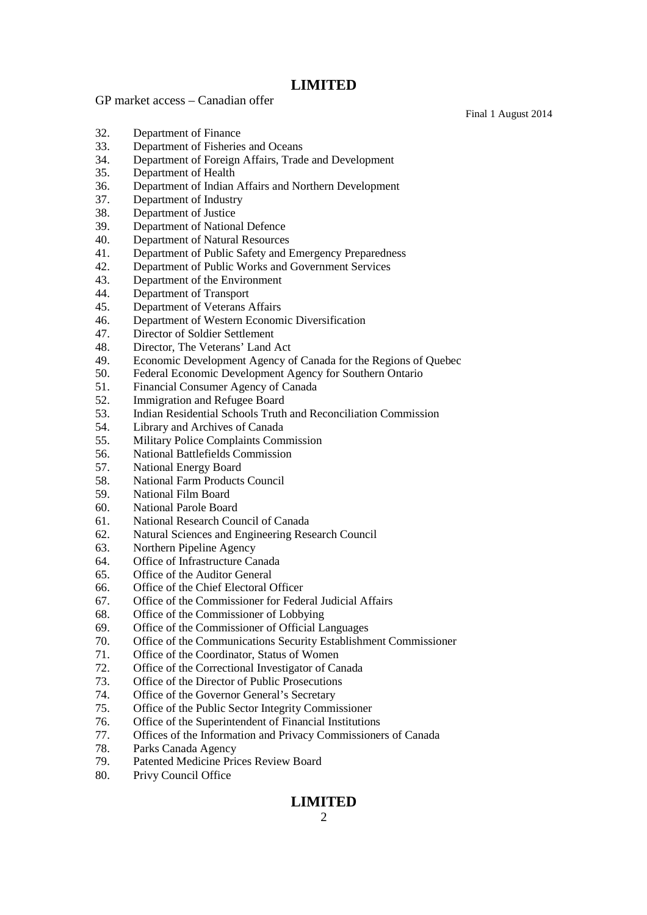GP market access – Canadian offer

Final 1 August 2014

- 32. Department of Finance
- 33. Department of Fisheries and Oceans
- 34. Department of Foreign Affairs, Trade and Development
- 35. Department of Health
- 36. Department of Indian Affairs and Northern Development
- 37. Department of Industry
- 38. Department of Justice
- 39. Department of National Defence
- 40. Department of Natural Resources
- 41. Department of Public Safety and Emergency Preparedness
- 42. Department of Public Works and Government Services
- 43. Department of the Environment
- 44. Department of Transport
- 45. Department of Veterans Affairs
- 46. Department of Western Economic Diversification
- 47. Director of Soldier Settlement
- 48. Director, The Veterans' Land Act
- 49. Economic Development Agency of Canada for the Regions of Quebec
- 50. Federal Economic Development Agency for Southern Ontario
- 51. Financial Consumer Agency of Canada
- 52. Immigration and Refugee Board
- 53. Indian Residential Schools Truth and Reconciliation Commission
- 54. Library and Archives of Canada
- 55. Military Police Complaints Commission
- 56. National Battlefields Commission
- 57. National Energy Board
- 58. National Farm Products Council
- 59. National Film Board
- 60. National Parole Board
- 61. National Research Council of Canada
- 62. Natural Sciences and Engineering Research Council
- 63. Northern Pipeline Agency
- 64. Office of Infrastructure Canada
- 65. Office of the Auditor General
- 66. Office of the Chief Electoral Officer
- 67. Office of the Commissioner for Federal Judicial Affairs
- 68. Office of the Commissioner of Lobbying
- 69. Office of the Commissioner of Official Languages
- 70. Office of the Communications Security Establishment Commissioner
- 71. Office of the Coordinator, Status of Women
- 72. Office of the Correctional Investigator of Canada
- 73. Office of the Director of Public Prosecutions
- 74. Office of the Governor General's Secretary
- 75. Office of the Public Sector Integrity Commissioner
- 76. Office of the Superintendent of Financial Institutions
- 77. Offices of the Information and Privacy Commissioners of Canada
- 78. Parks Canada Agency
- 79. Patented Medicine Prices Review Board
- 80. Privy Council Office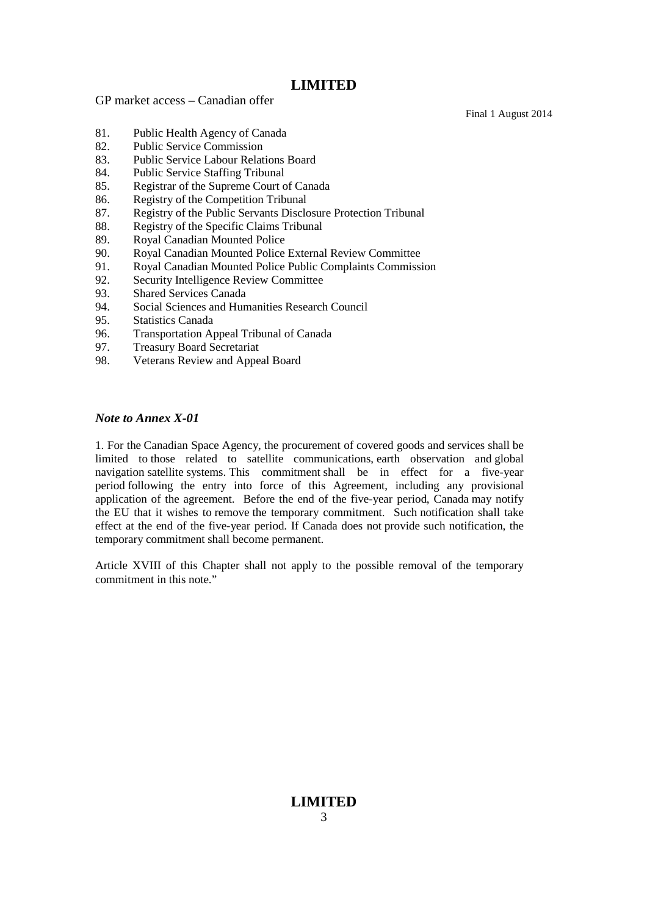GP market access – Canadian offer

Final 1 August 2014

- 81. Public Health Agency of Canada
- 82. Public Service Commission
- 83. Public Service Labour Relations Board
- 84. Public Service Staffing Tribunal
- 85. Registrar of the Supreme Court of Canada
- 86. Registry of the Competition Tribunal
- 87. Registry of the Public Servants Disclosure Protection Tribunal
- 88. Registry of the Specific Claims Tribunal
- 89. Royal Canadian Mounted Police
- 90. Royal Canadian Mounted Police External Review Committee
- 91. Royal Canadian Mounted Police Public Complaints Commission
- 92. Security Intelligence Review Committee
- 93. Shared Services Canada
- 94. Social Sciences and Humanities Research Council
- 95. Statistics Canada
- 96. Transportation Appeal Tribunal of Canada
- 97. Treasury Board Secretariat
- 98. Veterans Review and Appeal Board

#### *Note to Annex X-01*

1. For the Canadian Space Agency, the procurement of covered goods and services shall be limited to those related to satellite communications, earth observation and global navigation satellite systems. This commitment shall be in effect for a five-year period following the entry into force of this Agreement, including any provisional application of the agreement. Before the end of the five-year period, Canada may notify the EU that it wishes to remove the temporary commitment. Such notification shall take effect at the end of the five-year period. If Canada does not provide such notification, the temporary commitment shall become permanent.

Article XVIII of this Chapter shall not apply to the possible removal of the temporary commitment in this note."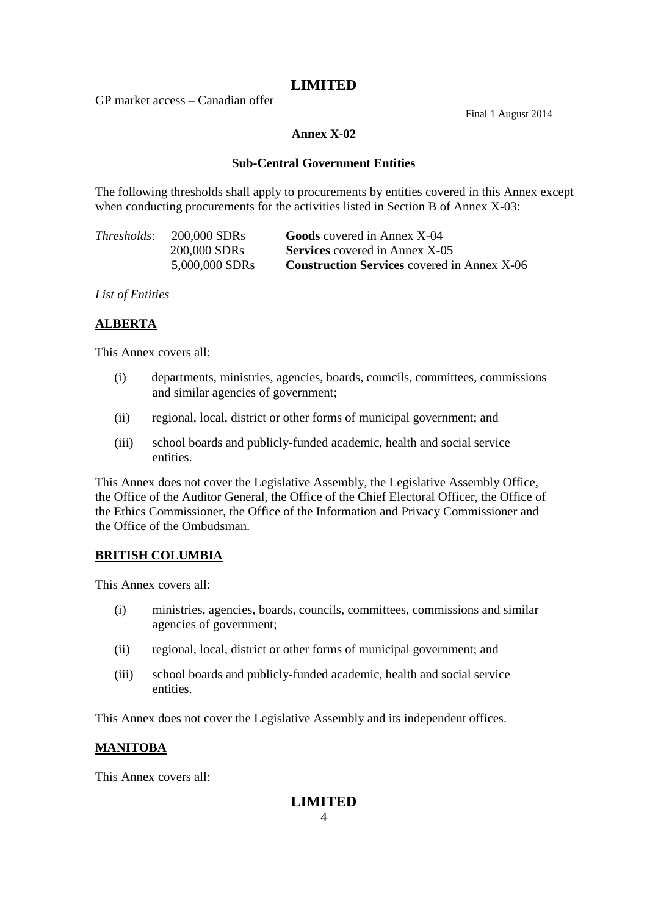GP market access – Canadian offer

Final 1 August 2014

### **Annex X-02**

### **Sub-Central Government Entities**

The following thresholds shall apply to procurements by entities covered in this Annex except when conducting procurements for the activities listed in Section B of Annex X-03:

| <i>Thresholds:</i> | 200,000 SDRs   | <b>Goods</b> covered in Annex X-04                 |
|--------------------|----------------|----------------------------------------------------|
|                    | 200,000 SDRs   | <b>Services</b> covered in Annex X-05              |
|                    | 5,000,000 SDRs | <b>Construction Services</b> covered in Annex X-06 |

*List of Entities*

# **ALBERTA**

This Annex covers all:

- (i) departments, ministries, agencies, boards, councils, committees, commissions and similar agencies of government;
- (ii) regional, local, district or other forms of municipal government; and
- (iii) school boards and publicly-funded academic, health and social service entities.

This Annex does not cover the Legislative Assembly, the Legislative Assembly Office, the Office of the Auditor General, the Office of the Chief Electoral Officer, the Office of the Ethics Commissioner, the Office of the Information and Privacy Commissioner and the Office of the Ombudsman.

# **BRITISH COLUMBIA**

This Annex covers all:

- (i) ministries, agencies, boards, councils, committees, commissions and similar agencies of government;
- (ii) regional, local, district or other forms of municipal government; and
- (iii) school boards and publicly-funded academic, health and social service entities.

This Annex does not cover the Legislative Assembly and its independent offices.

# **MANITOBA**

This Annex covers all: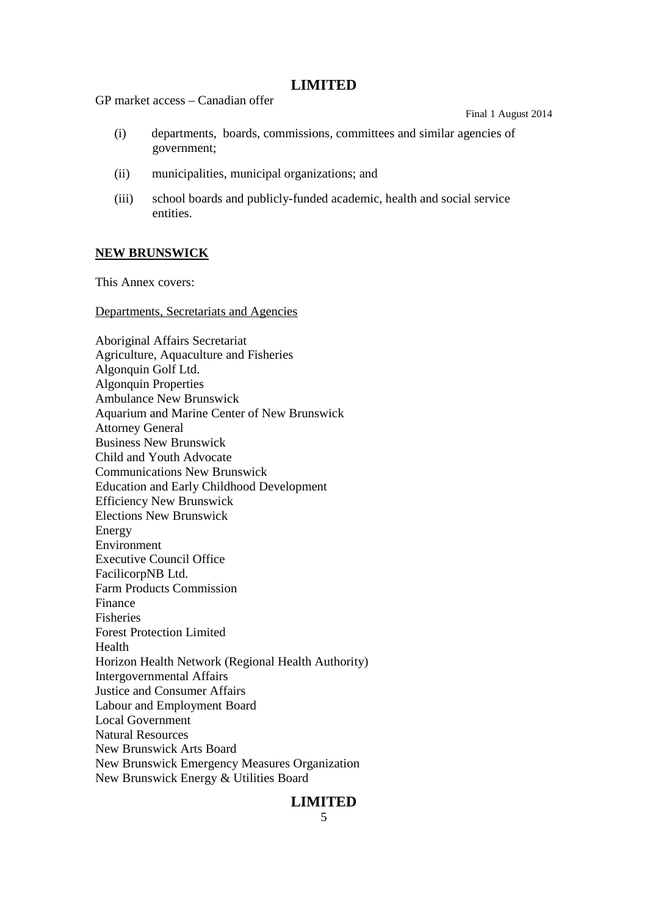GP market access – Canadian offer

Final 1 August 2014

- (i) departments, boards, commissions, committees and similar agencies of government;
- (ii) municipalities, municipal organizations; and
- (iii) school boards and publicly-funded academic, health and social service entities.

### **NEW BRUNSWICK**

This Annex covers:

Departments, Secretariats and Agencies

Aboriginal Affairs Secretariat Agriculture, Aquaculture and Fisheries Algonquin Golf Ltd. Algonquin Properties Ambulance New Brunswick Aquarium and Marine Center of New Brunswick Attorney General Business New Brunswick Child and Youth Advocate Communications New Brunswick Education and Early Childhood Development Efficiency New Brunswick Elections New Brunswick Energy Environment Executive Council Office FacilicorpNB Ltd. Farm Products Commission Finance Fisheries Forest Protection Limited Health Horizon Health Network (Regional Health Authority) Intergovernmental Affairs Justice and Consumer Affairs Labour and Employment Board Local Government Natural Resources New Brunswick Arts Board New Brunswick Emergency Measures Organization New Brunswick Energy & Utilities Board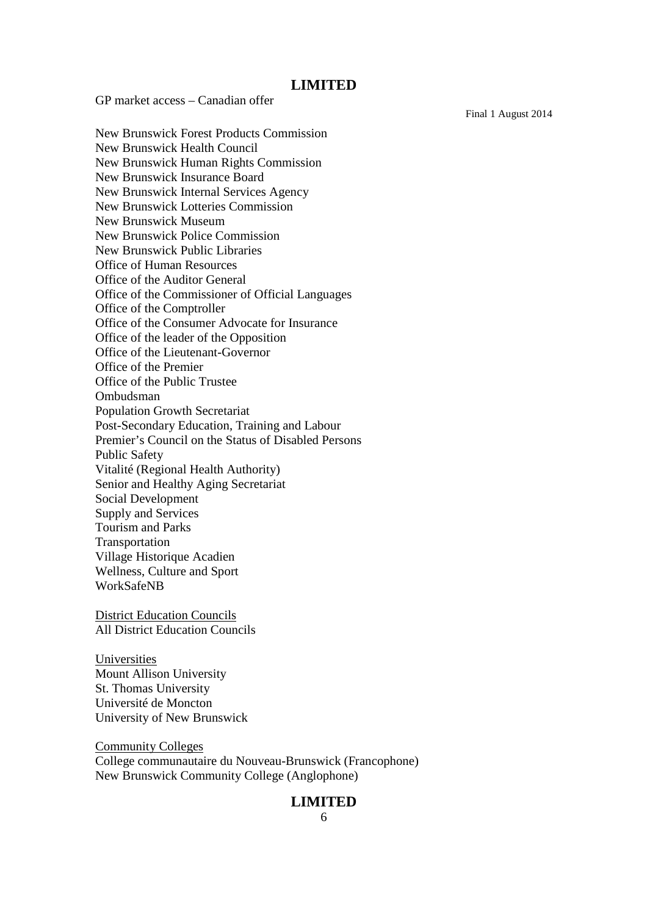GP market access – Canadian offer

Final 1 August 2014

New Brunswick Forest Products Commission New Brunswick Health Council New Brunswick Human Rights Commission New Brunswick Insurance Board New Brunswick Internal Services Agency New Brunswick Lotteries Commission New Brunswick Museum New Brunswick Police Commission New Brunswick Public Libraries Office of Human Resources Office of the Auditor General Office of the Commissioner of Official Languages Office of the Comptroller Office of the Consumer Advocate for Insurance Office of the leader of the Opposition Office of the Lieutenant-Governor Office of the Premier Office of the Public Trustee Ombudsman Population Growth Secretariat Post-Secondary Education, Training and Labour Premier's Council on the Status of Disabled Persons Public Safety Vitalité (Regional Health Authority) Senior and Healthy Aging Secretariat Social Development Supply and Services Tourism and Parks **Transportation** Village Historique Acadien Wellness, Culture and Sport WorkSafeNB

District Education Councils All District Education Councils

Universities Mount Allison University St. Thomas University Université de Moncton University of New Brunswick

Community Colleges College communautaire du Nouveau-Brunswick (Francophone) New Brunswick Community College (Anglophone)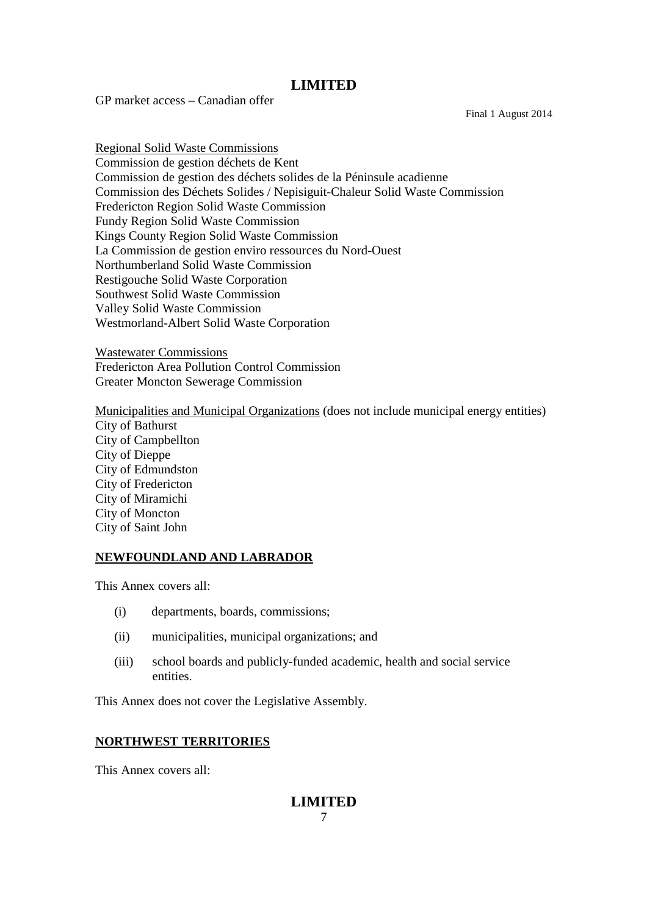GP market access – Canadian offer

Final 1 August 2014

Regional Solid Waste Commissions Commission de gestion déchets de Kent Commission de gestion des déchets solides de la Péninsule acadienne Commission des Déchets Solides / Nepisiguit-Chaleur Solid Waste Commission Fredericton Region Solid Waste Commission Fundy Region Solid Waste Commission Kings County Region Solid Waste Commission La Commission de gestion enviro ressources du Nord-Ouest Northumberland Solid Waste Commission Restigouche Solid Waste Corporation Southwest Solid Waste Commission Valley Solid Waste Commission Westmorland-Albert Solid Waste Corporation

Wastewater Commissions Fredericton Area Pollution Control Commission Greater Moncton Sewerage Commission

Municipalities and Municipal Organizations (does not include municipal energy entities) City of Bathurst City of Campbellton City of Dieppe City of Edmundston City of Fredericton City of Miramichi City of Moncton City of Saint John

### **NEWFOUNDLAND AND LABRADOR**

This Annex covers all:

- (i) departments, boards, commissions;
- (ii) municipalities, municipal organizations; and
- (iii) school boards and publicly-funded academic, health and social service entities.

This Annex does not cover the Legislative Assembly.

### **NORTHWEST TERRITORIES**

This Annex covers all: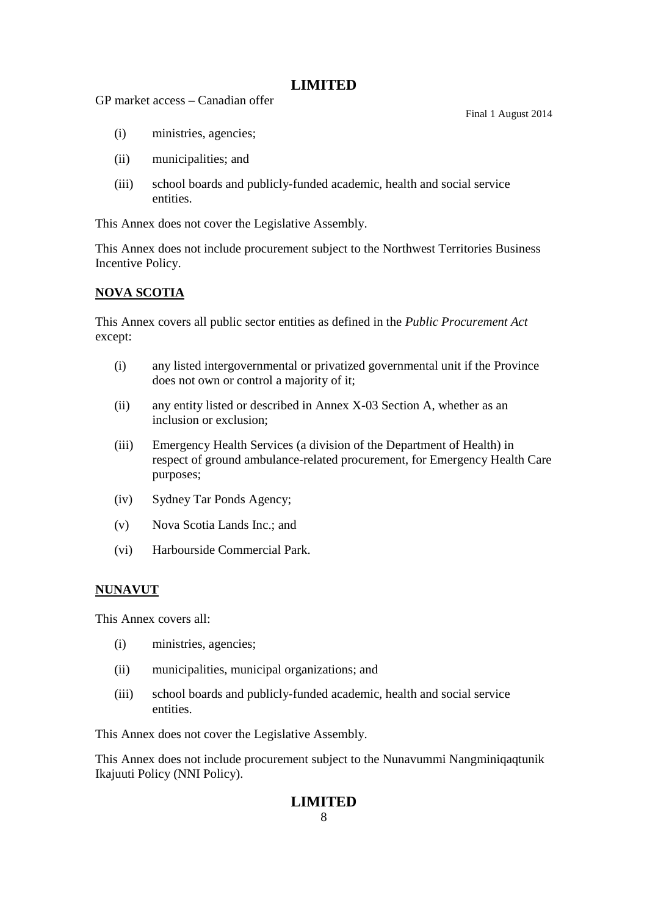GP market access – Canadian offer

Final 1 August 2014

- (i) ministries, agencies;
- (ii) municipalities; and
- (iii) school boards and publicly-funded academic, health and social service entities.

This Annex does not cover the Legislative Assembly.

This Annex does not include procurement subject to the Northwest Territories Business Incentive Policy.

### **NOVA SCOTIA**

This Annex covers all public sector entities as defined in the *Public Procurement Act* except:

- (i) any listed intergovernmental or privatized governmental unit if the Province does not own or control a majority of it;
- (ii) any entity listed or described in Annex X-03 Section A, whether as an inclusion or exclusion;
- (iii) Emergency Health Services (a division of the Department of Health) in respect of ground ambulance-related procurement, for Emergency Health Care purposes;
- (iv) Sydney Tar Ponds Agency;
- (v) Nova Scotia Lands Inc.; and
- (vi) Harbourside Commercial Park.

# **NUNAVUT**

This Annex covers all:

- (i) ministries, agencies;
- (ii) municipalities, municipal organizations; and
- (iii) school boards and publicly-funded academic, health and social service entities.

This Annex does not cover the Legislative Assembly.

This Annex does not include procurement subject to the Nunavummi Nangminiqaqtunik Ikajuuti Policy (NNI Policy).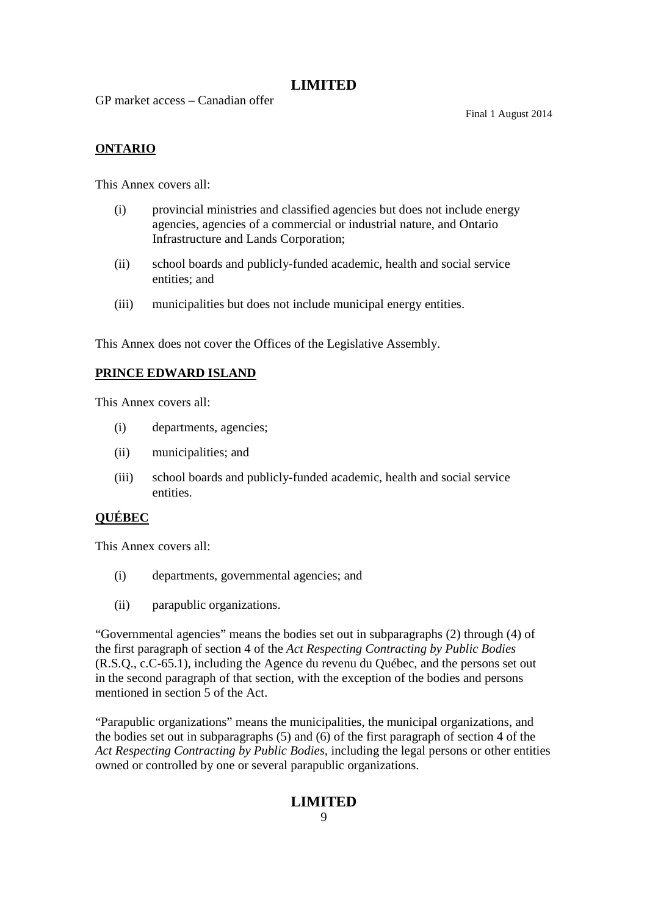GP market access – Canadian offer

Final 1 August 2014

# **ONTARIO**

This Annex covers all:

- (i) provincial ministries and classified agencies but does not include energy agencies, agencies of a commercial or industrial nature, and Ontario Infrastructure and Lands Corporation;
- (ii) school boards and publicly-funded academic, health and social service entities; and
- (iii) municipalities but does not include municipal energy entities.

This Annex does not cover the Offices of the Legislative Assembly.

### **PRINCE EDWARD ISLAND**

This Annex covers all:

- (i) departments, agencies;
- (ii) municipalities; and
- (iii) school boards and publicly-funded academic, health and social service entities.

### **QUÉBEC**

This Annex covers all:

- (i) departments, governmental agencies; and
- (ii) parapublic organizations.

"Governmental agencies" means the bodies set out in subparagraphs (2) through (4) of the first paragraph of section 4 of the *Act Respecting Contracting by Public Bodies* (R.S.Q., c.C-65.1), including the Agence du revenu du Québec, and the persons set out in the second paragraph of that section, with the exception of the bodies and persons mentioned in section 5 of the Act.

"Parapublic organizations" means the municipalities, the municipal organizations, and the bodies set out in subparagraphs (5) and (6) of the first paragraph of section 4 of the *Act Respecting Contracting by Public Bodies,* including the legal persons or other entities owned or controlled by one or several parapublic organizations.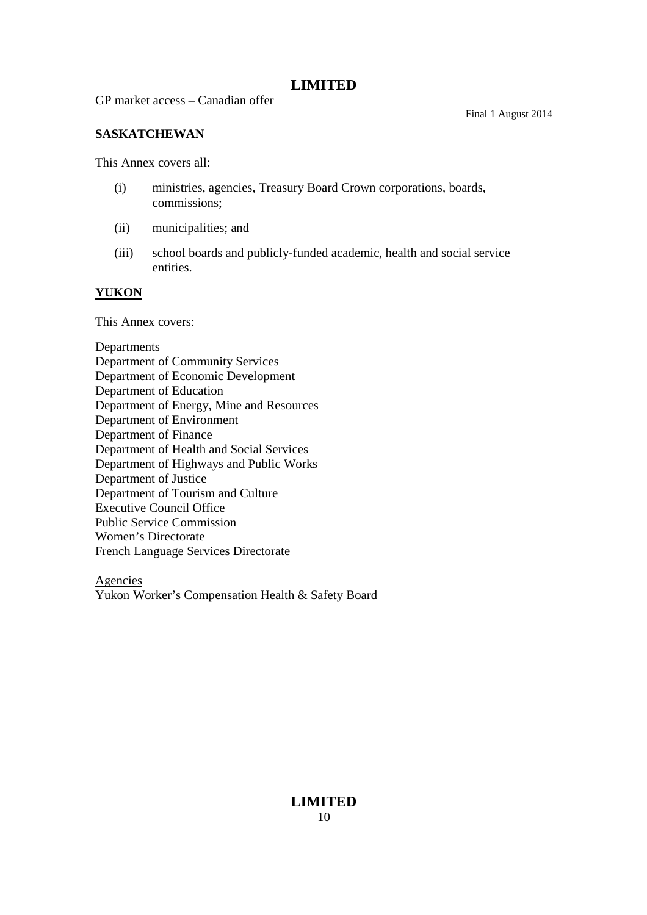GP market access – Canadian offer

Final 1 August 2014

### **SASKATCHEWAN**

This Annex covers all:

- (i) ministries, agencies, Treasury Board Crown corporations, boards, commissions;
- (ii) municipalities; and
- (iii) school boards and publicly-funded academic, health and social service entities.

### **YUKON**

This Annex covers:

### **Departments**

Department of Community Services Department of Economic Development Department of Education Department of Energy, Mine and Resources Department of Environment Department of Finance Department of Health and Social Services Department of Highways and Public Works Department of Justice Department of Tourism and Culture Executive Council Office Public Service Commission Women's Directorate French Language Services Directorate

Agencies Yukon Worker's Compensation Health & Safety Board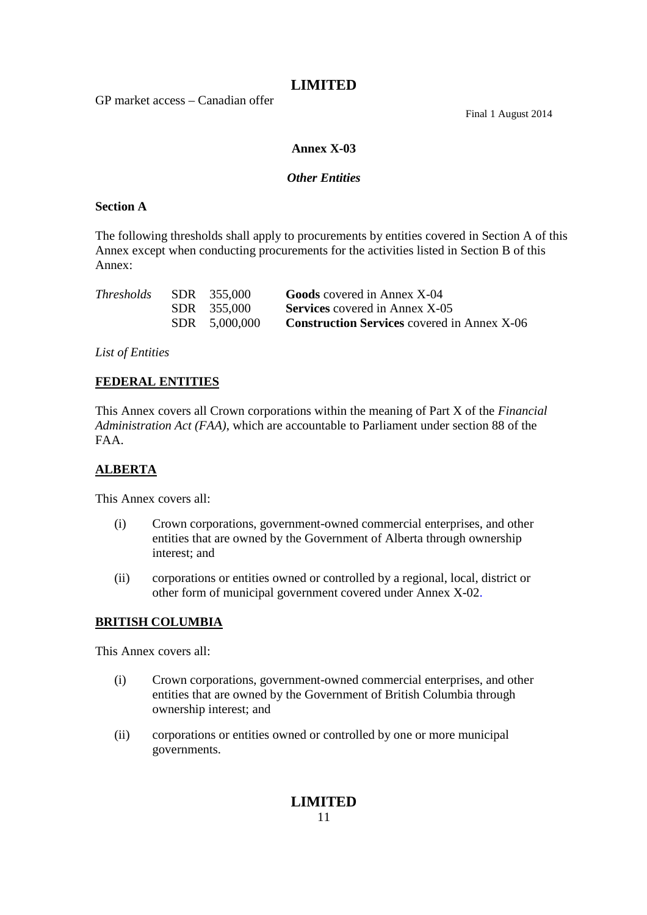GP market access – Canadian offer

Final 1 August 2014

### **Annex X-03**

### *Other Entities*

### **Section A**

The following thresholds shall apply to procurements by entities covered in Section A of this Annex except when conducting procurements for the activities listed in Section B of this Annex:

| <i>Thresholds</i> | SDR 355,000   | <b>Goods</b> covered in Annex X-04                 |
|-------------------|---------------|----------------------------------------------------|
|                   | SDR 355,000   | <b>Services</b> covered in Annex X-05              |
|                   | SDR 5,000,000 | <b>Construction Services</b> covered in Annex X-06 |

*List of Entities*

### **FEDERAL ENTITIES**

This Annex covers all Crown corporations within the meaning of Part X of the *Financial Administration Act (FAA)*, which are accountable to Parliament under section 88 of the FAA.

### **ALBERTA**

This Annex covers all:

- (i) Crown corporations, government-owned commercial enterprises, and other entities that are owned by the Government of Alberta through ownership interest; and
- (ii) corporations or entities owned or controlled by a regional, local, district or other form of municipal government covered under Annex X-02.

# **BRITISH COLUMBIA**

This Annex covers all:

- (i) Crown corporations, government-owned commercial enterprises, and other entities that are owned by the Government of British Columbia through ownership interest; and
- (ii) corporations or entities owned or controlled by one or more municipal governments.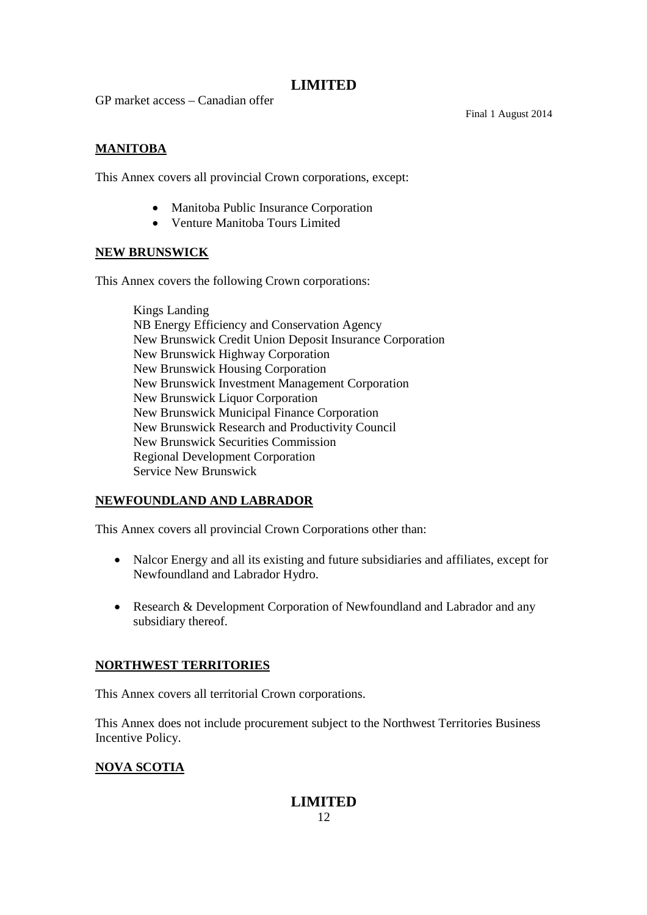GP market access – Canadian offer

Final 1 August 2014

# **MANITOBA**

This Annex covers all provincial Crown corporations, except:

- Manitoba Public Insurance Corporation
- Venture Manitoba Tours Limited

### **NEW BRUNSWICK**

This Annex covers the following Crown corporations:

Kings Landing NB Energy Efficiency and Conservation Agency New Brunswick Credit Union Deposit Insurance Corporation New Brunswick Highway Corporation New Brunswick Housing Corporation New Brunswick Investment Management Corporation New Brunswick Liquor Corporation New Brunswick Municipal Finance Corporation New Brunswick Research and Productivity Council New Brunswick Securities Commission Regional Development Corporation Service New Brunswick

# **NEWFOUNDLAND AND LABRADOR**

This Annex covers all provincial Crown Corporations other than:

- Nalcor Energy and all its existing and future subsidiaries and affiliates, except for Newfoundland and Labrador Hydro.
- Research & Development Corporation of Newfoundland and Labrador and any subsidiary thereof.

### **NORTHWEST TERRITORIES**

This Annex covers all territorial Crown corporations.

This Annex does not include procurement subject to the Northwest Territories Business Incentive Policy.

# **NOVA SCOTIA**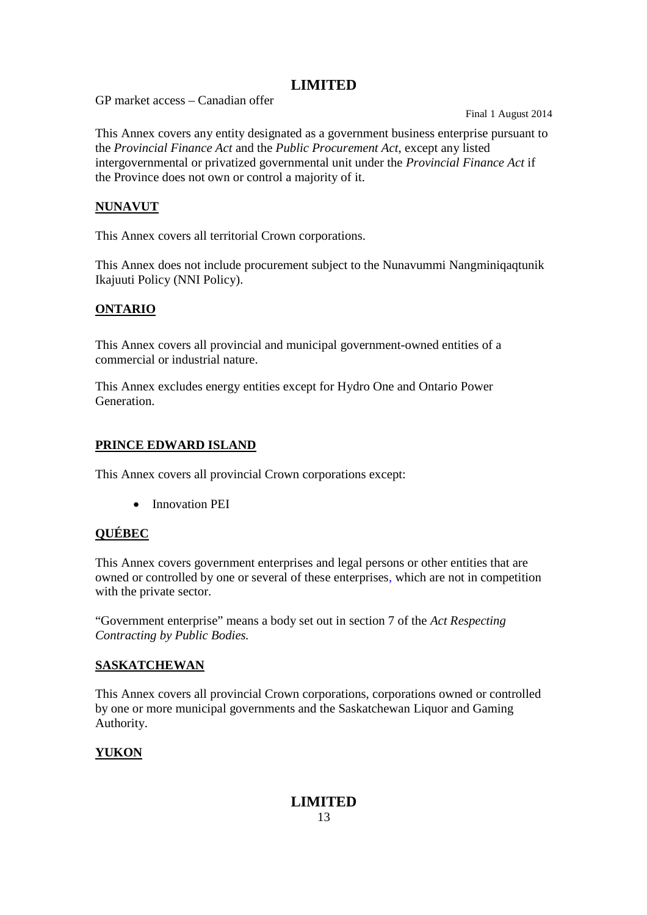GP market access – Canadian offer

Final 1 August 2014

This Annex covers any entity designated as a government business enterprise pursuant to the *Provincial Finance Act* and the *Public Procurement Act*, except any listed intergovernmental or privatized governmental unit under the *Provincial Finance Act* if the Province does not own or control a majority of it.

### **NUNAVUT**

This Annex covers all territorial Crown corporations.

This Annex does not include procurement subject to the Nunavummi Nangminiqaqtunik Ikajuuti Policy (NNI Policy).

# **ONTARIO**

This Annex covers all provincial and municipal government-owned entities of a commercial or industrial nature.

This Annex excludes energy entities except for Hydro One and Ontario Power **Generation** 

### **PRINCE EDWARD ISLAND**

This Annex covers all provincial Crown corporations except:

• Innovation PEI

# **QUÉBEC**

This Annex covers government enterprises and legal persons or other entities that are owned or controlled by one or several of these enterprises, which are not in competition with the private sector.

"Government enterprise" means a body set out in section 7 of the *Act Respecting Contracting by Public Bodies.*

### **SASKATCHEWAN**

This Annex covers all provincial Crown corporations, corporations owned or controlled by one or more municipal governments and the Saskatchewan Liquor and Gaming Authority.

# **YUKON**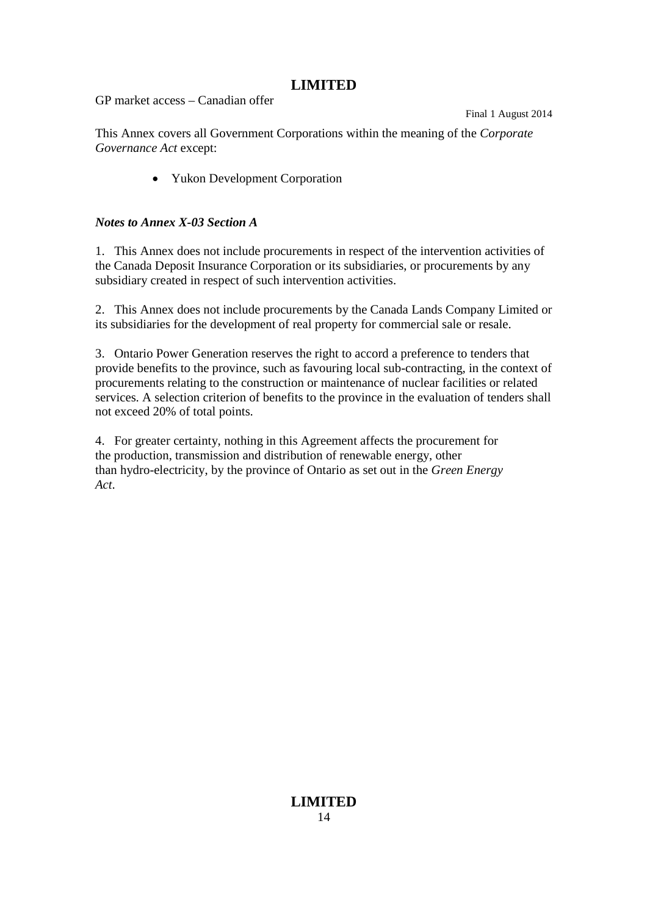GP market access – Canadian offer

Final 1 August 2014

This Annex covers all Government Corporations within the meaning of the *Corporate Governance Act* except:

• Yukon Development Corporation

### *Notes to Annex X-03 Section A*

1. This Annex does not include procurements in respect of the intervention activities of the Canada Deposit Insurance Corporation or its subsidiaries, or procurements by any subsidiary created in respect of such intervention activities.

2. This Annex does not include procurements by the Canada Lands Company Limited or its subsidiaries for the development of real property for commercial sale or resale.

3. Ontario Power Generation reserves the right to accord a preference to tenders that provide benefits to the province, such as favouring local sub-contracting, in the context of procurements relating to the construction or maintenance of nuclear facilities or related services. A selection criterion of benefits to the province in the evaluation of tenders shall not exceed 20% of total points.

4. For greater certainty, nothing in this Agreement affects the procurement for the production, transmission and distribution of renewable energy, other than hydro-electricity, by the province of Ontario as set out in the *Green Energy Act*.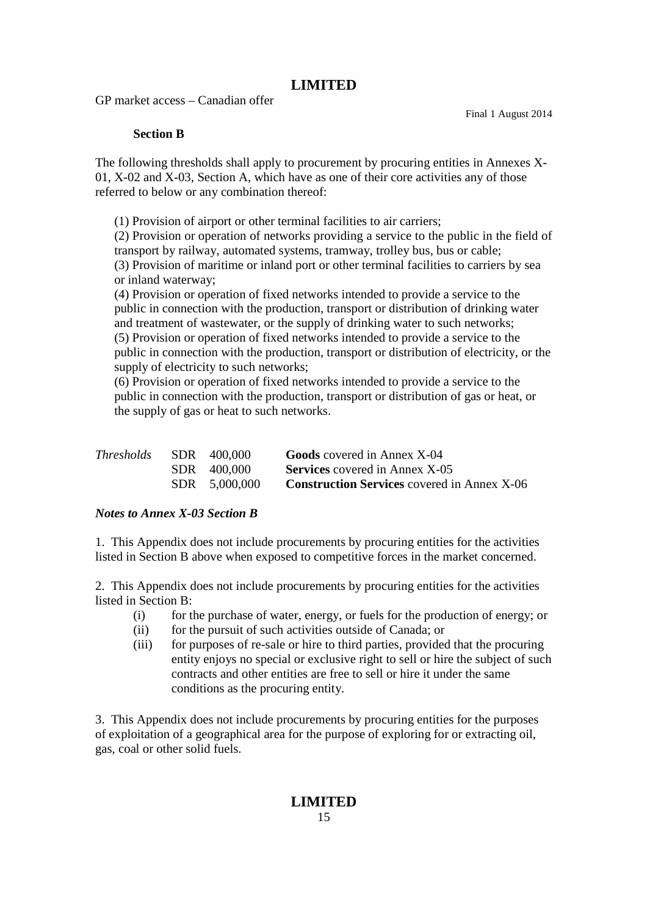GP market access – Canadian offer

Final 1 August 2014

### **Section B**

The following thresholds shall apply to procurement by procuring entities in Annexes X-01, X-02 and X-03, Section A, which have as one of their core activities any of those referred to below or any combination thereof:

(1) Provision of airport or other terminal facilities to air carriers;

(2) Provision or operation of networks providing a service to the public in the field of transport by railway, automated systems, tramway, trolley bus, bus or cable; (3) Provision of maritime or inland port or other terminal facilities to carriers by sea or inland waterway;

(4) Provision or operation of fixed networks intended to provide a service to the public in connection with the production, transport or distribution of drinking water and treatment of wastewater, or the supply of drinking water to such networks; (5) Provision or operation of fixed networks intended to provide a service to the public in connection with the production, transport or distribution of electricity, or the supply of electricity to such networks;

(6) Provision or operation of fixed networks intended to provide a service to the public in connection with the production, transport or distribution of gas or heat, or the supply of gas or heat to such networks.

| <i>Thresholds</i> | SDR 400,000   | <b>Goods</b> covered in Annex X-04                 |
|-------------------|---------------|----------------------------------------------------|
|                   | SDR 400,000   | <b>Services</b> covered in Annex X-05              |
|                   | SDR 5.000,000 | <b>Construction Services</b> covered in Annex X-06 |

### *Notes to Annex X-03 Section B*

1. This Appendix does not include procurements by procuring entities for the activities listed in Section B above when exposed to competitive forces in the market concerned.

2. This Appendix does not include procurements by procuring entities for the activities listed in Section B:

- (i) for the purchase of water, energy, or fuels for the production of energy; or
- (ii) for the pursuit of such activities outside of Canada; or
- (iii) for purposes of re-sale or hire to third parties, provided that the procuring entity enjoys no special or exclusive right to sell or hire the subject of such contracts and other entities are free to sell or hire it under the same conditions as the procuring entity.

3. This Appendix does not include procurements by procuring entities for the purposes of exploitation of a geographical area for the purpose of exploring for or extracting oil, gas, coal or other solid fuels.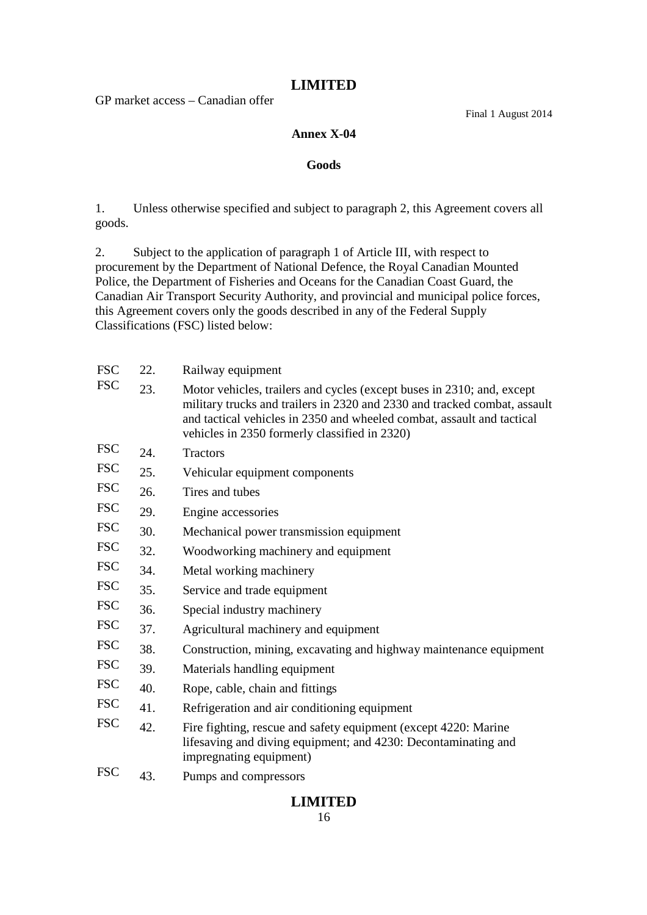GP market access – Canadian offer

Final 1 August 2014

### **Annex X-04**

### **Goods**

1. Unless otherwise specified and subject to paragraph 2, this Agreement covers all goods.

2. Subject to the application of paragraph 1 of Article III, with respect to procurement by the Department of National Defence, the Royal Canadian Mounted Police, the Department of Fisheries and Oceans for the Canadian Coast Guard, the Canadian Air Transport Security Authority, and provincial and municipal police forces, this Agreement covers only the goods described in any of the Federal Supply Classifications (FSC) listed below:

| <b>FSC</b> | 22. | Railway equipment                                                                                                                                                                                                                                                              |
|------------|-----|--------------------------------------------------------------------------------------------------------------------------------------------------------------------------------------------------------------------------------------------------------------------------------|
| <b>FSC</b> | 23. | Motor vehicles, trailers and cycles (except buses in 2310; and, except<br>military trucks and trailers in 2320 and 2330 and tracked combat, assault<br>and tactical vehicles in 2350 and wheeled combat, assault and tactical<br>vehicles in 2350 formerly classified in 2320) |
| <b>FSC</b> | 24. | <b>Tractors</b>                                                                                                                                                                                                                                                                |
| <b>FSC</b> | 25. | Vehicular equipment components                                                                                                                                                                                                                                                 |
| <b>FSC</b> | 26. | Tires and tubes                                                                                                                                                                                                                                                                |
| <b>FSC</b> | 29. | Engine accessories                                                                                                                                                                                                                                                             |
| <b>FSC</b> | 30. | Mechanical power transmission equipment                                                                                                                                                                                                                                        |
| <b>FSC</b> | 32. | Woodworking machinery and equipment                                                                                                                                                                                                                                            |
| <b>FSC</b> | 34. | Metal working machinery                                                                                                                                                                                                                                                        |
| <b>FSC</b> | 35. | Service and trade equipment                                                                                                                                                                                                                                                    |
| <b>FSC</b> | 36. | Special industry machinery                                                                                                                                                                                                                                                     |
| <b>FSC</b> | 37. | Agricultural machinery and equipment                                                                                                                                                                                                                                           |
| <b>FSC</b> | 38. | Construction, mining, excavating and highway maintenance equipment                                                                                                                                                                                                             |
| <b>FSC</b> | 39. | Materials handling equipment                                                                                                                                                                                                                                                   |
| <b>FSC</b> | 40. | Rope, cable, chain and fittings                                                                                                                                                                                                                                                |
| <b>FSC</b> | 41. | Refrigeration and air conditioning equipment                                                                                                                                                                                                                                   |
| <b>FSC</b> | 42. | Fire fighting, rescue and safety equipment (except 4220: Marine<br>lifesaving and diving equipment; and 4230: Decontaminating and<br>impregnating equipment)                                                                                                                   |
| <b>FSC</b> | 43. | Pumps and compressors                                                                                                                                                                                                                                                          |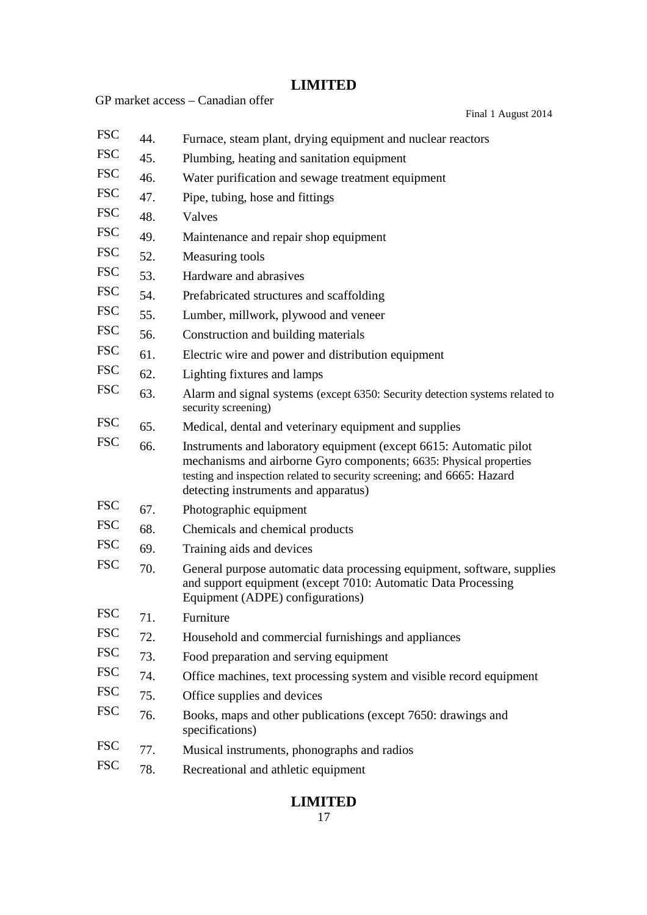|            |     | GP market access - Canadian offer                                                                                                                                                                                                                          |
|------------|-----|------------------------------------------------------------------------------------------------------------------------------------------------------------------------------------------------------------------------------------------------------------|
|            |     | Final 1 August 2014                                                                                                                                                                                                                                        |
| <b>FSC</b> | 44. | Furnace, steam plant, drying equipment and nuclear reactors                                                                                                                                                                                                |
| <b>FSC</b> | 45. | Plumbing, heating and sanitation equipment                                                                                                                                                                                                                 |
| <b>FSC</b> | 46. | Water purification and sewage treatment equipment                                                                                                                                                                                                          |
| <b>FSC</b> | 47. | Pipe, tubing, hose and fittings                                                                                                                                                                                                                            |
| <b>FSC</b> | 48. | Valves                                                                                                                                                                                                                                                     |
| <b>FSC</b> | 49. | Maintenance and repair shop equipment                                                                                                                                                                                                                      |
| <b>FSC</b> | 52. | Measuring tools                                                                                                                                                                                                                                            |
| <b>FSC</b> | 53. | Hardware and abrasives                                                                                                                                                                                                                                     |
| <b>FSC</b> | 54. | Prefabricated structures and scaffolding                                                                                                                                                                                                                   |
| <b>FSC</b> | 55. | Lumber, millwork, plywood and veneer                                                                                                                                                                                                                       |
| <b>FSC</b> | 56. | Construction and building materials                                                                                                                                                                                                                        |
| <b>FSC</b> | 61. | Electric wire and power and distribution equipment                                                                                                                                                                                                         |
| <b>FSC</b> | 62. | Lighting fixtures and lamps                                                                                                                                                                                                                                |
| <b>FSC</b> | 63. | Alarm and signal systems (except 6350: Security detection systems related to<br>security screening)                                                                                                                                                        |
| <b>FSC</b> | 65. | Medical, dental and veterinary equipment and supplies                                                                                                                                                                                                      |
| <b>FSC</b> | 66. | Instruments and laboratory equipment (except 6615: Automatic pilot<br>mechanisms and airborne Gyro components; 6635: Physical properties<br>testing and inspection related to security screening; and 6665: Hazard<br>detecting instruments and apparatus) |
| <b>FSC</b> | 67. | Photographic equipment                                                                                                                                                                                                                                     |
| <b>FSC</b> | 68. | Chemicals and chemical products                                                                                                                                                                                                                            |
| <b>FSC</b> | 69. | Training aids and devices                                                                                                                                                                                                                                  |
| <b>FSC</b> | 70. | General purpose automatic data processing equipment, software, supplies<br>and support equipment (except 7010: Automatic Data Processing)<br>Equipment (ADPE) configurations)                                                                              |
| <b>FSC</b> | 71. | Furniture                                                                                                                                                                                                                                                  |
| <b>FSC</b> | 72. | Household and commercial furnishings and appliances                                                                                                                                                                                                        |
| <b>FSC</b> | 73. | Food preparation and serving equipment                                                                                                                                                                                                                     |
| <b>FSC</b> | 74. | Office machines, text processing system and visible record equipment                                                                                                                                                                                       |
| <b>FSC</b> | 75. | Office supplies and devices                                                                                                                                                                                                                                |
| <b>FSC</b> | 76. | Books, maps and other publications (except 7650: drawings and<br>specifications)                                                                                                                                                                           |
| <b>FSC</b> | 77. | Musical instruments, phonographs and radios                                                                                                                                                                                                                |
| <b>FSC</b> | 78. | Recreational and athletic equipment                                                                                                                                                                                                                        |
|            |     |                                                                                                                                                                                                                                                            |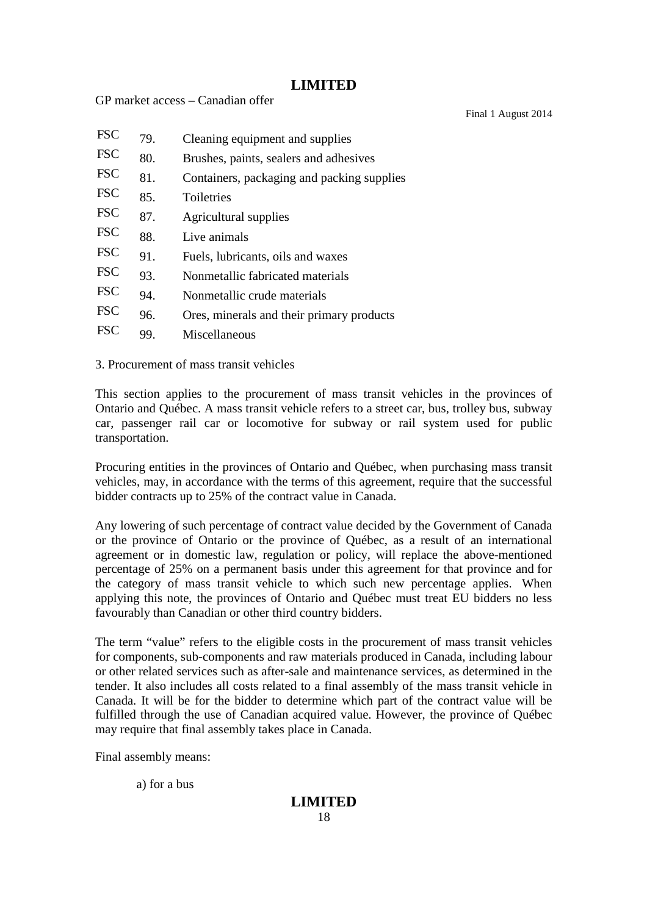Final 1 August 2014

| <b>FSC</b> | 79. | Cleaning equipment and supplies            |
|------------|-----|--------------------------------------------|
| <b>FSC</b> | 80. | Brushes, paints, sealers and adhesives     |
| <b>FSC</b> | 81. | Containers, packaging and packing supplies |
| <b>FSC</b> | 85. | Toiletries                                 |
| <b>FSC</b> | 87. | Agricultural supplies                      |
| <b>FSC</b> | 88. | Live animals                               |
| <b>FSC</b> | 91. | Fuels, lubricants, oils and waxes          |
| <b>FSC</b> | 93. | Nonmetallic fabricated materials           |
| <b>FSC</b> | 94. | Nonmetallic crude materials                |
| <b>FSC</b> | 96. | Ores, minerals and their primary products  |
| <b>FSC</b> | 99. | Miscellaneous                              |

3. Procurement of mass transit vehicles

GP market access – Canadian offer

This section applies to the procurement of mass transit vehicles in the provinces of Ontario and Québec. A mass transit vehicle refers to a street car, bus, trolley bus, subway car, passenger rail car or locomotive for subway or rail system used for public transportation.

Procuring entities in the provinces of Ontario and Québec, when purchasing mass transit vehicles, may, in accordance with the terms of this agreement, require that the successful bidder contracts up to 25% of the contract value in Canada.

Any lowering of such percentage of contract value decided by the Government of Canada or the province of Ontario or the province of Québec, as a result of an international agreement or in domestic law, regulation or policy, will replace the above-mentioned percentage of 25% on a permanent basis under this agreement for that province and for the category of mass transit vehicle to which such new percentage applies. When applying this note, the provinces of Ontario and Québec must treat EU bidders no less favourably than Canadian or other third country bidders.

The term "value" refers to the eligible costs in the procurement of mass transit vehicles for components, sub-components and raw materials produced in Canada, including labour or other related services such as after-sale and maintenance services, as determined in the tender. It also includes all costs related to a final assembly of the mass transit vehicle in Canada. It will be for the bidder to determine which part of the contract value will be fulfilled through the use of Canadian acquired value. However, the province of Québec may require that final assembly takes place in Canada.

Final assembly means:

a) for a bus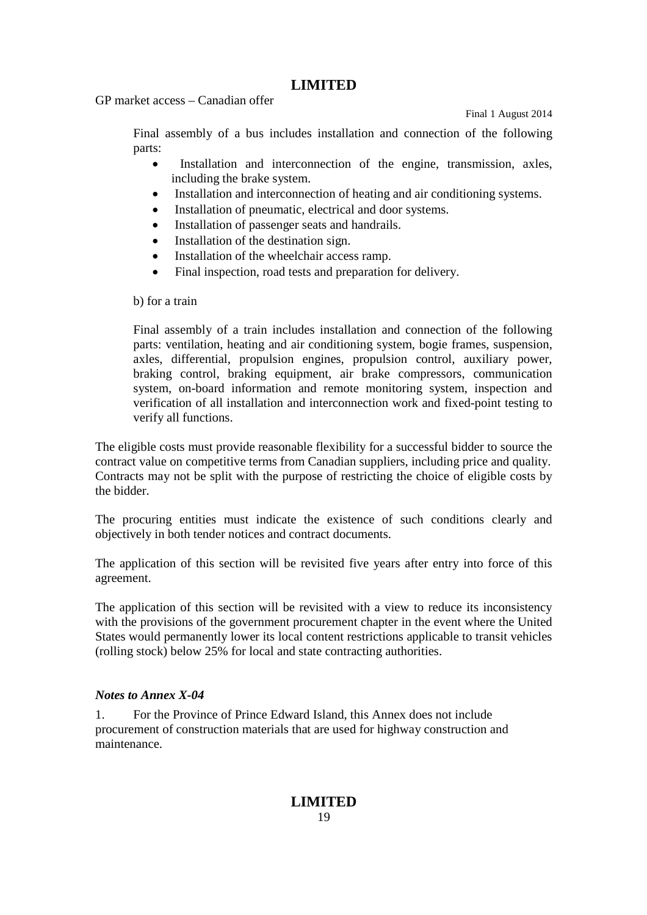GP market access – Canadian offer

Final 1 August 2014

Final assembly of a bus includes installation and connection of the following parts:

- Installation and interconnection of the engine, transmission, axles, including the brake system.
- Installation and interconnection of heating and air conditioning systems.
- Installation of pneumatic, electrical and door systems.
- Installation of passenger seats and handrails.
- Installation of the destination sign.
- Installation of the wheelchair access ramp.
- Final inspection, road tests and preparation for delivery.

### b) for a train

Final assembly of a train includes installation and connection of the following parts: ventilation, heating and air conditioning system, bogie frames, suspension, axles, differential, propulsion engines, propulsion control, auxiliary power, braking control, braking equipment, air brake compressors, communication system, on-board information and remote monitoring system, inspection and verification of all installation and interconnection work and fixed-point testing to verify all functions.

The eligible costs must provide reasonable flexibility for a successful bidder to source the contract value on competitive terms from Canadian suppliers, including price and quality. Contracts may not be split with the purpose of restricting the choice of eligible costs by the bidder.

The procuring entities must indicate the existence of such conditions clearly and objectively in both tender notices and contract documents.

The application of this section will be revisited five years after entry into force of this agreement.

The application of this section will be revisited with a view to reduce its inconsistency with the provisions of the government procurement chapter in the event where the United States would permanently lower its local content restrictions applicable to transit vehicles (rolling stock) below 25% for local and state contracting authorities.

### *Notes to Annex X-04*

1. For the Province of Prince Edward Island, this Annex does not include procurement of construction materials that are used for highway construction and maintenance.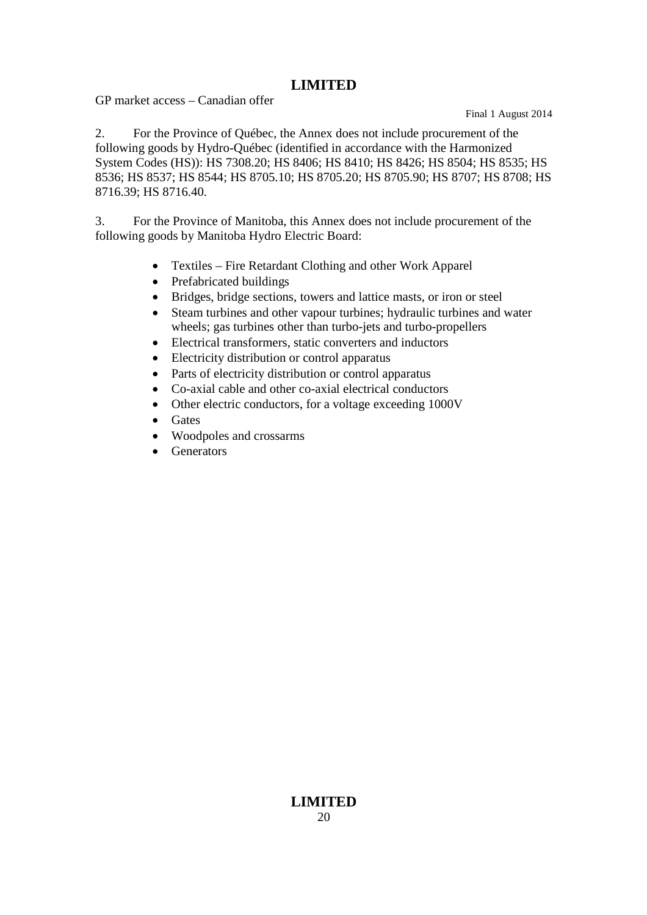GP market access – Canadian offer

Final 1 August 2014

2. For the Province of Québec, the Annex does not include procurement of the following goods by Hydro-Québec (identified in accordance with the Harmonized System Codes (HS)): HS 7308.20; HS 8406; HS 8410; HS 8426; HS 8504; HS 8535; HS 8536; HS 8537; HS 8544; HS 8705.10; HS 8705.20; HS 8705.90; HS 8707; HS 8708; HS 8716.39; HS 8716.40.

3. For the Province of Manitoba, this Annex does not include procurement of the following goods by Manitoba Hydro Electric Board:

- Textiles Fire Retardant Clothing and other Work Apparel
- Prefabricated buildings
- Bridges, bridge sections, towers and lattice masts, or iron or steel
- Steam turbines and other vapour turbines; hydraulic turbines and water wheels; gas turbines other than turbo-jets and turbo-propellers
- Electrical transformers, static converters and inductors
- Electricity distribution or control apparatus
- Parts of electricity distribution or control apparatus
- Co-axial cable and other co-axial electrical conductors
- Other electric conductors, for a voltage exceeding 1000V
- Gates
- Woodpoles and crossarms
- Generators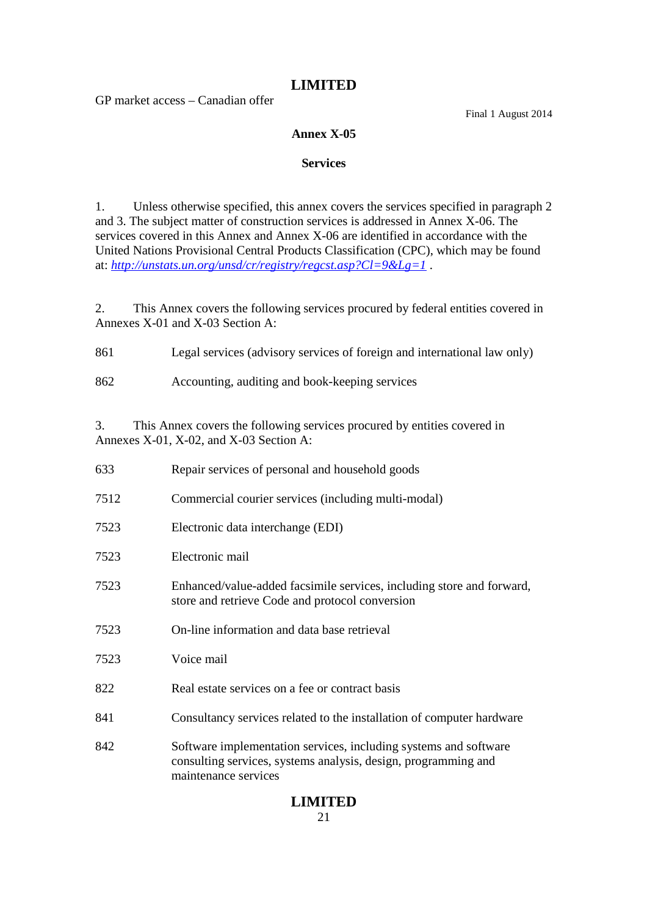GP market access – Canadian offer

Final 1 August 2014

### **Annex X-05**

### **Services**

1. Unless otherwise specified, this annex covers the services specified in paragraph 2 and 3. The subject matter of construction services is addressed in Annex X-06. The services covered in this Annex and Annex X-06 are identified in accordance with the United Nations Provisional Central Products Classification (CPC), which may be found at: *http://unstats.un.org/unsd/cr/registry/regcst.asp?Cl=9&Lg=1* .

2. This Annex covers the following services procured by federal entities covered in Annexes X-01 and X-03 Section A:

- 861 Legal services (advisory services of foreign and international law only)
- 862 Accounting, auditing and book-keeping services

3. This Annex covers the following services procured by entities covered in Annexes X-01, X-02, and X-03 Section A:

| 633  | Repair services of personal and household goods                                                                                                            |
|------|------------------------------------------------------------------------------------------------------------------------------------------------------------|
| 7512 | Commercial courier services (including multi-modal)                                                                                                        |
| 7523 | Electronic data interchange (EDI)                                                                                                                          |
| 7523 | Electronic mail                                                                                                                                            |
| 7523 | Enhanced/value-added facsimile services, including store and forward,<br>store and retrieve Code and protocol conversion                                   |
| 7523 | On-line information and data base retrieval                                                                                                                |
| 7523 | Voice mail                                                                                                                                                 |
| 822  | Real estate services on a fee or contract basis                                                                                                            |
| 841  | Consultancy services related to the installation of computer hardware                                                                                      |
| 842  | Software implementation services, including systems and software<br>consulting services, systems analysis, design, programming and<br>maintenance services |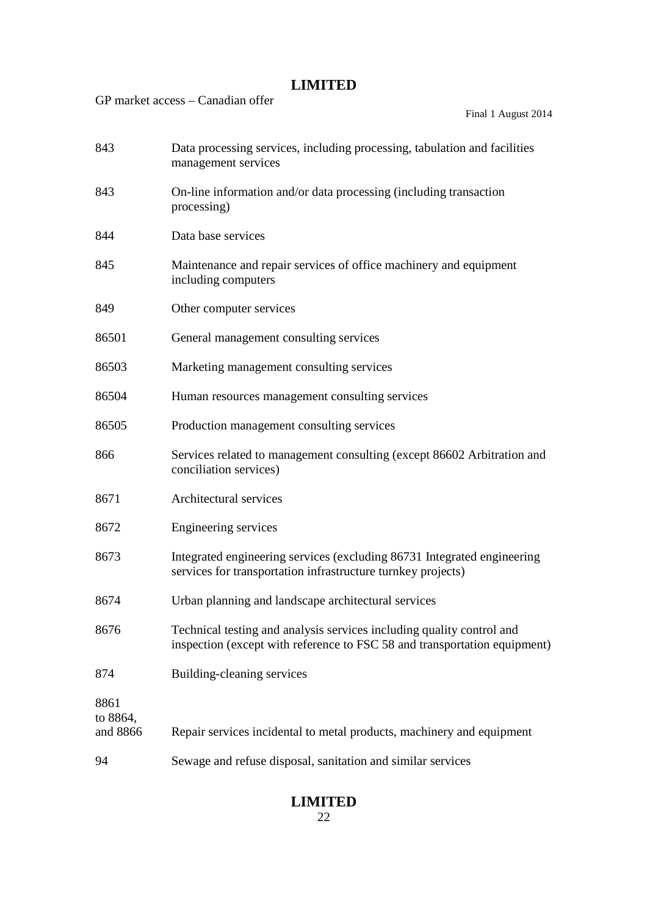|                              | GP market access – Canadian offer<br>Final 1 August 2014                                                                                           |
|------------------------------|----------------------------------------------------------------------------------------------------------------------------------------------------|
| 843                          | Data processing services, including processing, tabulation and facilities<br>management services                                                   |
| 843                          | On-line information and/or data processing (including transaction<br>processing)                                                                   |
| 844                          | Data base services                                                                                                                                 |
| 845                          | Maintenance and repair services of office machinery and equipment<br>including computers                                                           |
| 849                          | Other computer services                                                                                                                            |
| 86501                        | General management consulting services                                                                                                             |
| 86503                        | Marketing management consulting services                                                                                                           |
| 86504                        | Human resources management consulting services                                                                                                     |
| 86505                        | Production management consulting services                                                                                                          |
| 866                          | Services related to management consulting (except 86602 Arbitration and<br>conciliation services)                                                  |
| 8671                         | Architectural services                                                                                                                             |
| 8672                         | Engineering services                                                                                                                               |
| 8673                         | Integrated engineering services (excluding 86731 Integrated engineering<br>services for transportation infrastructure turnkey projects)            |
| 8674                         | Urban planning and landscape architectural services                                                                                                |
| 8676                         | Technical testing and analysis services including quality control and<br>inspection (except with reference to FSC 58 and transportation equipment) |
| 874                          | Building-cleaning services                                                                                                                         |
| 8861<br>to 8864,<br>and 8866 | Repair services incidental to metal products, machinery and equipment                                                                              |
| 94                           | Sewage and refuse disposal, sanitation and similar services                                                                                        |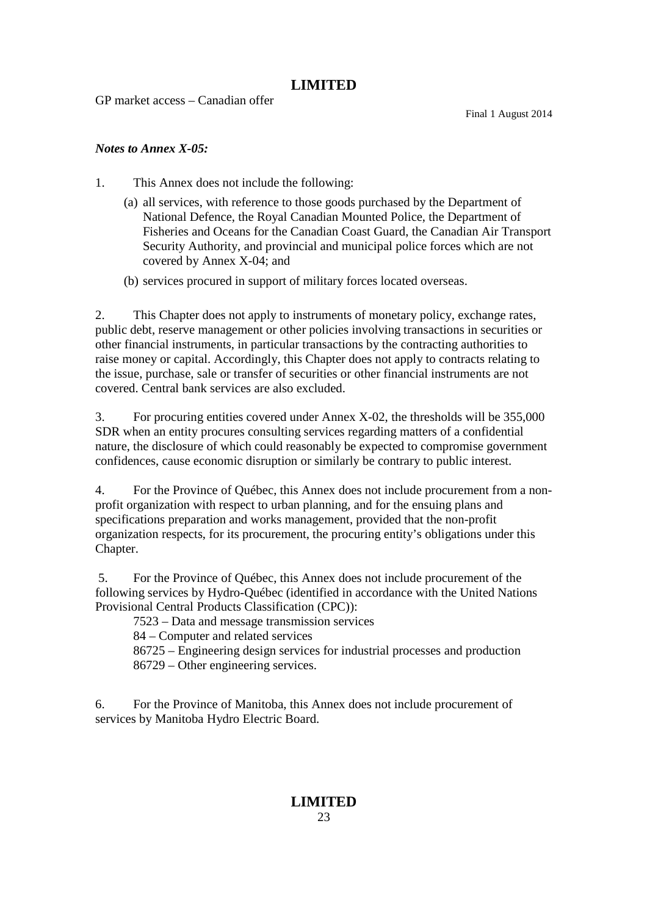GP market access – Canadian offer

Final 1 August 2014

### *Notes to Annex X-05:*

- 1. This Annex does not include the following:
	- (a) all services, with reference to those goods purchased by the Department of National Defence, the Royal Canadian Mounted Police, the Department of Fisheries and Oceans for the Canadian Coast Guard, the Canadian Air Transport Security Authority, and provincial and municipal police forces which are not covered by Annex X-04; and
	- (b) services procured in support of military forces located overseas.

2. This Chapter does not apply to instruments of monetary policy, exchange rates, public debt, reserve management or other policies involving transactions in securities or other financial instruments, in particular transactions by the contracting authorities to raise money or capital. Accordingly, this Chapter does not apply to contracts relating to the issue, purchase, sale or transfer of securities or other financial instruments are not covered. Central bank services are also excluded.

3. For procuring entities covered under Annex X-02, the thresholds will be 355,000 SDR when an entity procures consulting services regarding matters of a confidential nature, the disclosure of which could reasonably be expected to compromise government confidences, cause economic disruption or similarly be contrary to public interest.

4. For the Province of Québec, this Annex does not include procurement from a nonprofit organization with respect to urban planning, and for the ensuing plans and specifications preparation and works management, provided that the non-profit organization respects, for its procurement, the procuring entity's obligations under this Chapter.

5. For the Province of Québec, this Annex does not include procurement of the following services by Hydro-Québec (identified in accordance with the United Nations Provisional Central Products Classification (CPC)):

7523 – Data and message transmission services

84 – Computer and related services

86725 – Engineering design services for industrial processes and production

86729 – Other engineering services.

6. For the Province of Manitoba, this Annex does not include procurement of services by Manitoba Hydro Electric Board.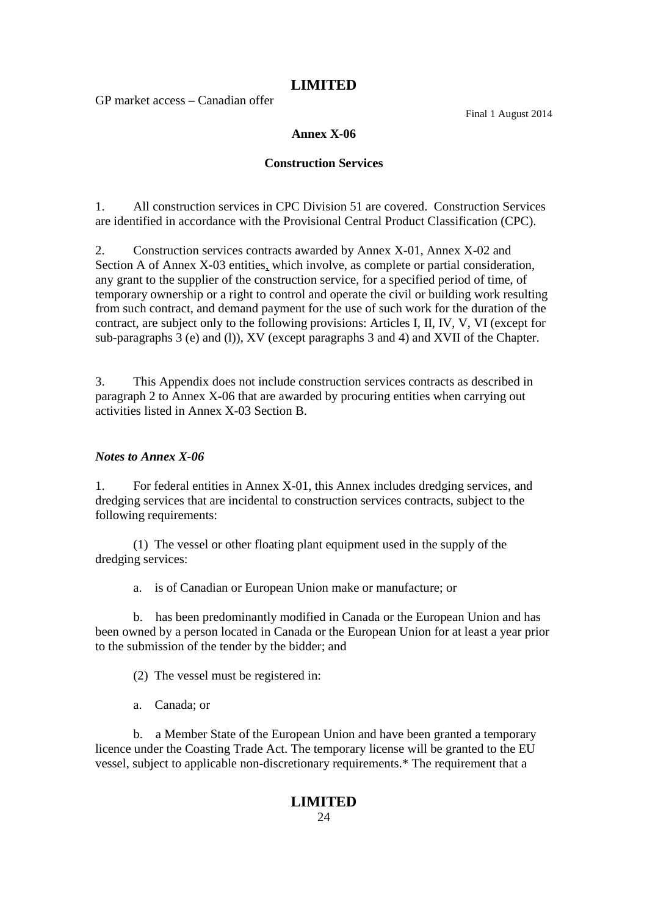GP market access – Canadian offer

Final 1 August 2014

### **Annex X-06**

### **Construction Services**

1. All construction services in CPC Division 51 are covered. Construction Services are identified in accordance with the Provisional Central Product Classification (CPC).

2. Construction services contracts awarded by Annex X-01, Annex X-02 and Section A of Annex X-03 entities, which involve, as complete or partial consideration, any grant to the supplier of the construction service, for a specified period of time, of temporary ownership or a right to control and operate the civil or building work resulting from such contract, and demand payment for the use of such work for the duration of the contract, are subject only to the following provisions: Articles I, II, IV, V, VI (except for sub-paragraphs 3 (e) and (l)), XV (except paragraphs 3 and 4) and XVII of the Chapter.

3. This Appendix does not include construction services contracts as described in paragraph 2 to Annex X-06 that are awarded by procuring entities when carrying out activities listed in Annex X-03 Section B.

### *Notes to Annex X-06*

1. For federal entities in Annex X-01, this Annex includes dredging services, and dredging services that are incidental to construction services contracts, subject to the following requirements:

(1) The vessel or other floating plant equipment used in the supply of the dredging services:

a. is of Canadian or European Union make or manufacture; or

b. has been predominantly modified in Canada or the European Union and has been owned by a person located in Canada or the European Union for at least a year prior to the submission of the tender by the bidder; and

(2) The vessel must be registered in:

a. Canada; or

b. a Member State of the European Union and have been granted a temporary licence under the Coasting Trade Act. The temporary license will be granted to the EU vessel, subject to applicable non-discretionary requirements.\* The requirement that a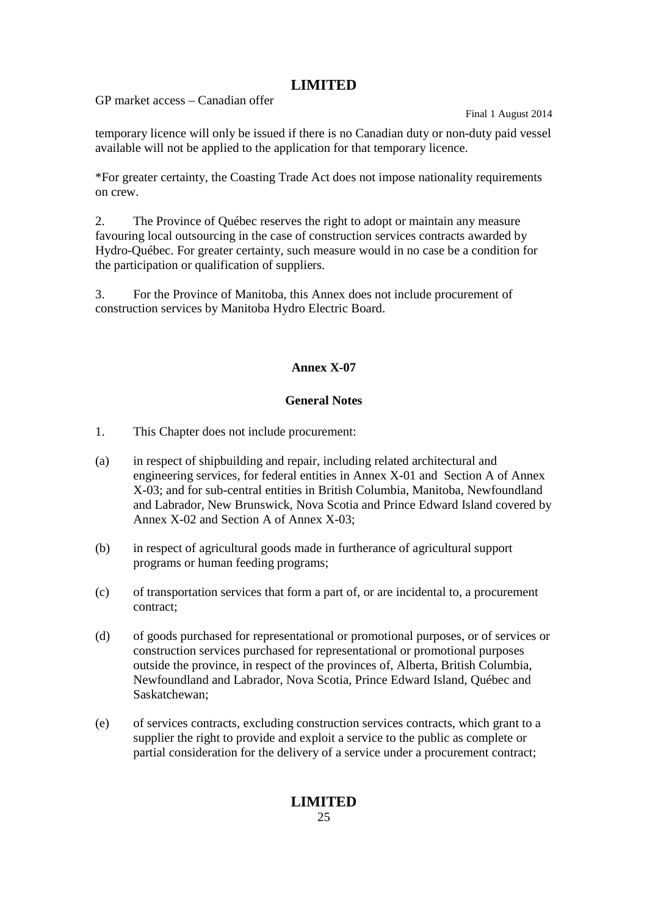GP market access – Canadian offer

Final 1 August 2014

temporary licence will only be issued if there is no Canadian duty or non-duty paid vessel available will not be applied to the application for that temporary licence.

\*For greater certainty, the Coasting Trade Act does not impose nationality requirements on crew.

2. The Province of Québec reserves the right to adopt or maintain any measure favouring local outsourcing in the case of construction services contracts awarded by Hydro-Québec. For greater certainty, such measure would in no case be a condition for the participation or qualification of suppliers.

3. For the Province of Manitoba, this Annex does not include procurement of construction services by Manitoba Hydro Electric Board.

# **Annex X-07**

### **General Notes**

- 1. This Chapter does not include procurement:
- (a) in respect of shipbuilding and repair, including related architectural and engineering services, for federal entities in Annex X-01 and Section A of Annex X-03; and for sub-central entities in British Columbia, Manitoba, Newfoundland and Labrador, New Brunswick, Nova Scotia and Prince Edward Island covered by Annex X-02 and Section A of Annex X-03;
- (b) in respect of agricultural goods made in furtherance of agricultural support programs or human feeding programs;
- (c) of transportation services that form a part of, or are incidental to, a procurement contract;
- (d) of goods purchased for representational or promotional purposes, or of services or construction services purchased for representational or promotional purposes outside the province, in respect of the provinces of, Alberta, British Columbia, Newfoundland and Labrador, Nova Scotia, Prince Edward Island, Québec and Saskatchewan;
- (e) of services contracts, excluding construction services contracts, which grant to a supplier the right to provide and exploit a service to the public as complete or partial consideration for the delivery of a service under a procurement contract;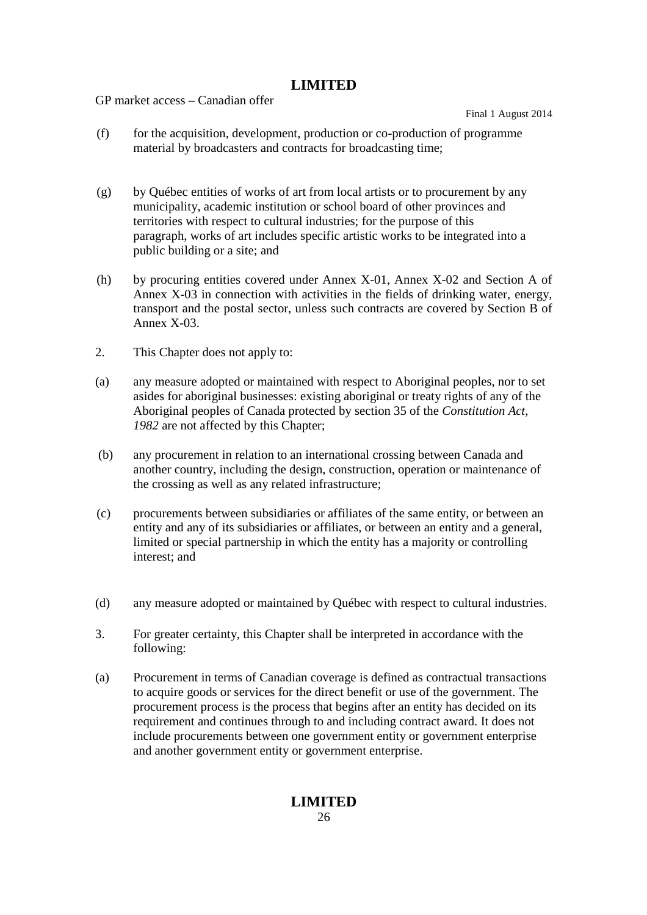GP market access – Canadian offer

Final 1 August 2014

- (f) for the acquisition, development, production or co-production of programme material by broadcasters and contracts for broadcasting time;
- (g) by Québec entities of works of art from local artists or to procurement by any municipality, academic institution or school board of other provinces and territories with respect to cultural industries; for the purpose of this paragraph, works of art includes specific artistic works to be integrated into a public building or a site; and
- (h) by procuring entities covered under Annex X-01, Annex X-02 and Section A of Annex X-03 in connection with activities in the fields of drinking water, energy, transport and the postal sector, unless such contracts are covered by Section B of Annex X-03.
- 2. This Chapter does not apply to:
- (a) any measure adopted or maintained with respect to Aboriginal peoples, nor to set asides for aboriginal businesses: existing aboriginal or treaty rights of any of the Aboriginal peoples of Canada protected by section 35 of the *Constitution Act, 1982* are not affected by this Chapter;
- (b) any procurement in relation to an international crossing between Canada and another country, including the design, construction, operation or maintenance of the crossing as well as any related infrastructure;
- (c) procurements between subsidiaries or affiliates of the same entity, or between an entity and any of its subsidiaries or affiliates, or between an entity and a general, limited or special partnership in which the entity has a majority or controlling interest; and
- (d) any measure adopted or maintained by Québec with respect to cultural industries.
- 3. For greater certainty, this Chapter shall be interpreted in accordance with the following:
- (a) Procurement in terms of Canadian coverage is defined as contractual transactions to acquire goods or services for the direct benefit or use of the government. The procurement process is the process that begins after an entity has decided on its requirement and continues through to and including contract award. It does not include procurements between one government entity or government enterprise and another government entity or government enterprise.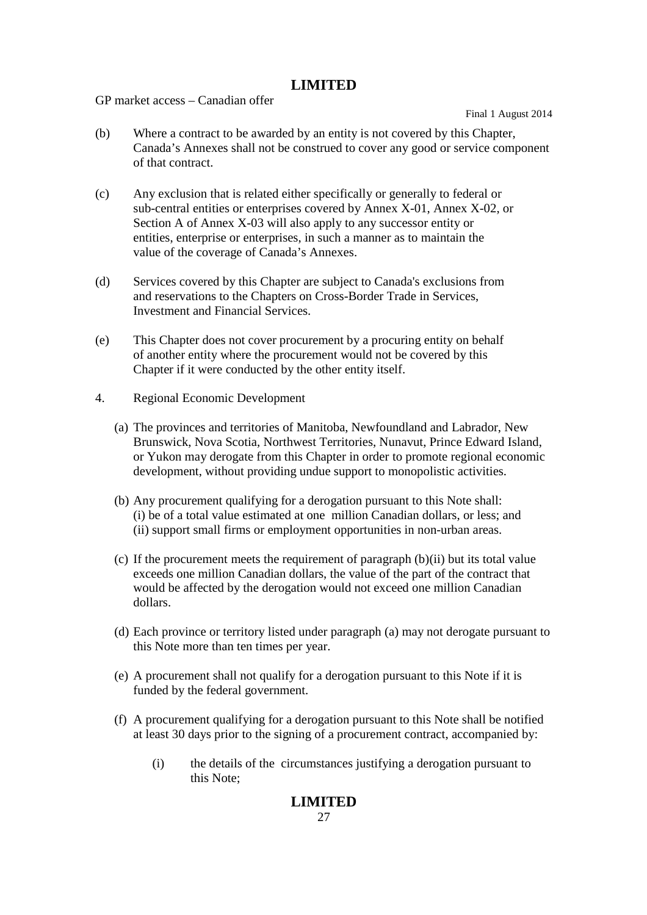GP market access – Canadian offer

Final 1 August 2014

- (b) Where a contract to be awarded by an entity is not covered by this Chapter, Canada's Annexes shall not be construed to cover any good or service component of that contract.
- (c) Any exclusion that is related either specifically or generally to federal or sub-central entities or enterprises covered by Annex X-01, Annex X-02, or Section A of Annex X-03 will also apply to any successor entity or entities, enterprise or enterprises, in such a manner as to maintain the value of the coverage of Canada's Annexes.
- (d) Services covered by this Chapter are subject to Canada's exclusions from and reservations to the Chapters on Cross-Border Trade in Services, Investment and Financial Services.
- (e) This Chapter does not cover procurement by a procuring entity on behalf of another entity where the procurement would not be covered by this Chapter if it were conducted by the other entity itself.
- 4. Regional Economic Development
	- (a) The provinces and territories of Manitoba, Newfoundland and Labrador, New Brunswick, Nova Scotia, Northwest Territories, Nunavut, Prince Edward Island, or Yukon may derogate from this Chapter in order to promote regional economic development, without providing undue support to monopolistic activities.
	- (b) Any procurement qualifying for a derogation pursuant to this Note shall: (i) be of a total value estimated at one million Canadian dollars, or less; and (ii) support small firms or employment opportunities in non-urban areas.
	- (c) If the procurement meets the requirement of paragraph (b)(ii) but its total value exceeds one million Canadian dollars, the value of the part of the contract that would be affected by the derogation would not exceed one million Canadian dollars.
	- (d) Each province or territory listed under paragraph (a) may not derogate pursuant to this Note more than ten times per year.
	- (e) A procurement shall not qualify for a derogation pursuant to this Note if it is funded by the federal government.
	- (f) A procurement qualifying for a derogation pursuant to this Note shall be notified at least 30 days prior to the signing of a procurement contract, accompanied by:
		- (i) the details of the circumstances justifying a derogation pursuant to this Note;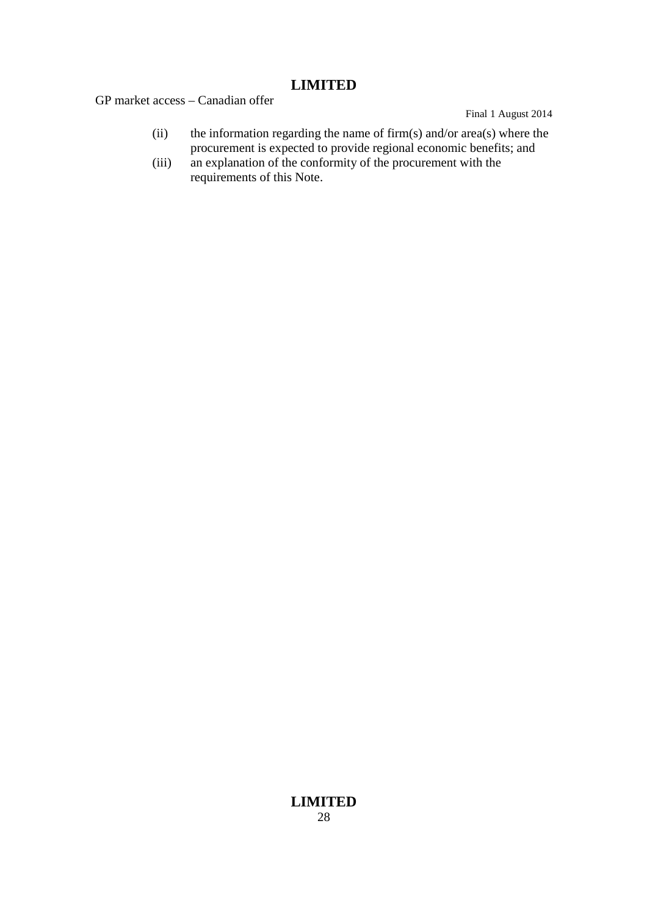GP market access – Canadian offer

Final 1 August 2014

- (ii) the information regarding the name of firm(s) and/or area(s) where the procurement is expected to provide regional economic benefits; and
- (iii) an explanation of the conformity of the procurement with the requirements of this Note.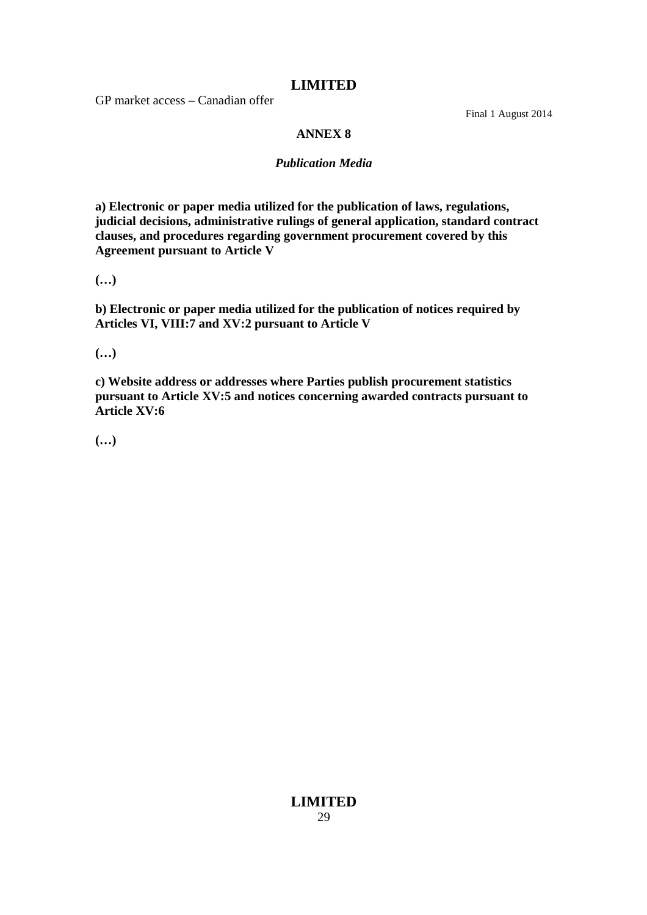GP market access – Canadian offer

Final 1 August 2014

### **ANNEX 8**

### *Publication Media*

**a) Electronic or paper media utilized for the publication of laws, regulations, judicial decisions, administrative rulings of general application, standard contract clauses, and procedures regarding government procurement covered by this Agreement pursuant to Article V**

**(…)**

**b) Electronic or paper media utilized for the publication of notices required by Articles VI, VIII:7 and XV:2 pursuant to Article V**

**(…)**

**c) Website address or addresses where Parties publish procurement statistics pursuant to Article XV:5 and notices concerning awarded contracts pursuant to Article XV:6**

**(…)**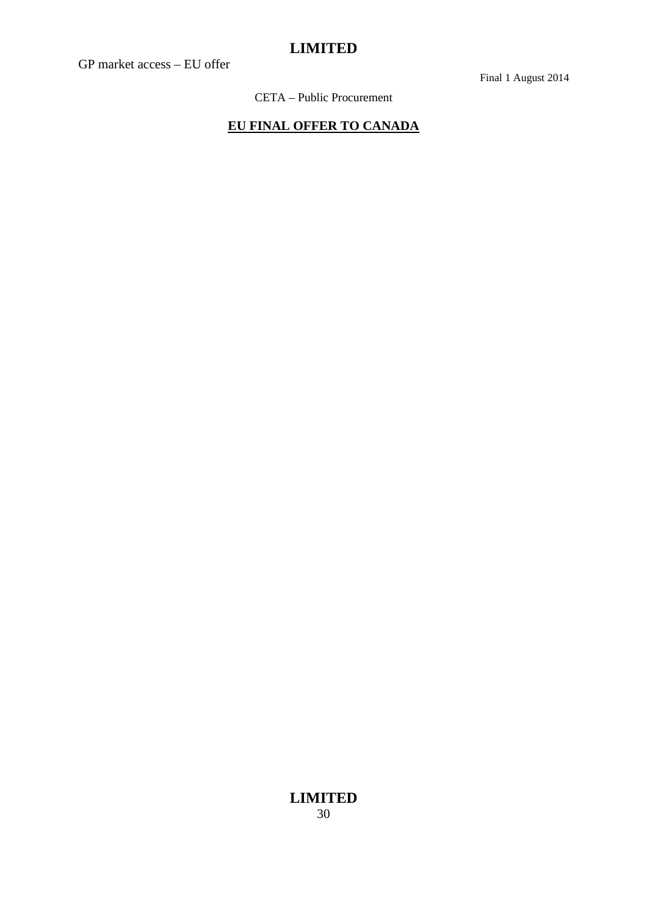GP market access – EU offer

Final 1 August 2014

CETA – Public Procurement

# **EU FINAL OFFER TO CANADA**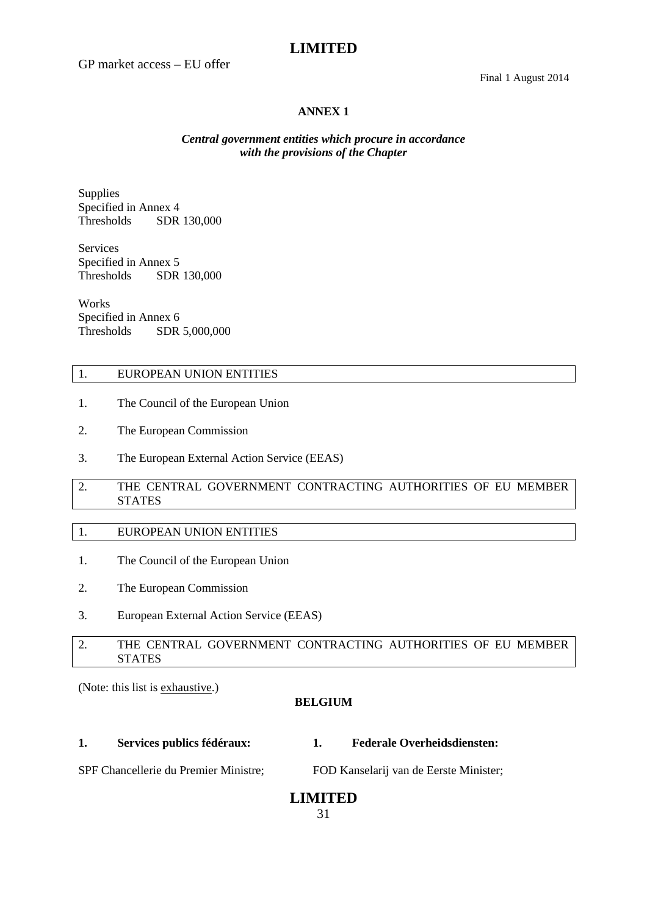GP market access – EU offer

#### **ANNEX 1**

### *Central government entities which procure in accordance with the provisions of the Chapter*

Supplies Specified in Annex 4<br>Thresholds SDR SDR 130,000

Services Specified in Annex 5 Thresholds SDR 130,000

**Works** Specified in Annex 6 Thresholds SDR 5,000,000

#### 1. EUROPEAN UNION ENTITIES

- 1. The Council of the European Union
- 2. The European Commission
- 3. The European External Action Service (EEAS)
- 2. THE CENTRAL GOVERNMENT CONTRACTING AUTHORITIES OF EU MEMBER STATES

### 1. EUROPEAN UNION ENTITIES

- 1. The Council of the European Union
- 2. The European Commission
- 3. European External Action Service (EEAS)

### 2. THE CENTRAL GOVERNMENT CONTRACTING AUTHORITIES OF EU MEMBER STATES

(Note: this list is exhaustive.)

#### **BELGIUM**

**1. Services publics fédéraux: 1. Federale Overheidsdiensten:**

SPF Chancellerie du Premier Ministre; FOD Kanselarij van de Eerste Minister;

# **LIMITED**

31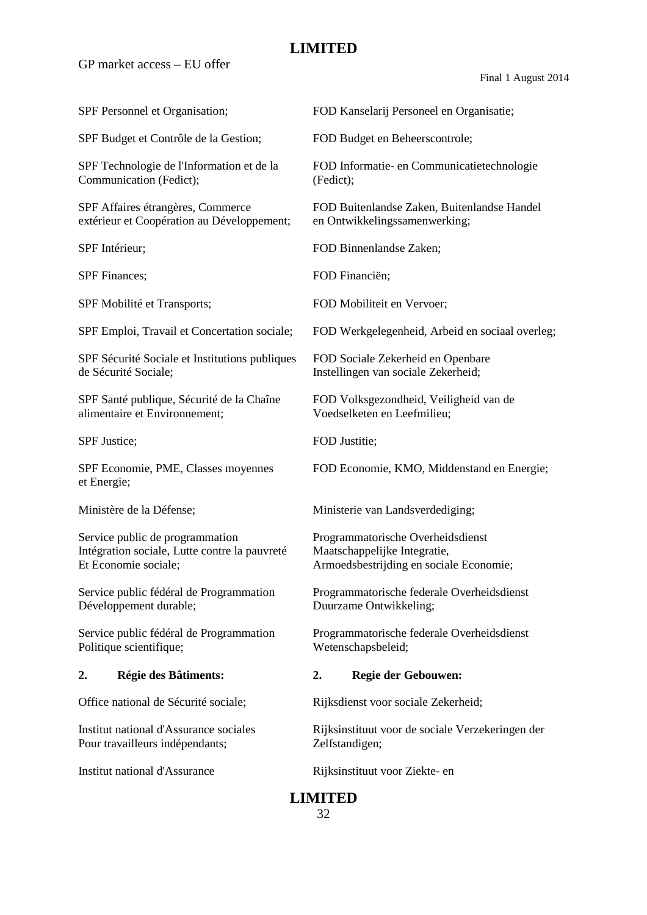GP market access – EU offer

Final 1 August 2014

SPF Budget et Contrôle de la Gestion; FOD Budget en Beheerscontrole;

Communication (Fedict); (Fedict);

extérieur et Coopération au Développement; en Ontwikkelingssamenwerking;

SPF Mobilité et Transports; FOD Mobiliteit en Vervoer;

SPF Sécurité Sociale et Institutions publiques FOD Sociale Zekerheid en Openbare de Sécurité Sociale; Instellingen van sociale Zekerheid;

SPF Santé publique, Sécurité de la Chaîne FOD Volksgezondheid, Veiligheid van de alimentaire et Environnement; Voedselketen en Leefmilieu;

et Energie;

Service public de programmation Programmatorische Overheidsdienst Intégration sociale, Lutte contre la pauvreté Maatschappelijke Integratie, Et Economie sociale; Armoedsbestrijding en sociale Economie;

Développement durable; Duurzame Ontwikkeling;

Politique scientifique; Wetenschapsbeleid;

Pour travailleurs indépendants; <br>  $Zelfstandigen;$ 

SPF Personnel et Organisation; FOD Kanselarij Personeel en Organisatie;

SPF Technologie de l'Information et de la FOD Informatie- en Communicatietechnologie

SPF Affaires étrangères, Commerce FOD Buitenlandse Zaken, Buitenlandse Handel

SPF Intérieur: FOD Binnenlandse Zaken;

SPF Finances; FOD Financiën;

SPF Emploi, Travail et Concertation sociale; FOD Werkgelegenheid, Arbeid en sociaal overleg;

SPF Justice: FOD Justitie:

SPF Economie, PME, Classes moyennes FOD Economie, KMO, Middenstand en Energie;

Ministère de la Défense; Ministerie van Landsverdediging;

Service public fédéral de Programmation Programmatorische federale Overheidsdienst

Service public fédéral de Programmation Programmatorische federale Overheidsdienst

### **2. Régie des Bâtiments: 2. Regie der Gebouwen:**

Office national de Sécurité sociale; Rijksdienst voor sociale Zekerheid;

Institut national d'Assurance sociales Rijksinstituut voor de sociale Verzekeringen der

Institut national d'Assurance Rijksinstituut voor Ziekte- en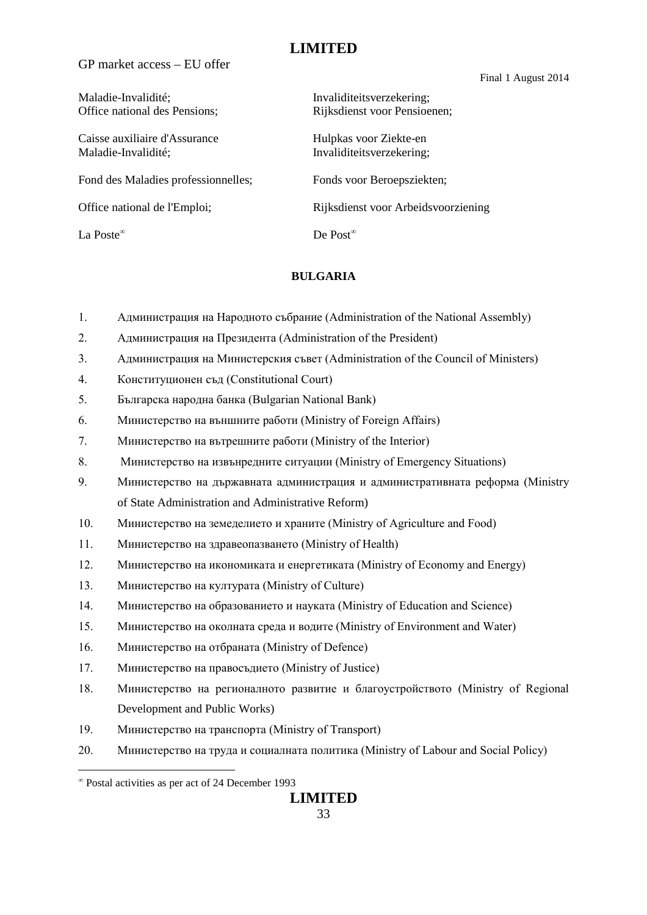GP market access – EU offer

Final 1 August 2014

| Maladie-Invalidité;<br>Office national des Pensions; | Invaliditeitsverzekering;<br>Rijksdienst voor Pensioenen; |
|------------------------------------------------------|-----------------------------------------------------------|
| Caisse auxiliaire d'Assurance<br>Maladie-Invalidité; | Hulpkas voor Ziekte-en<br>Invaliditeitsverzekering;       |
| Fond des Maladies professionnelles;                  | Fonds voor Beroepsziekten;                                |
| Office national de l'Emploi;                         | Rijksdienst voor Arbeidsvoorziening                       |
| La Poste $^\infty$                                   | De Post <sup><math>\infty</math></sup>                    |
|                                                      |                                                           |

### **BULGARIA**

- 1. Администрация на Народното събрание (Administration of the National Assembly)
- 2. Администрация на Президента (Administration of the President)
- 3. Администрация на Министерския съвет (Administration of the Council of Ministers)
- 4. Конституционен съд (Constitutional Court)
- 5. Българска народна банка (Bulgarian National Bank)
- 6. Министерство на външните работи (Ministry of Foreign Affairs)
- 7. Министерство на вътрешните работи (Ministry of the Interior)
- 8. Министерство на извънредните ситуации (Ministry of Еmergency Situations)
- 9. Министерство на държавната администрация и административната реформа (Ministry of State Administration and Administrative Reform)
- 10. Министерство на земеделието и храните (Ministry of Agriculture and Food)
- 11. Министерство на здравеопазването (Ministry of Health)
- 12. Министерство на икономиката и енергетиката (Ministry of Economy and Energy)
- 13. Министерство на културата (Ministry of Culture)
- 14. Министерство на образованието и науката (Ministry of Education and Science)
- 15. Министерство на околната среда и водите (Ministry of Environment and Water)
- 16. Министерство на отбраната (Ministry of Defence)
- 17. Министерство на правосъдието (Ministry of Justice)
- 18. Министерство на регионалното развитие и благоустройството (Ministry of Regional Development and Public Works)
- 19. Министерство на транспорта (Ministry of Transport)
- 20. Министерство на труда и социалната политика (Ministry of Labour and Social Policy)

<sup>∞</sup> Postal activities as per act of 24 December 1993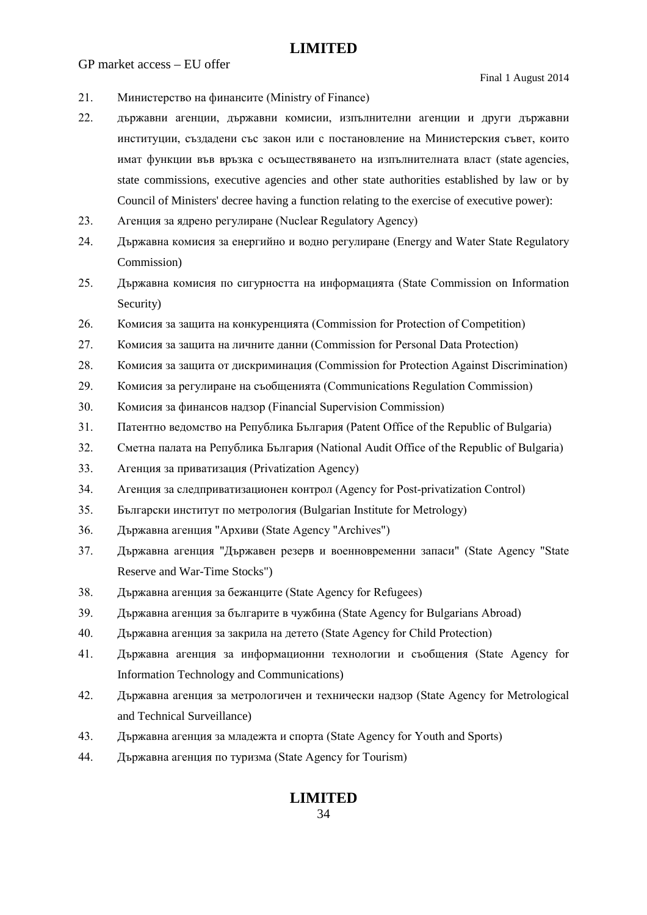GP market access – EU offer

- 21. Министерство на финансите (Ministry of Finance)
- 22. държавни агенции, държавни комисии, изпълнителни агенции и други държавни институции, създадени със закон или с постановление на Министерския съвет, които имат функции във връзка с осъществяването на изпълнителната власт (state agencies, state commissions, executive agencies and other state authorities established by law or by Council of Ministers' decree having a function relating to the exercise of executive power):
- 23. Агенция за ядрено регулиране (Nuclear Regulatory Agency)
- 24. Държавна комисия за енергийно и водно регулиране (Energy and Water State Regulatory Commission)
- 25. Държавна комисия по сигурността на информацията (State Commission on Information Security)
- 26. Комисия за защита на конкуренцията (Commission for Protection of Competition)
- 27. Комисия за защита на личните данни (Commission for Personal Data Protection)
- 28. Комисия за защита от дискриминация (Commission for Protection Against Discrimination)
- 29. Комисия за регулиране на съобщенията (Communications Regulation Commission)
- 30. Комисия за финансов надзор (Financial Supervision Commission)
- 31. Патентно ведомство на Република България (Patent Office of the Republic of Bulgaria)
- 32. Сметна палата на Република България (National Audit Office of the Republic of Bulgaria)
- 33. Агенция за приватизация (Privatization Agency)
- 34. Агенция за следприватизационен контрол (Agency for Post-privatization Control)
- 35. Български институт по метрология (Bulgarian Institute for Metrology)
- 36. Държавна агенция "Архиви (State Agency "Archives")
- 37. Държавна агенция "Държавен резерв и военновременни запаси" (State Agency "State Reserve and War-Time Stocks")
- 38. Държавна агенция за бежанците (State Agency for Refugees)
- 39. Държавна агенция за българите в чужбина (State Agency for Bulgarians Abroad)
- 40. Държавна агенция за закрила на детето (State Agency for Child Protection)
- 41. Държавна агенция за информационни технологии и съобщения (State Agency for Information Technology and Communications)
- 42. Държавна агенция за метрологичен и технически надзор (State Agency for Metrological and Technical Surveillance)
- 43. Държавна агенция за младежта и спорта (State Agency for Youth and Sports)
- 44. Държавна агенция по туризма (State Agency for Tourism)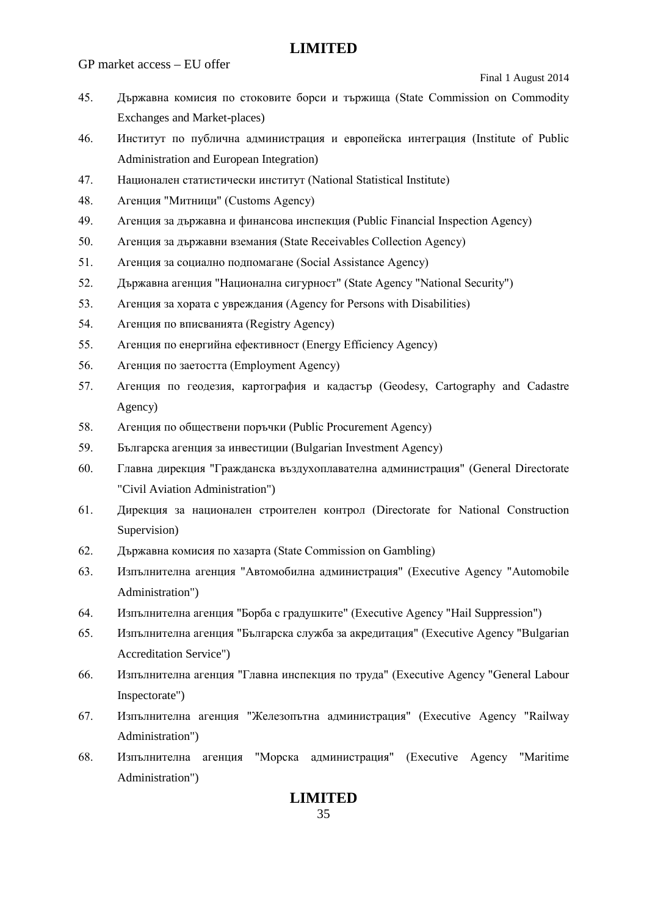GP market access – EU offer

Final 1 August 2014

- 45. Държавна комисия по стоковите борси и тържища (State Commission on Commodity Exchanges and Market-places)
- 46. Институт по публична администрация и европейска интеграция (Institute of Public Administration and European Integration)
- 47. Национален статистически институт (National Statistical Institute)
- 48. Агенция "Митници" (Customs Agency)
- 49. Агенция за държавна и финансова инспекция (Public Financial Inspection Agency)
- 50. Агенция за държавни вземания (State Receivables Collection Agency)
- 51. Агенция за социално подпомагане (Social Assistance Agency)
- 52. Държавна агенция "Национална сигурност" (State Agency "National Security")
- 53. Агенция за хората с увреждания (Agency for Persons with Disabilities)
- 54. Агенция по вписванията (Registry Agency)
- 55. Агенция по енергийна ефективност (Energy Efficiency Agency)
- 56. Агенция по заетостта (Employment Agency)
- 57. Агенция по геодезия, картография и кадастър (Geodesy, Cartography and Cadastre Agency)
- 58. Агенция по обществени поръчки (Public Procurement Agency)
- 59. Българска агенция за инвестиции (Bulgarian Investment Agency)
- 60. Главна дирекция "Гражданска въздухоплавателна администрация" (General Directorate "Civil Aviation Administration")
- 61. Дирекция за национален строителен контрол (Directorate for National Construction Supervision)
- 62. Държавна комисия по хазарта (State Commission on Gambling)
- 63. Изпълнителна агенция "Автомобилна администрация" (Executive Agency "Automobile Administration")
- 64. Изпълнителна агенция "Борба с градушките" (Executive Agency "Hail Suppression")
- 65. Изпълнителна агенция "Българска служба за акредитация" (Executive Agency "Bulgarian Accreditation Service")
- 66. Изпълнителна агенция "Главна инспекция по труда" (Executive Agency "General Labour Inspectorate")
- 67. Изпълнителна агенция "Железопътна администрация" (Executive Agency "Railway Administration")
- 68. Изпълнителна агенция "Морска администрация" (Executive Agency "Maritime Administration")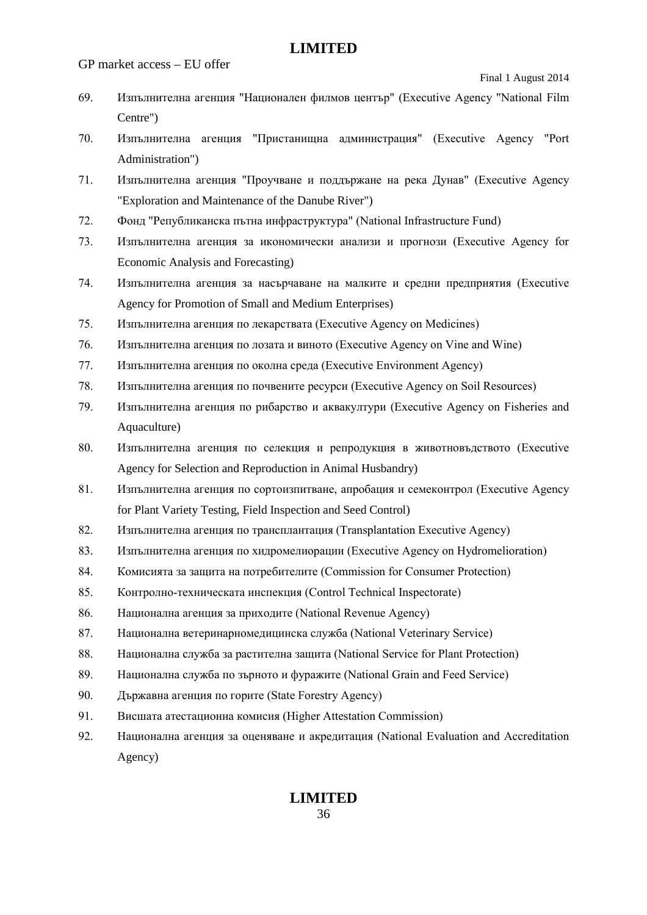GP market access – EU offer

Final 1 August 2014

- 69. Изпълнителна агенция "Национален филмов център" (Executive Agency "National Film Centre")
- 70. Изпълнителна агенция "Пристанищна администрация" (Executive Agency "Port Administration")
- 71. Изпълнителна агенция "Проучване и поддържане на река Дунав" (Executive Agency "Exploration and Maintenance of the Danube River")
- 72. Фонд "Републиканска пътна инфраструктура" (National Infrastructure Fund)
- 73. Изпълнителна агенция за икономически анализи и прогнози (Executive Agency for Economic Analysis and Forecasting)
- 74. Изпълнителна агенция за насърчаване на малките и средни предприятия (Executive Agency for Promotion of Small and Medium Enterprises)
- 75. Изпълнителна агенция по лекарствата (Executive Agency on Medicines)
- 76. Изпълнителна агенция по лозата и виното (Executive Agency on Vine and Wine)
- 77. Изпълнителна агенция по околна среда (Executive Environment Agency)
- 78. Изпълнителна агенция по почвените ресурси (Executive Agency on Soil Resources)
- 79. Изпълнителна агенция по рибарство и аквакултури (Executive Agency on Fisheries and Aquaculture)
- 80. Изпълнителна агенция по селекция и репродукция в животновъдството (Executive Agency for Selection and Reproduction in Animal Husbandry)
- 81. Изпълнителна агенция по сортоизпитване, апробация и семеконтрол (Executive Agency for Plant Variety Testing, Field Inspection and Seed Control)
- 82. Изпълнителна агенция по трансплантация (Transplantation Executive Agency)
- 83. Изпълнителна агенция по хидромелиорации (Executive Agency on Hydromelioration)
- 84. Комисията за защита на потребителите (Commission for Consumer Protection)
- 85. Контролно-техническата инспекция (Control Technical Inspectorate)
- 86. Национална агенция за приходите (National Revenue Agency)
- 87. Национална ветеринарномедицинска служба (National Veterinary Service)
- 88. Национална служба за растителна защита (National Service for Plant Protection)
- 89. Национална служба по зърното и фуражите (National Grain and Feed Service)
- 90. Държавна агенция по горите (State Forestry Agency)
- 91. Висшата атестационна комисия (Higher Attestation Commission)
- 92. Национална агенция за оценяване и акредитация (National Evaluation and Accreditation Agency)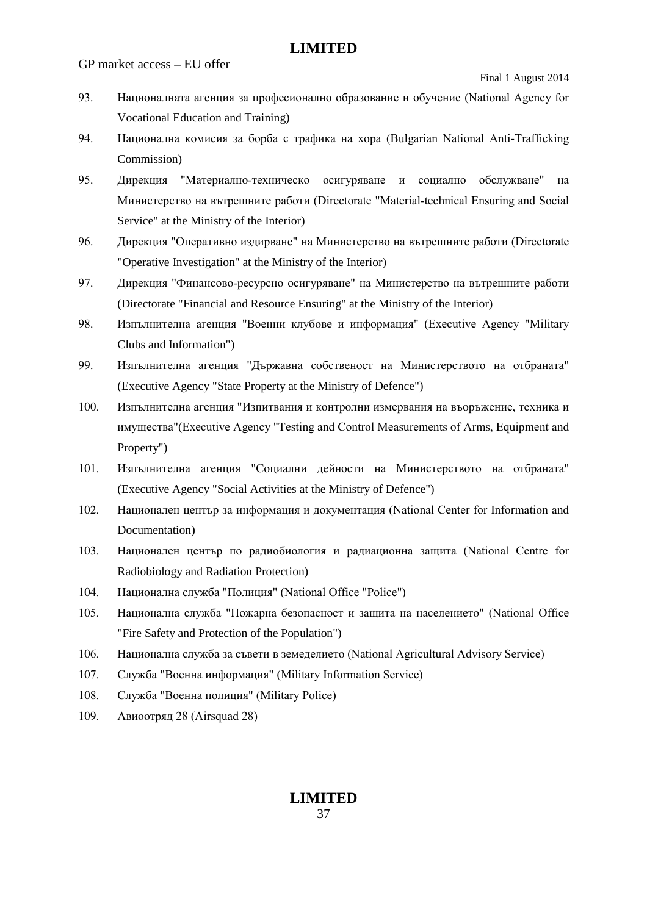GP market access – EU offer

Final 1 August 2014

- 93. Националната агенция за професионално образование и обучение (National Agency for Vocational Education and Training)
- 94. Национална комисия за борба с трафика на хора (Bulgarian National Anti-Trafficking Commission)
- 95. Дирекция "Материално-техническо осигуряване и социално обслужване" на Министерство на вътрешните работи (Directorate "Material-technical Ensuring and Social Service" at the Ministry of the Interior)
- 96. Дирекция "Оперативно издирване" на Министерство на вътрешните работи (Directorate "Operative Investigation" at the Ministry of the Interior)
- 97. Дирекция "Финансово-ресурсно осигуряване" на Министерство на вътрешните работи (Directorate "Financial and Resource Ensuring" at the Ministry of the Interior)
- 98. Изпълнителна агенция "Военни клубове и информация" (Executive Agency "Military Clubs and Information")
- 99. Изпълнителна агенция "Държавна собственост на Министерството на отбраната" (Executive Agency "State Property at the Ministry of Defence")
- 100. Изпълнителна агенция "Изпитвания и контролни измервания на въоръжение, техника и имущества"(Executive Agency "Testing and Control Measurements of Arms, Equipment and Property")
- 101. Изпълнителна агенция "Социални дейности на Министерството на отбраната" (Executive Agency "Social Activities at the Ministry of Defence")
- 102. Национален център за информация и документация (National Center for Information and Documentation)
- 103. Национален център по радиобиология и радиационна защита (National Centre for Radiobiology and Radiation Protection)
- 104. Национална служба "Полиция" (National Office "Police")
- 105. Национална служба "Пожарна безопасност и защита на населението" (National Office "Fire Safety and Protection of the Population")
- 106. Национална служба за съвети в земеделието (National Agricultural Advisory Service)
- 107. Служба "Военна информация" (Military Information Service)
- 108. Служба "Военна полиция" (Military Police)
- 109. Авиоотряд 28 (Airsquad 28)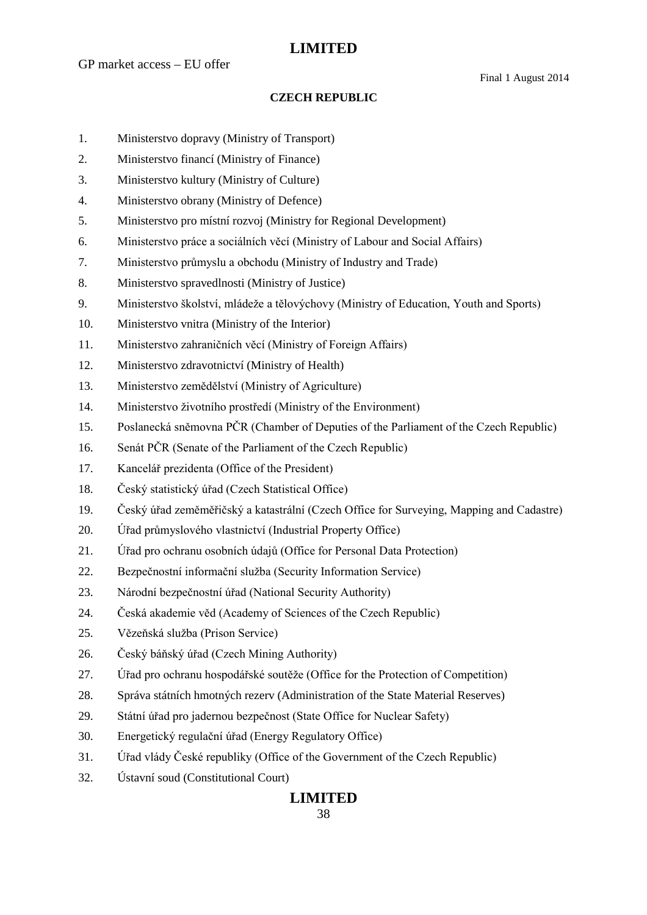Final 1 August 2014

### **CZECH REPUBLIC**

- 1. Ministerstvo dopravy (Ministry of Transport)
- 2. Ministerstvo financí (Ministry of Finance)
- 3. Ministerstvo kultury (Ministry of Culture)
- 4. Ministerstvo obrany (Ministry of Defence)
- 5. Ministerstvo pro místní rozvoj (Ministry for Regional Development)
- 6. Ministerstvo práce a sociálních věcí (Ministry of Labour and Social Affairs)
- 7. Ministerstvo průmyslu a obchodu (Ministry of Industry and Trade)
- 8. Ministerstvo spravedlnosti (Ministry of Justice)
- 9. Ministerstvo školství, mládeže a tělovýchovy (Ministry of Education, Youth and Sports)
- 10. Ministerstvo vnitra (Ministry of the Interior)
- 11. Ministerstvo zahraničních věcí (Ministry of Foreign Affairs)
- 12. Ministerstvo zdravotnictví (Ministry of Health)
- 13. Ministerstvo zemědělství (Ministry of Agriculture)
- 14. Ministerstvo životního prostředí (Ministry of the Environment)
- 15. Poslanecká sněmovna PČR (Chamber of Deputies of the Parliament of the Czech Republic)
- 16. Senát PČR (Senate of the Parliament of the Czech Republic)
- 17. Kancelář prezidenta (Office of the President)
- 18. Český statistický úřad (Czech Statistical Office)
- 19. Český úřad zeměměřičský a katastrální (Czech Office for Surveying, Mapping and Cadastre)
- 20. Úřad průmyslového vlastnictví (Industrial Property Office)
- 21. Úřad pro ochranu osobních údajů (Office for Personal Data Protection)
- 22. Bezpečnostní informační služba (Security Information Service)
- 23. Národní bezpečnostní úřad (National Security Authority)
- 24. Česká akademie věd (Academy of Sciences of the Czech Republic)
- 25. Vězeňská služba (Prison Service)
- 26. Český báňský úřad (Czech Mining Authority)
- 27. Úřad pro ochranu hospodářské soutěže (Office for the Protection of Competition)
- 28. Správa státních hmotných rezerv (Administration of the State Material Reserves)
- 29. Státní úřad pro jadernou bezpečnost (State Office for Nuclear Safety)
- 30. Energetický regulační úřad (Energy Regulatory Office)
- 31. Úřad vlády České republiky (Office of the Government of the Czech Republic)
- 32. Ústavní soud (Constitutional Court)

## **LIMITED**

### 38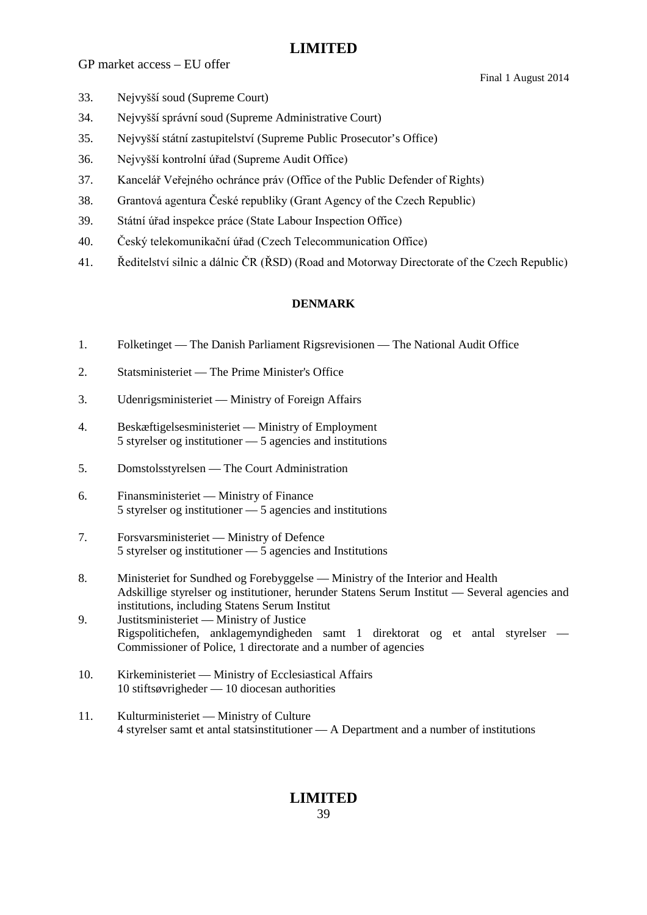GP market access – EU offer

Final 1 August 2014

- 33. Nejvyšší soud (Supreme Court)
- 34. Nejvyšší správní soud (Supreme Administrative Court)
- 35. Nejvyšší státní zastupitelství (Supreme Public Prosecutor's Office)
- 36. Nejvyšší kontrolní úřad (Supreme Audit Office)
- 37. Kancelář Veřejného ochránce práv (Office of the Public Defender of Rights)
- 38. Grantová agentura České republiky (Grant Agency of the Czech Republic)
- 39. Státní úřad inspekce práce (State Labour Inspection Office)
- 40. Český telekomunikační úřad (Czech Telecommunication Office)
- 41. Ředitelství silnic a dálnic ČR (ŘSD) (Road and Motorway Directorate of the Czech Republic)

### **DENMARK**

- 1. Folketinget The Danish Parliament Rigsrevisionen The National Audit Office
- 2. Statsministeriet The Prime Minister's Office
- 3. Udenrigsministeriet Ministry of Foreign Affairs
- 4. Beskæftigelsesministeriet Ministry of Employment 5 styrelser og institutioner — 5 agencies and institutions
- 5. Domstolsstyrelsen The Court Administration
- 6. Finansministeriet Ministry of Finance 5 styrelser og institutioner — 5 agencies and institutions
- 7. Forsvarsministeriet Ministry of Defence 5 styrelser og institutioner — 5 agencies and Institutions
- 8. Ministeriet for Sundhed og Forebyggelse Ministry of the Interior and Health Adskillige styrelser og institutioner, herunder Statens Serum Institut — Several agencies and institutions, including Statens Serum Institut
- 9. Justitsministeriet Ministry of Justice Rigspolitichefen, anklagemyndigheden samt 1 direktorat og et antal styrelser — Commissioner of Police, 1 directorate and a number of agencies
- 10. Kirkeministeriet Ministry of Ecclesiastical Affairs 10 stiftsøvrigheder — 10 diocesan authorities
- 11. Kulturministeriet Ministry of Culture 4 styrelser samt et antal statsinstitutioner — A Department and a number of institutions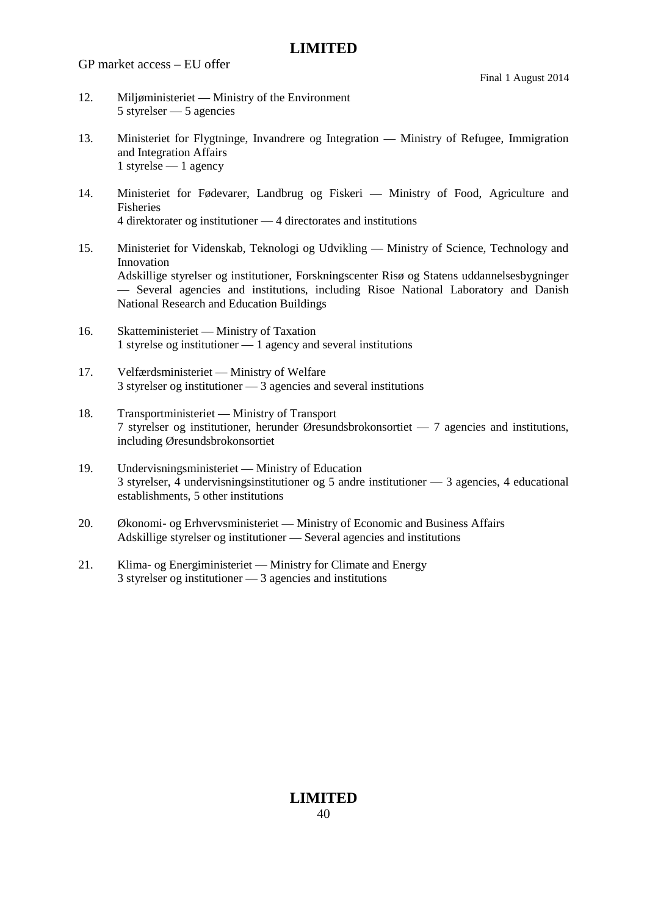GP market access – EU offer

- 12. Miljøministeriet Ministry of the Environment 5 styrelser — 5 agencies
- 13. Ministeriet for Flygtninge, Invandrere og Integration Ministry of Refugee, Immigration and Integration Affairs 1 styrelse — 1 agency
- 14. Ministeriet for Fødevarer, Landbrug og Fiskeri Ministry of Food, Agriculture and Fisheries 4 direktorater og institutioner — 4 directorates and institutions
- 15. Ministeriet for Videnskab, Teknologi og Udvikling Ministry of Science, Technology and Innovation Adskillige styrelser og institutioner, Forskningscenter Risø og Statens uddannelsesbygninger — Several agencies and institutions, including Risoe National Laboratory and Danish National Research and Education Buildings
- 16. Skatteministeriet Ministry of Taxation 1 styrelse og institutioner — 1 agency and several institutions
- 17. Velfærdsministeriet Ministry of Welfare 3 styrelser og institutioner — 3 agencies and several institutions
- 18. Transportministeriet Ministry of Transport 7 styrelser og institutioner, herunder Øresundsbrokonsortiet — 7 agencies and institutions, including Øresundsbrokonsortiet
- 19. Undervisningsministeriet Ministry of Education 3 styrelser, 4 undervisningsinstitutioner og 5 andre institutioner — 3 agencies, 4 educational establishments, 5 other institutions
- 20. Økonomi- og Erhvervsministeriet Ministry of Economic and Business Affairs Adskillige styrelser og institutioner — Several agencies and institutions
- 21. Klima- og Energiministeriet Ministry for Climate and Energy 3 styrelser og institutioner — 3 agencies and institutions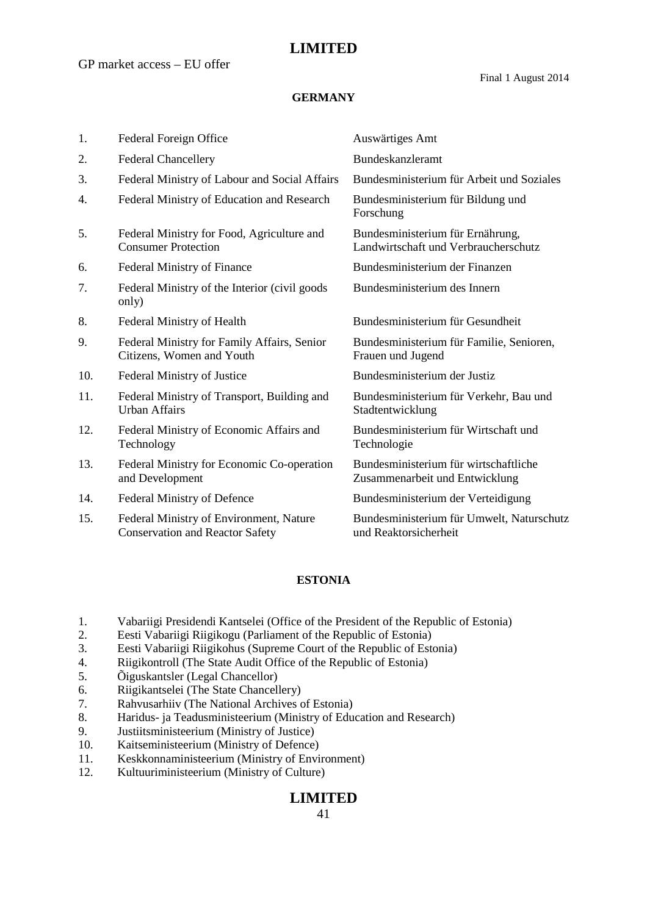### **GERMANY**

| 1.  | Federal Foreign Office                                                            | Auswärtiges Amt                                                          |
|-----|-----------------------------------------------------------------------------------|--------------------------------------------------------------------------|
| 2.  | <b>Federal Chancellery</b>                                                        | Bundeskanzleramt                                                         |
| 3.  | Federal Ministry of Labour and Social Affairs                                     | Bundesministerium für Arbeit und Soziales                                |
| 4.  | Federal Ministry of Education and Research                                        | Bundesministerium für Bildung und<br>Forschung                           |
| 5.  | Federal Ministry for Food, Agriculture and<br><b>Consumer Protection</b>          | Bundesministerium für Ernährung,<br>Landwirtschaft und Verbraucherschutz |
| 6.  | Federal Ministry of Finance                                                       | Bundesministerium der Finanzen                                           |
| 7.  | Federal Ministry of the Interior (civil goods)<br>only)                           | Bundesministerium des Innern                                             |
| 8.  | Federal Ministry of Health                                                        | Bundesministerium für Gesundheit                                         |
| 9.  | Federal Ministry for Family Affairs, Senior<br>Citizens, Women and Youth          | Bundesministerium für Familie, Senioren,<br>Frauen und Jugend            |
| 10. | Federal Ministry of Justice                                                       | Bundesministerium der Justiz                                             |
| 11. | Federal Ministry of Transport, Building and<br><b>Urban Affairs</b>               | Bundesministerium für Verkehr, Bau und<br>Stadtentwicklung               |
| 12. | Federal Ministry of Economic Affairs and<br>Technology                            | Bundesministerium für Wirtschaft und<br>Technologie                      |
| 13. | Federal Ministry for Economic Co-operation<br>and Development                     | Bundesministerium für wirtschaftliche<br>Zusammenarbeit und Entwicklung  |
| 14. | Federal Ministry of Defence                                                       | Bundesministerium der Verteidigung                                       |
| 15. | Federal Ministry of Environment, Nature<br><b>Conservation and Reactor Safety</b> | Bundesministerium für Umwelt, Naturschutz<br>und Reaktorsicherheit       |

### **ESTONIA**

- 1. Vabariigi Presidendi Kantselei (Office of the President of the Republic of Estonia)
- 2. Eesti Vabariigi Riigikogu (Parliament of the Republic of Estonia)
- 3. Eesti Vabariigi Riigikohus (Supreme Court of the Republic of Estonia)
- 4. Riigikontroll (The State Audit Office of the Republic of Estonia)
- 5. Õiguskantsler (Legal Chancellor)
- 6. Riigikantselei (The State Chancellery)
- 7. Rahvusarhiiv (The National Archives of Estonia)
- 8. Haridus- ja Teadusministeerium (Ministry of Education and Research)
- 9. Justiitsministeerium (Ministry of Justice)
- 10. Kaitseministeerium (Ministry of Defence)
- 11. Keskkonnaministeerium (Ministry of Environment)
- 12. Kultuuriministeerium (Ministry of Culture)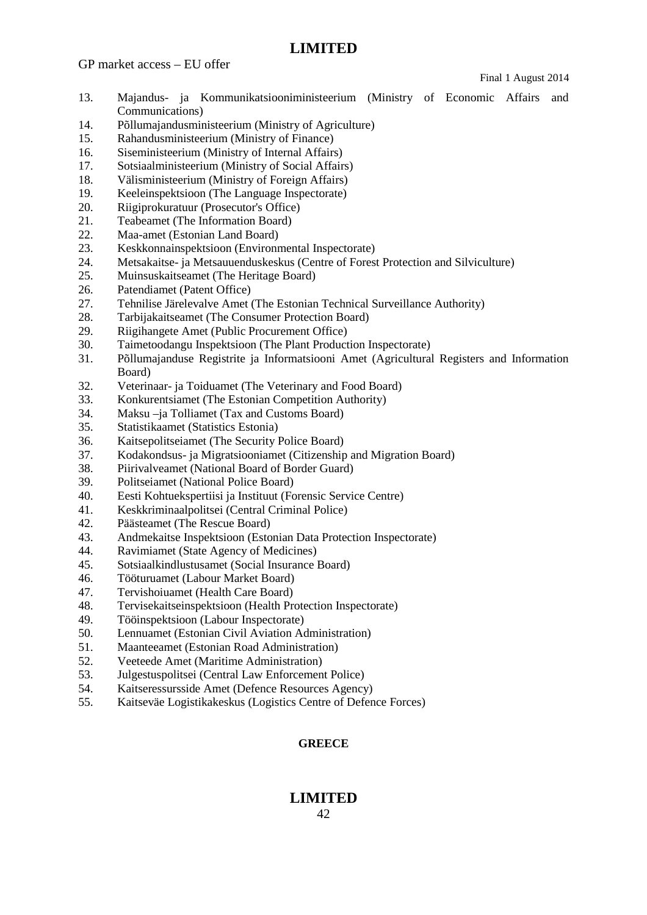GP market access – EU offer

Final 1 August 2014

- 13. Majandus- ja Kommunikatsiooniministeerium (Ministry of Economic Affairs and Communications)
- 14. Põllumajandusministeerium (Ministry of Agriculture)
- 15. Rahandusministeerium (Ministry of Finance)
- 16. Siseministeerium (Ministry of Internal Affairs)
- 17. Sotsiaalministeerium (Ministry of Social Affairs)
- 18. Välisministeerium (Ministry of Foreign Affairs)
- 19. Keeleinspektsioon (The Language Inspectorate)
- 20. Riigiprokuratuur (Prosecutor's Office)
- 21. Teabeamet (The Information Board)
- 22. Maa-amet (Estonian Land Board)
- 23. Keskkonnainspektsioon (Environmental Inspectorate)
- 24. Metsakaitse- ja Metsauuenduskeskus (Centre of Forest Protection and Silviculture)
- 25. Muinsuskaitseamet (The Heritage Board)
- 26. Patendiamet (Patent Office)
- 27. Tehnilise Järelevalve Amet (The Estonian Technical Surveillance Authority)
- 28. Tarbijakaitseamet (The Consumer Protection Board)
- 29. Riigihangete Amet (Public Procurement Office)
- 30. Taimetoodangu Inspektsioon (The Plant Production Inspectorate)
- 31. Põllumajanduse Registrite ja Informatsiooni Amet (Agricultural Registers and Information Board)
- 32. Veterinaar- ja Toiduamet (The Veterinary and Food Board)
- 33. Konkurentsiamet (The Estonian Competition Authority)
- 34. Maksu –ja Tolliamet (Tax and Customs Board)
- 35. Statistikaamet (Statistics Estonia)
- 36. Kaitsepolitseiamet (The Security Police Board)
- 37. Kodakondsus- ja Migratsiooniamet (Citizenship and Migration Board)
- 38. Piirivalveamet (National Board of Border Guard)
- 39. Politseiamet (National Police Board)
- 40. Eesti Kohtuekspertiisi ja Instituut (Forensic Service Centre)
- 41. Keskkriminaalpolitsei (Central Criminal Police)
- 42. Päästeamet (The Rescue Board)
- 43. Andmekaitse Inspektsioon (Estonian Data Protection Inspectorate)
- 44. Ravimiamet (State Agency of Medicines)
- 45. Sotsiaalkindlustusamet (Social Insurance Board)
- 46. Tööturuamet (Labour Market Board)
- 47. Tervishoiuamet (Health Care Board)
- 48. Tervisekaitseinspektsioon (Health Protection Inspectorate)
- 49. Tööinspektsioon (Labour Inspectorate)
- 50. Lennuamet (Estonian Civil Aviation Administration)
- 51. Maanteeamet (Estonian Road Administration)
- 52. Veeteede Amet (Maritime Administration)
- 53. Julgestuspolitsei (Central Law Enforcement Police)
- 54. Kaitseressursside Amet (Defence Resources Agency)
- 55. Kaitseväe Logistikakeskus (Logistics Centre of Defence Forces)

### **GREECE**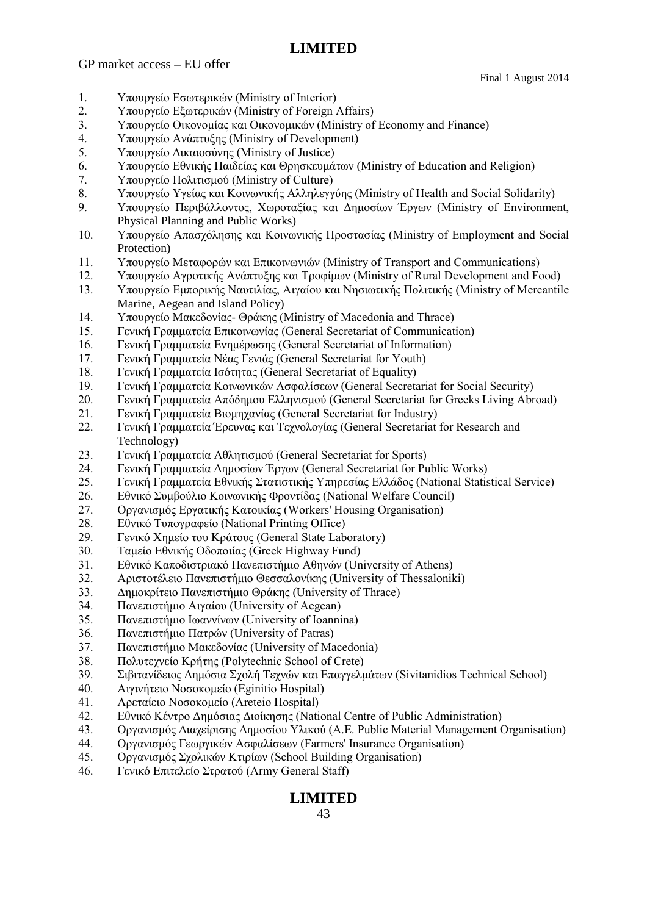GP market access – EU offer

Final 1 August 2014

- 1. Υπουργείο Εσωτερικών (Ministry of Interior)
- 2. Υπουργείο Εξωτερικών (Ministry of Foreign Affairs)
- 3. Υπουργείο Οικονομίας και Οικονομικών (Ministry of Economy and Finance)
- 4. Υπουργείο Ανάπτυξης (Ministry of Development)
- 5. Υπουργείο Δικαιοσύνης (Ministry of Justice)
- 6. Υπουργείο Εθνικής Παιδείας και Θρησκευμάτων (Ministry of Education and Religion)
- 7. Υπουργείο Πολιτισμού (Ministry of Culture)
- 8. Υπουργείο Υγείας και Κοινωνικής Αλληλεγγύης (Ministry of Health and Social Solidarity)
- 9. Υπουργείο Περιβάλλοντος, Χωροταξίας και Δημοσίων Έργων (Ministry of Environment, Physical Planning and Public Works)
- 10. Υπουργείο Απασχόλησης και Κοινωνικής Προστασίας (Ministry of Employment and Social Protection)
- 11. Υπουργείο Μεταφορών και Επικοινωνιών (Ministry of Transport and Communications)
- 12. Υπουργείο Αγροτικής Ανάπτυξης και Τροφίμων (Ministry of Rural Development and Food)
- 13. Υπουργείο Εμπορικής Ναυτιλίας, Αιγαίου και Νησιωτικής Πολιτικής (Ministry of Mercantile Marine, Aegean and Island Policy)
- 14. Υπουργείο Μακεδονίας- Θράκης (Ministry of Macedonia and Thrace)
- 15. Γενική Γραμματεία Επικοινωνίας (General Secretariat of Communication)
- 16. Γενική Γραμματεία Ενημέρωσης (General Secretariat of Information)
- 17. Γενική Γραμματεία Νέας Γενιάς (General Secretariat for Youth)
- 18. Γενική Γραμματεία Ισότητας (General Secretariat of Equality)
- 19. Γενική Γραμματεία Κοινωνικών Ασφαλίσεων (General Secretariat for Social Security)
- 20. Γενική Γραμματεία Απόδημου Ελληνισμού (General Secretariat for Greeks Living Abroad)
- 21. Γενική Γραμματεία Βιομηχανίας (General Secretariat for Industry)
- 22. Γενική Γραμματεία Έρευνας και Τεχνολογίας (General Secretariat for Research and Technology)
- 23. Γενική Γραμματεία Αθλητισμού (General Secretariat for Sports)
- 24. Γενική Γραμματεία Δημοσίων Έργων (General Secretariat for Public Works)
- 25. Γενική Γραμματεία Εθνικής Στατιστικής Υπηρεσίας Ελλάδος (National Statistical Service)
- 26. Εθνικό Συμβούλιο Κοινωνικής Φροντίδας (National Welfare Council)
- 27. Οργανισμός Εργατικής Κατοικίας (Workers' Housing Organisation)
- 28. Εθνικό Τυπογραφείο (National Printing Office)
- 29. Γενικό Χημείο του Κράτους (General State Laboratory)
- 30. Ταμείο Εθνικής Οδοποιίας (Greek Highway Fund)
- 31. Εθνικό Καποδιστριακό Πανεπιστήμιο Αθηνών (University of Athens)
- 32. Αριστοτέλειο Πανεπιστήμιο Θεσσαλονίκης (University of Thessaloniki)
- 33. Δημοκρίτειο Πανεπιστήμιο Θράκης (University of Thrace)
- 34. Πανεπιστήμιο Αιγαίου (University of Aegean)
- 35. Πανεπιστήμιο Ιωαννίνων (University of Ioannina)
- 36. Πανεπιστήμιο Πατρών (University of Patras)
- 37. Πανεπιστήμιο Μακεδονίας (University of Macedonia)
- 38. Πολυτεχνείο Κρήτης (Polytechnic School of Crete)
- 39. Σιβιτανίδειος Δημόσια Σχολή Τεχνών και Επαγγελμάτων (Sivitanidios Technical School)
- 40. Αιγινήτειο Νοσοκομείο (Eginitio Hospital)
- 41. Αρεταίειο Νοσοκομείο (Areteio Hospital)
- 42. Εθνικό Κέντρο Δημόσιας Διοίκησης (National Centre of Public Administration)
- 43. Οργανισμός Διαχείρισης Δημοσίου Υλικού (Α.Ε. Public Material Μanagement Organisation)
- 44. Οργανισμός Γεωργικών Ασφαλίσεων (Farmers' Insurance Organisation)
- 45. Οργανισμός Σχολικών Κτιρίων (School Building Organisation)
- 46. Γενικό Επιτελείο Στρατού (Army General Staff)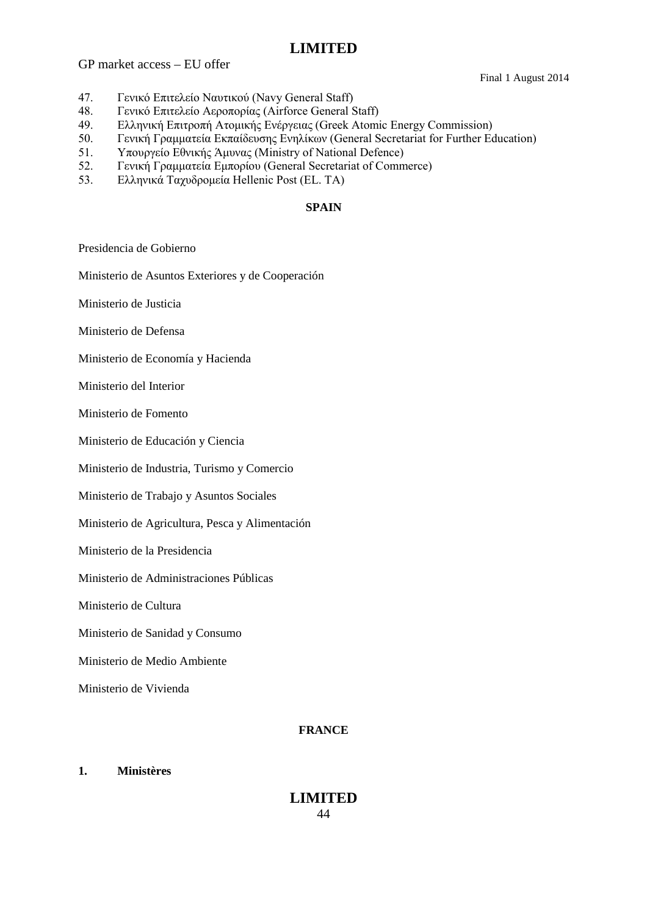GP market access – EU offer

Final 1 August 2014

- 47. Γενικό Επιτελείο Ναυτικού (Navy General Staff)
- 48. Γενικό Επιτελείο Αεροπορίας (Airforce General Staff)
- 49. Ελληνική Επιτροπή Ατομικής Ενέργειας (Greek Atomic Energy Commission)
- 50. Γενική Γραμματεία Εκπαίδευσης Ενηλίκων (General Secretariat for Further Education)
- 51. Υπουργείο Εθνικής Άμυνας (Ministry of National Defence)
- 52. Γενική Γραμματεία Εμπορίου (General Secretariat of Commerce)
- 53. Ελληνικά Ταχυδρομεία Hellenic Post (EL. TA)

### **SPAIN**

Presidencia de Gobierno

Ministerio de Asuntos Exteriores y de Cooperación

Ministerio de Justicia

Ministerio de Defensa

Ministerio de Economía y Hacienda

Ministerio del Interior

Ministerio de Fomento

Ministerio de Educación y Ciencia

Ministerio de Industria, Turismo y Comercio

Ministerio de Trabajo y Asuntos Sociales

Ministerio de Agricultura, Pesca y Alimentación

Ministerio de la Presidencia

Ministerio de Administraciones Públicas

Ministerio de Cultura

Ministerio de Sanidad y Consumo

Ministerio de Medio Ambiente

Ministerio de Vivienda

#### **FRANCE**

#### **1. Ministères**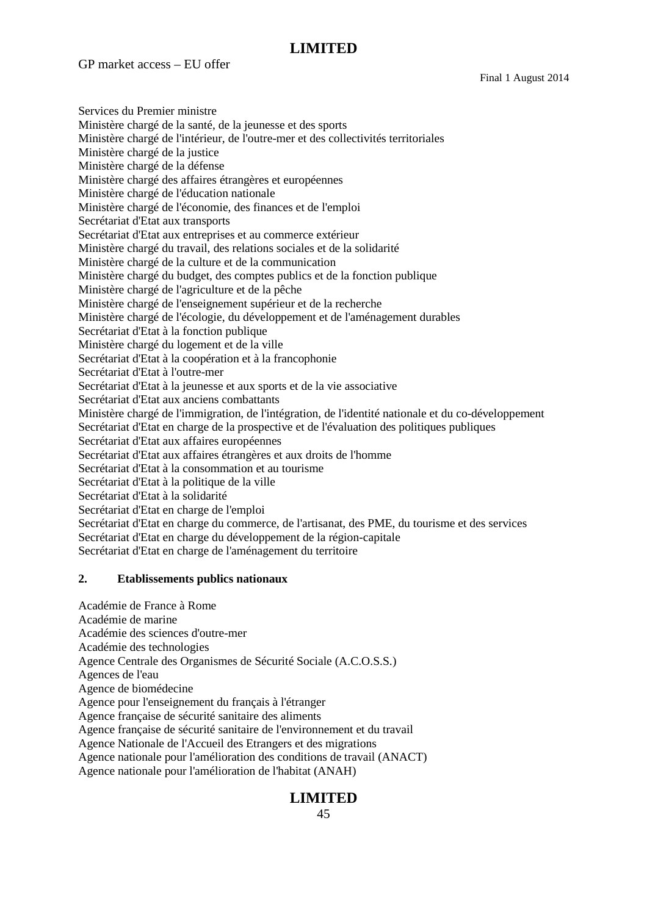GP market access – EU offer

Final 1 August 2014

Services du Premier ministre Ministère chargé de la santé, de la jeunesse et des sports Ministère chargé de l'intérieur, de l'outre-mer et des collectivités territoriales Ministère chargé de la justice Ministère chargé de la défense Ministère chargé des affaires étrangères et européennes Ministère chargé de l'éducation nationale Ministère chargé de l'économie, des finances et de l'emploi Secrétariat d'Etat aux transports Secrétariat d'Etat aux entreprises et au commerce extérieur Ministère chargé du travail, des relations sociales et de la solidarité Ministère chargé de la culture et de la communication Ministère chargé du budget, des comptes publics et de la fonction publique Ministère chargé de l'agriculture et de la pêche Ministère chargé de l'enseignement supérieur et de la recherche Ministère chargé de l'écologie, du développement et de l'aménagement durables Secrétariat d'Etat à la fonction publique Ministère chargé du logement et de la ville Secrétariat d'Etat à la coopération et à la francophonie Secrétariat d'Etat à l'outre-mer Secrétariat d'Etat à la jeunesse et aux sports et de la vie associative Secrétariat d'Etat aux anciens combattants Ministère chargé de l'immigration, de l'intégration, de l'identité nationale et du co-développement Secrétariat d'Etat en charge de la prospective et de l'évaluation des politiques publiques Secrétariat d'Etat aux affaires européennes Secrétariat d'Etat aux affaires étrangères et aux droits de l'homme Secrétariat d'Etat à la consommation et au tourisme Secrétariat d'Etat à la politique de la ville Secrétariat d'Etat à la solidarité Secrétariat d'Etat en charge de l'emploi Secrétariat d'Etat en charge du commerce, de l'artisanat, des PME, du tourisme et des services Secrétariat d'Etat en charge du développement de la région-capitale Secrétariat d'Etat en charge de l'aménagement du territoire

#### **2. Etablissements publics nationaux**

Académie de France à Rome Académie de marine Académie des sciences d'outre-mer Académie des technologies Agence Centrale des Organismes de Sécurité Sociale (A.C.O.S.S.) Agences de l'eau Agence de biomédecine Agence pour l'enseignement du français à l'étranger Agence française de sécurité sanitaire des aliments Agence française de sécurité sanitaire de l'environnement et du travail Agence Nationale de l'Accueil des Etrangers et des migrations Agence nationale pour l'amélioration des conditions de travail (ANACT) Agence nationale pour l'amélioration de l'habitat (ANAH)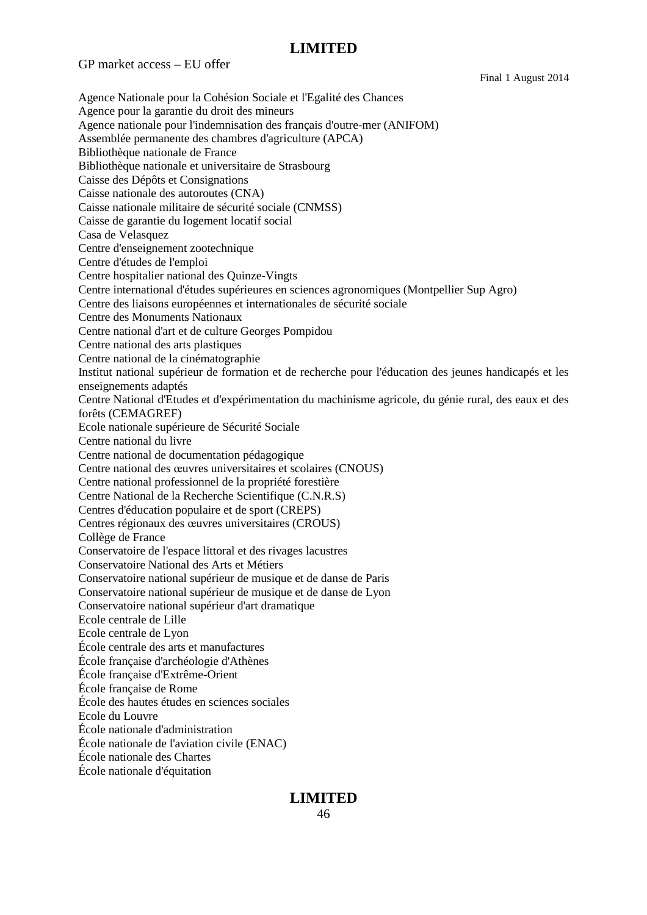GP market access – EU offer

Final 1 August 2014

**LIMITED** Agence Nationale pour la Cohésion Sociale et l'Egalité des Chances Agence pour la garantie du droit des mineurs Agence nationale pour l'indemnisation des français d'outre-mer (ANIFOM) Assemblée permanente des chambres d'agriculture (APCA) Bibliothèque nationale de France Bibliothèque nationale et universitaire de Strasbourg Caisse des Dépôts et Consignations Caisse nationale des autoroutes (CNA) Caisse nationale militaire de sécurité sociale (CNMSS) Caisse de garantie du logement locatif social Casa de Velasquez Centre d'enseignement zootechnique Centre d'études de l'emploi Centre hospitalier national des Quinze-Vingts Centre international d'études supérieures en sciences agronomiques (Montpellier Sup Agro) Centre des liaisons européennes et internationales de sécurité sociale Centre des Monuments Nationaux Centre national d'art et de culture Georges Pompidou Centre national des arts plastiques Centre national de la cinématographie Institut national supérieur de formation et de recherche pour l'éducation des jeunes handicapés et les enseignements adaptés Centre National d'Etudes et d'expérimentation du machinisme agricole, du génie rural, des eaux et des forêts (CEMAGREF) Ecole nationale supérieure de Sécurité Sociale Centre national du livre Centre national de documentation pédagogique Centre national des œuvres universitaires et scolaires (CNOUS) Centre national professionnel de la propriété forestière Centre National de la Recherche Scientifique (C.N.R.S) Centres d'éducation populaire et de sport (CREPS) Centres régionaux des œuvres universitaires (CROUS) Collège de France Conservatoire de l'espace littoral et des rivages lacustres Conservatoire National des Arts et Métiers Conservatoire national supérieur de musique et de danse de Paris Conservatoire national supérieur de musique et de danse de Lyon Conservatoire national supérieur d'art dramatique Ecole centrale de Lille Ecole centrale de Lyon École centrale des arts et manufactures École française d'archéologie d'Athènes École française d'Extrême-Orient École française de Rome École des hautes études en sciences sociales Ecole du Louvre École nationale d'administration École nationale de l'aviation civile (ENAC) École nationale des Chartes École nationale d'équitation

## 46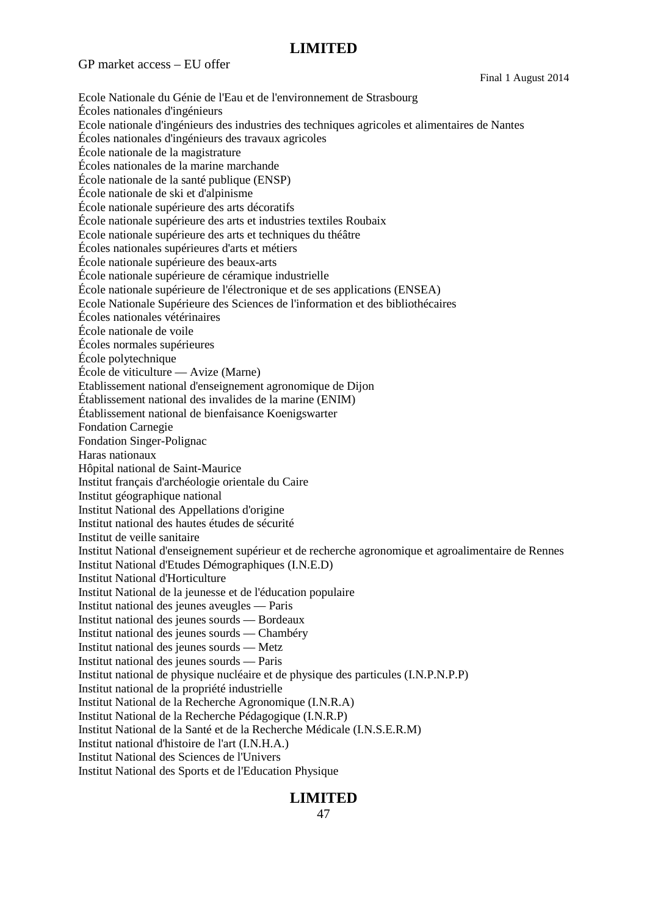GP market access – EU offer

Final 1 August 2014

Ecole Nationale du Génie de l'Eau et de l'environnement de Strasbourg Écoles nationales d'ingénieurs Ecole nationale d'ingénieurs des industries des techniques agricoles et alimentaires de Nantes Écoles nationales d'ingénieurs des travaux agricoles École nationale de la magistrature Écoles nationales de la marine marchande École nationale de la santé publique (ENSP) École nationale de ski et d'alpinisme École nationale supérieure des arts décoratifs École nationale supérieure des arts et industries textiles Roubaix Ecole nationale supérieure des arts et techniques du théâtre Écoles nationales supérieures d'arts et métiers École nationale supérieure des beaux-arts École nationale supérieure de céramique industrielle École nationale supérieure de l'électronique et de ses applications (ENSEA) Ecole Nationale Supérieure des Sciences de l'information et des bibliothécaires Écoles nationales vétérinaires École nationale de voile Écoles normales supérieures École polytechnique École de viticulture — Avize (Marne) Etablissement national d'enseignement agronomique de Dijon Établissement national des invalides de la marine (ENIM) Établissement national de bienfaisance Koenigswarter Fondation Carnegie Fondation Singer-Polignac Haras nationaux Hôpital national de Saint-Maurice Institut français d'archéologie orientale du Caire Institut géographique national Institut National des Appellations d'origine Institut national des hautes études de sécurité Institut de veille sanitaire Institut National d'enseignement supérieur et de recherche agronomique et agroalimentaire de Rennes Institut National d'Etudes Démographiques (I.N.E.D) Institut National d'Horticulture Institut National de la jeunesse et de l'éducation populaire Institut national des jeunes aveugles — Paris Institut national des jeunes sourds — Bordeaux Institut national des jeunes sourds — Chambéry Institut national des jeunes sourds — Metz Institut national des jeunes sourds — Paris Institut national de physique nucléaire et de physique des particules (I.N.P.N.P.P) Institut national de la propriété industrielle Institut National de la Recherche Agronomique (I.N.R.A) Institut National de la Recherche Pédagogique (I.N.R.P) Institut National de la Santé et de la Recherche Médicale (I.N.S.E.R.M) Institut national d'histoire de l'art (I.N.H.A.) Institut National des Sciences de l'Univers Institut National des Sports et de l'Education Physique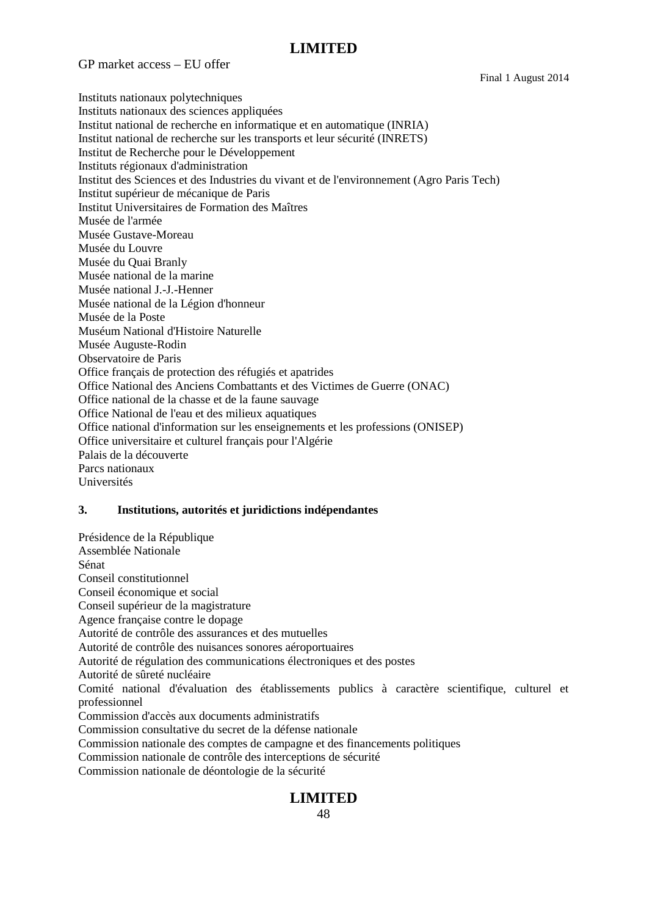GP market access – EU offer

Final 1 August 2014

Instituts nationaux polytechniques Instituts nationaux des sciences appliquées Institut national de recherche en informatique et en automatique (INRIA) Institut national de recherche sur les transports et leur sécurité (INRETS) Institut de Recherche pour le Développement Instituts régionaux d'administration Institut des Sciences et des Industries du vivant et de l'environnement (Agro Paris Tech) Institut supérieur de mécanique de Paris Institut Universitaires de Formation des Maîtres Musée de l'armée Musée Gustave-Moreau Musée du Louvre Musée du Quai Branly Musée national de la marine Musée national J.-J.-Henner Musée national de la Légion d'honneur Musée de la Poste Muséum National d'Histoire Naturelle Musée Auguste-Rodin Observatoire de Paris Office français de protection des réfugiés et apatrides Office National des Anciens Combattants et des Victimes de Guerre (ONAC) Office national de la chasse et de la faune sauvage Office National de l'eau et des milieux aquatiques Office national d'information sur les enseignements et les professions (ONISEP) Office universitaire et culturel français pour l'Algérie Palais de la découverte Parcs nationaux Universités

### **3. Institutions, autorités et juridictions indépendantes**

Présidence de la République Assemblée Nationale Sénat Conseil constitutionnel Conseil économique et social Conseil supérieur de la magistrature Agence française contre le dopage Autorité de contrôle des assurances et des mutuelles Autorité de contrôle des nuisances sonores aéroportuaires Autorité de régulation des communications électroniques et des postes Autorité de sûreté nucléaire Comité national d'évaluation des établissements publics à caractère scientifique, culturel et professionnel Commission d'accès aux documents administratifs Commission consultative du secret de la défense nationale Commission nationale des comptes de campagne et des financements politiques Commission nationale de contrôle des interceptions de sécurité Commission nationale de déontologie de la sécurité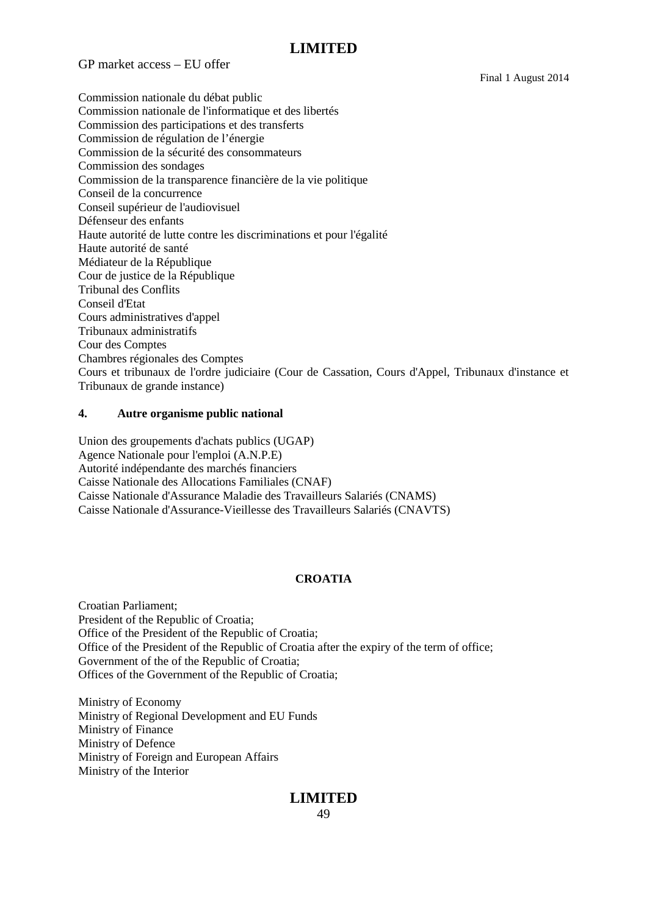GP market access – EU offer

Final 1 August 2014

Commission nationale du débat public Commission nationale de l'informatique et des libertés Commission des participations et des transferts Commission de régulation de l'énergie Commission de la sécurité des consommateurs Commission des sondages Commission de la transparence financière de la vie politique Conseil de la concurrence Conseil supérieur de l'audiovisuel Défenseur des enfants Haute autorité de lutte contre les discriminations et pour l'égalité Haute autorité de santé Médiateur de la République Cour de justice de la République Tribunal des Conflits Conseil d'Etat Cours administratives d'appel Tribunaux administratifs Cour des Comptes Chambres régionales des Comptes Cours et tribunaux de l'ordre judiciaire (Cour de Cassation, Cours d'Appel, Tribunaux d'instance et Tribunaux de grande instance)

#### **4. Autre organisme public national**

Union des groupements d'achats publics (UGAP) Agence Nationale pour l'emploi (A.N.P.E) Autorité indépendante des marchés financiers Caisse Nationale des Allocations Familiales (CNAF) Caisse Nationale d'Assurance Maladie des Travailleurs Salariés (CNAMS) Caisse Nationale d'Assurance-Vieillesse des Travailleurs Salariés (CNAVTS)

### **CROATIA**

Croatian Parliament; President of the Republic of Croatia; Office of the President of the Republic of Croatia; Office of the President of the Republic of Croatia after the expiry of the term of office; Government of the of the Republic of Croatia; Offices of the Government of the Republic of Croatia;

Ministry of Economy Ministry of Regional Development and EU Funds Ministry of Finance Ministry of Defence Ministry of Foreign and European Affairs Ministry of the Interior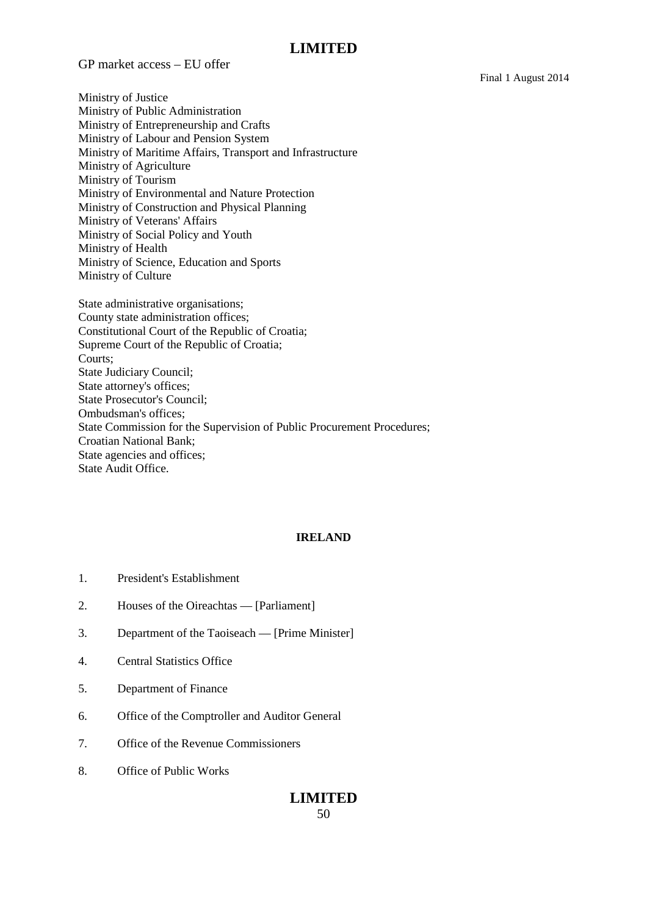GP market access – EU offer

Final 1 August 2014

Ministry of Justice Ministry of Public Administration Ministry of Entrepreneurship and Crafts Ministry of Labour and Pension System Ministry of Maritime Affairs, Transport and Infrastructure Ministry of Agriculture Ministry of Tourism Ministry of Environmental and Nature Protection Ministry of Construction and Physical Planning Ministry of Veterans' Affairs Ministry of Social Policy and Youth Ministry of Health Ministry of Science, Education and Sports Ministry of Culture

State administrative organisations; County state administration offices; Constitutional Court of the Republic of Croatia; Supreme Court of the Republic of Croatia; Courts; State Judiciary Council; State attorney's offices; State Prosecutor's Council; Ombudsman's offices; State Commission for the Supervision of Public Procurement Procedures; Croatian National Bank; State agencies and offices; State Audit Office.

#### **IRELAND**

- 1. President's Establishment
- 2. Houses of the Oireachtas [Parliament]
- 3. Department of the Taoiseach [Prime Minister]
- 4. Central Statistics Office
- 5. Department of Finance
- 6. Office of the Comptroller and Auditor General
- 7. Office of the Revenue Commissioners
- 8. Office of Public Works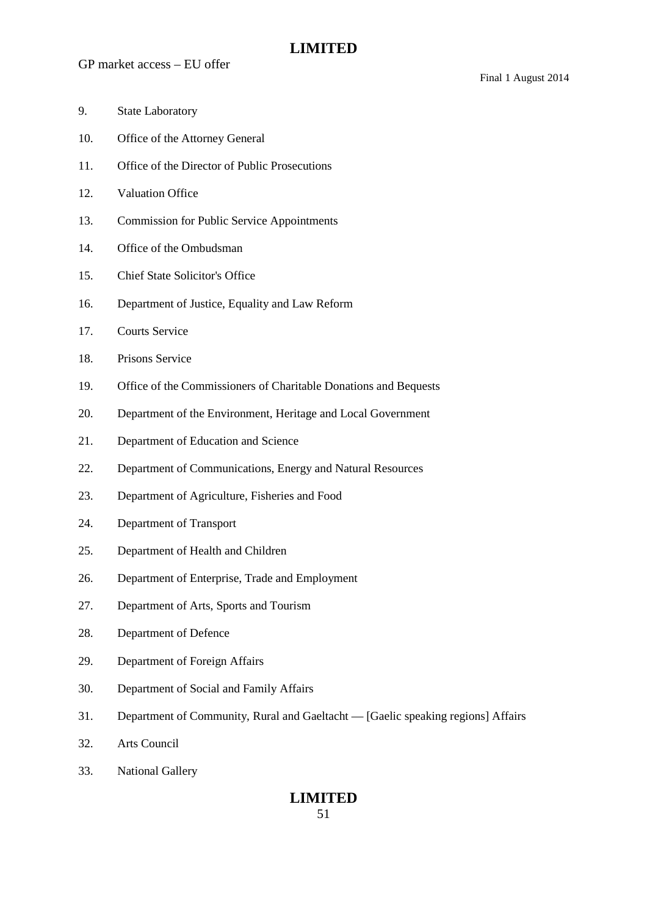- 9. State Laboratory
- 10. Office of the Attorney General
- 11. Office of the Director of Public Prosecutions
- 12. Valuation Office
- 13. Commission for Public Service Appointments
- 14. Office of the Ombudsman
- 15. Chief State Solicitor's Office
- 16. Department of Justice, Equality and Law Reform
- 17. Courts Service
- 18. Prisons Service
- 19. Office of the Commissioners of Charitable Donations and Bequests
- 20. Department of the Environment, Heritage and Local Government
- 21. Department of Education and Science
- 22. Department of Communications, Energy and Natural Resources
- 23. Department of Agriculture, Fisheries and Food
- 24. Department of Transport
- 25. Department of Health and Children
- 26. Department of Enterprise, Trade and Employment
- 27. Department of Arts, Sports and Tourism
- 28. Department of Defence
- 29. Department of Foreign Affairs
- 30. Department of Social and Family Affairs
- 31. Department of Community, Rural and Gaeltacht [Gaelic speaking regions] Affairs
- 32. Arts Council
- 33. National Gallery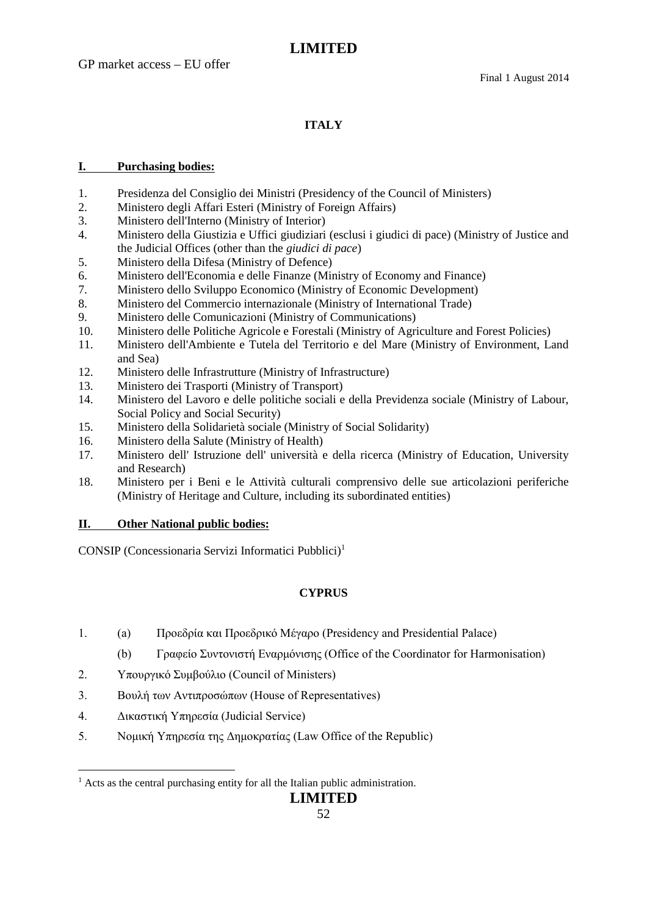### **ITALY**

### **I. Purchasing bodies:**

- 1. Presidenza del Consiglio dei Ministri (Presidency of the Council of Ministers)
- 2. Ministero degli Affari Esteri (Ministry of Foreign Affairs)
- 3. Ministero dell'Interno (Ministry of Interior)
- 4. Ministero della Giustizia e Uffici giudiziari (esclusi i giudici di pace) (Ministry of Justice and the Judicial Offices (other than the *giudici di pace*)
- 5. Ministero della Difesa (Ministry of Defence)
- 6. Ministero dell'Economia e delle Finanze (Ministry of Economy and Finance)
- 7. Ministero dello Sviluppo Economico (Ministry of Economic Development)
- 8. Ministero del Commercio internazionale (Ministry of International Trade)
- 9. Ministero delle Comunicazioni (Ministry of Communications)
- 10. Ministero delle Politiche Agricole e Forestali (Ministry of Agriculture and Forest Policies)
- 11. Ministero dell'Ambiente e Tutela del Territorio e del Mare (Ministry of Environment, Land and Sea)
- 12. Ministero delle Infrastrutture (Ministry of Infrastructure)
- 13. Ministero dei Trasporti (Ministry of Transport)
- 14. Ministero del Lavoro e delle politiche sociali e della Previdenza sociale (Ministry of Labour, Social Policy and Social Security)
- 15. Ministero della Solidarietà sociale (Ministry of Social Solidarity)
- 16. Ministero della Salute (Ministry of Health)
- 17. Ministero dell' Istruzione dell' università e della ricerca (Ministry of Education, University and Research)
- 18. Ministero per i Beni e le Attività culturali comprensivo delle sue articolazioni periferiche (Ministry of Heritage and Culture, including its subordinated entities)

### **II. Other National public bodies:**

CONSIP (Concessionaria Servizi Informatici Pubblici)<sup>1</sup>

### **CYPRUS**

- 1. (a) Προεδρία και Προεδρικό Μέγαρο (Presidency and Presidential Palace)
	- (b) Γραφείο Συντονιστή Εναρμόνισης (Office of the Coordinator for Harmonisation)
- 2. Υπουργικό Συμβούλιο (Council of Ministers)
- 3. Βουλή των Αντιπροσώπων (House of Representatives)
- 4. Δικαστική Υπηρεσία (Judicial Service)
- 5. Νομική Υπηρεσία της Δημοκρατίας (Law Office of the Republic)

 $<sup>1</sup>$  Acts as the central purchasing entity for all the Italian public administration.</sup>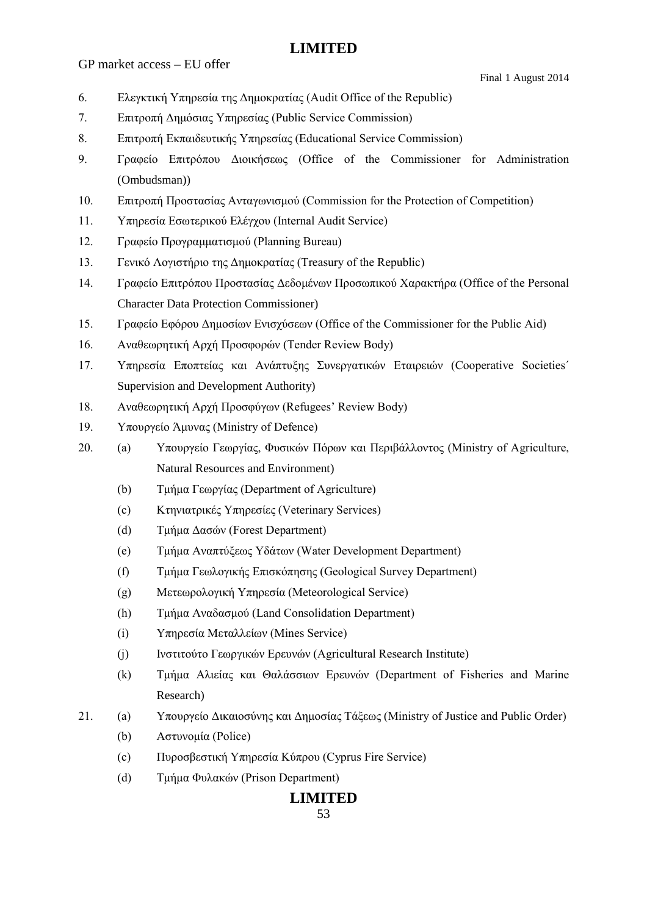GP market access – EU offer

- 6. Ελεγκτική Υπηρεσία της Δημοκρατίας (Audit Office of the Republic)
- 7. Επιτροπή Δημόσιας Υπηρεσίας (Public Service Commission)
- 8. Επιτροπή Εκπαιδευτικής Υπηρεσίας (Educational Service Commission)
- 9. Γραφείο Επιτρόπου Διοικήσεως (Office of the Commissioner for Administration (Ombudsman))
- 10. Επιτροπή Προστασίας Ανταγωνισμού (Commission for the Protection of Competition)
- 11. Υπηρεσία Εσωτερικού Ελέγχου (Internal Audit Service)
- 12. Γραφείο Προγραμματισμού (Planning Bureau)
- 13. Γενικό Λογιστήριο της Δημοκρατίας (Treasury of the Republic)
- 14. Γραφείο Επιτρόπου Προστασίας Δεδομένων Προσωπικού Χαρακτήρα (Office of the Personal Character Data Protection Commissioner)
- 15. Γραφείο Εφόρου Δημοσίων Ενισχύσεων (Office of the Commissioner for the Public Aid)
- 16. Αναθεωρητική Αρχή Προσφορών (Tender Review Body)
- 17. Υπηρεσία Εποπτείας και Ανάπτυξης Συνεργατικών Εταιρειών (Cooperative Societies΄ Supervision and Development Authority)
- 18. Αναθεωρητική Αρχή Προσφύγων (Refugees' Review Body)
- 19. Υπουργείο Άμυνας (Ministry of Defence)
- 20. (a) Υπουργείο Γεωργίας, Φυσικών Πόρων και Περιβάλλοντος (Ministry of Agriculture, Natural Resources and Environment)
	- (b) Τμήμα Γεωργίας (Department of Agriculture)
	- (c) Κτηνιατρικές Υπηρεσίες (Veterinary Services)
	- (d) Τμήμα Δασών (Forest Department)
	- (e) Τμήμα Αναπτύξεως Υδάτων (Water Development Department)
	- (f) Τμήμα Γεωλογικής Επισκόπησης (Geological Survey Department)
	- (g) Μετεωρολογική Υπηρεσία (Meteorological Service)
	- (h) Τμήμα Αναδασμού (Land Consolidation Department)
	- (i) Υπηρεσία Μεταλλείων (Mines Service)
	- (j) Ινστιτούτο Γεωργικών Ερευνών (Agricultural Research Institute)
	- (k) Τμήμα Αλιείας και Θαλάσσιων Ερευνών (Department of Fisheries and Marine Research)
- 21. (a) Υπουργείο Δικαιοσύνης και Δημοσίας Τάξεως (Ministry of Justice and Public Order)
	- (b) Αστυνομία (Police)
	- (c) Πυροσβεστική Υπηρεσία Κύπρου (Cyprus Fire Service)
	- (d) Τμήμα Φυλακών (Prison Department)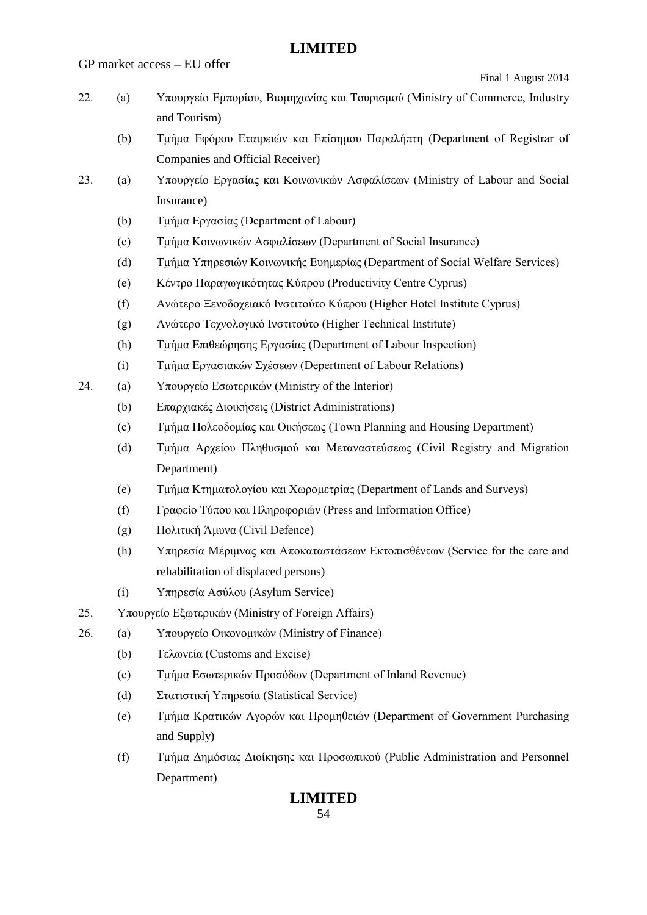GP market access – EU offer

Final 1 August 2014

- 22. (a) Υπουργείο Εμπορίου, Βιομηχανίας και Τουρισμού (Ministry of Commerce, Industry and Tourism)
	- (b) Τμήμα Εφόρου Εταιρειών και Επίσημου Παραλήπτη (Department of Registrar of Companies and Official Receiver)
- 23. (a) Υπουργείο Εργασίας και Κοινωνικών Ασφαλίσεων (Ministry of Labour and Social Insurance)
	- (b) Τμήμα Εργασίας (Department of Labour)
	- (c) Τμήμα Κοινωνικών Ασφαλίσεων (Department of Social Insurance)
	- (d) Τμήμα Υπηρεσιών Κοινωνικής Ευημερίας (Department of Social Welfare Services)
	- (e) Κέντρο Παραγωγικότητας Κύπρου (Productivity Centre Cyprus)
	- (f) Ανώτερο Ξενοδοχειακό Ινστιτούτο Κύπρου (Higher Hotel Institute Cyprus)
	- (g) Ανώτερο Τεχνολογικό Ινστιτούτο (Higher Τechnical Institute)
	- (h) Τμήμα Επιθεώρησης Εργασίας (Department of Labour Inspection)
	- (i) Τμήμα Εργασιακών Σχέσεων (Depertment of Labour Relations)
- 24. (a) Υπουργείο Εσωτερικών (Ministry of the Interior)
	- (b) Επαρχιακές Διοικήσεις (District Administrations)
	- (c) Τμήμα Πολεοδομίας και Οικήσεως (Town Planning and Housing Department)
	- (d) Τμήμα Αρχείου Πληθυσμού και Μεταναστεύσεως (Civil Registry and Migration Department)
	- (e) Τμήμα Κτηματολογίου και Χωρομετρίας (Department of Lands and Surveys)
	- (f) Γραφείο Τύπου και Πληροφοριών (Press and Information Office)
	- (g) Πολιτική Άμυνα (Civil Defence)
	- (h) Υπηρεσία Μέριμνας και Αποκαταστάσεων Εκτοπισθέντων (Service for the care and rehabilitation of displaced persons)
	- (i) Υπηρεσία Ασύλου (Asylum Service)
- 25. Υπουργείο Εξωτερικών (Ministry of Foreign Affairs)
- 26. (a) Υπουργείο Οικονομικών (Ministry of Finance)
	- (b) Τελωνεία (Customs and Excise)
	- (c) Τμήμα Εσωτερικών Προσόδων (Department of Inland Revenue)
	- (d) Στατιστική Υπηρεσία (Statistical Service)
	- (e) Τμήμα Κρατικών Αγορών και Προμηθειών (Department of Government Purchasing and Supply)
	- (f) Τμήμα Δημόσιας Διοίκησης και Προσωπικού (Public Administration and Personnel Department)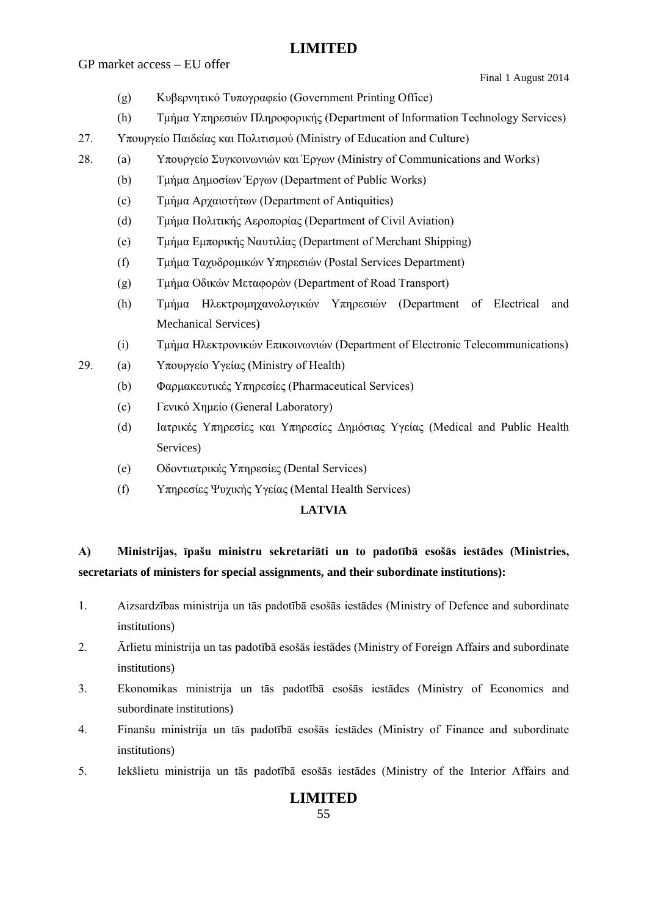GP market access – EU offer

- (g) Κυβερνητικό Τυπογραφείο (Government Printing Office)
- (h) Τμήμα Υπηρεσιών Πληροφορικής (Department of Information Technology Services)
- 27. Υπουργείο Παιδείας και Πολιτισμού (Ministry of Εducation and Culture)
- 28. (a) Υπουργείο Συγκοινωνιών και Έργων (Ministry of Communications and Works)
	- (b) Τμήμα Δημοσίων Έργων (Department of Public Works)
	- (c) Τμήμα Αρχαιοτήτων (Department of Antiquities)
	- (d) Τμήμα Πολιτικής Αεροπορίας (Department of Civil Aviation)
	- (e) Τμήμα Εμπορικής Ναυτιλίας (Department of Merchant Shipping)
	- (f) Τμήμα Ταχυδρομικών Υπηρεσιών (Postal Services Department)
	- (g) Τμήμα Οδικών Μεταφορών (Department of Road Transport)
	- (h) Τμήμα Ηλεκτρομηχανολογικών Υπηρεσιών (Department of Electrical and Mechanical Services)
	- (i) Τμήμα Ηλεκτρονικών Επικοινωνιών (Department of Electronic Telecommunications)
- 29. (a) Υπουργείο Υγείας (Ministry of Health)
	- (b) Φαρμακευτικές Υπηρεσίες (Pharmaceutical Services)
	- (c) Γενικό Χημείο (General Laboratory)
	- (d) Ιατρικές Υπηρεσίες και Υπηρεσίες Δημόσιας Υγείας (Medical and Public Health Services)
	- (e) Οδοντιατρικές Υπηρεσίες (Dental Services)
	- (f) Υπηρεσίες Ψυχικής Υγείας (Mental Health Services)

#### **LATVIA**

## **A) Ministrijas, īpašu ministru sekretariāti un to padotībā esošās iestādes (Ministries, secretariats of ministers for special assignments, and their subordinate institutions):**

- 1. Aizsardzības ministrija un tās padotībā esošās iestādes (Ministry of Defence and subordinate institutions)
- 2. Ārlietu ministrija un tas padotībā esošās iestādes (Ministry of Foreign Affairs and subordinate institutions)
- 3. Ekonomikas ministrija un tās padotībā esošās iestādes (Ministry of Economics and subordinate institutions)
- 4. Finanšu ministrija un tās padotībā esošās iestādes (Ministry of Finance and subordinate institutions)
- 5. Iekšlietu ministrija un tās padotībā esošās iestādes (Ministry of the Interior Affairs and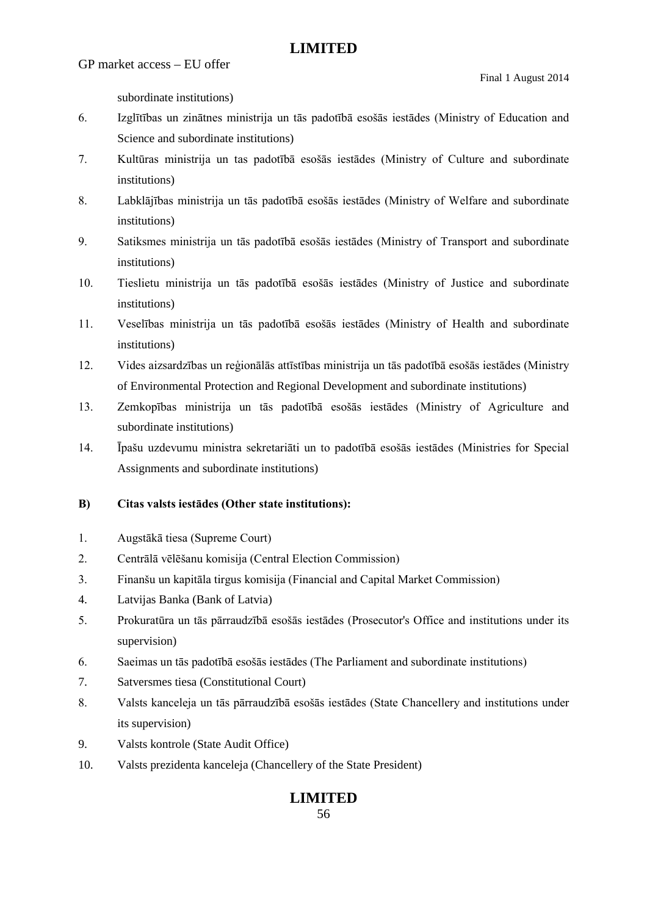GP market access – EU offer

subordinate institutions)

- 6. Izglītības un zinātnes ministrija un tās padotībā esošās iestādes (Ministry of Education and Science and subordinate institutions)
- 7. Kultūras ministrija un tas padotībā esošās iestādes (Ministry of Culture and subordinate institutions)
- 8. Labklājības ministrija un tās padotībā esošās iestādes (Ministry of Welfare and subordinate institutions)
- 9. Satiksmes ministrija un tās padotībā esošās iestādes (Ministry of Transport and subordinate institutions)
- 10. Tieslietu ministrija un tās padotībā esošās iestādes (Ministry of Justice and subordinate institutions)
- 11. Veselības ministrija un tās padotībā esošās iestādes (Ministry of Health and subordinate institutions)
- 12. Vides aizsardzības un reģionālās attīstības ministrija un tās padotībā esošās iestādes (Ministry of Environmental Protection and Regional Development and subordinate institutions)
- 13. Zemkopības ministrija un tās padotībā esošās iestādes (Ministry of Agriculture and subordinate institutions)
- 14. Īpašu uzdevumu ministra sekretariāti un to padotībā esošās iestādes (Ministries for Special Assignments and subordinate institutions)

### **B) Citas valsts iestādes (Other state institutions):**

- 1. Augstākā tiesa (Supreme Court)
- 2. Centrālā vēlēšanu komisija (Central Election Commission)
- 3. Finanšu un kapitāla tirgus komisija (Financial and Capital Market Commission)
- 4. Latvijas Banka (Bank of Latvia)
- 5. Prokuratūra un tās pārraudzībā esošās iestādes (Prosecutor's Office and institutions under its supervision)
- 6. Saeimas un tās padotībā esošās iestādes (The Parliament and subordinate institutions)
- 7. Satversmes tiesa (Constitutional Court)
- 8. Valsts kanceleja un tās pārraudzībā esošās iestādes (State Chancellery and institutions under its supervision)
- 9. Valsts kontrole (State Audit Office)
- 10. Valsts prezidenta kanceleja (Chancellery of the State President)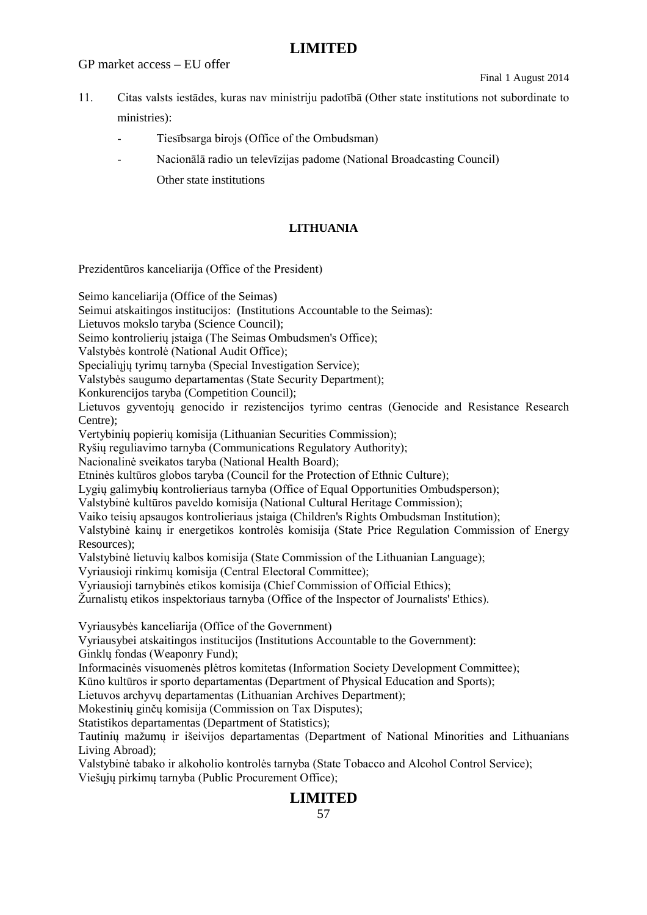GP market access – EU offer

Final 1 August 2014

- 11. Citas valsts iestādes, kuras nav ministriju padotībā (Other state institutions not subordinate to ministries):
	- Tiesībsarga birojs (Office of the Ombudsman)
	- Nacionālā radio un televīzijas padome (National Broadcasting Council) Other state institutions

### **LITHUANIA**

Prezidentūros kanceliarija (Office of the President)

Seimo kanceliarija (Office of the Seimas)

Seimui atskaitingos institucijos: (Institutions Accountable to the Seimas):

Lietuvos mokslo taryba (Science Council);

Seimo kontrolierių įstaiga (The Seimas Ombudsmen's Office);

Valstybės kontrolė (National Audit Office);

Specialiujų tyrimų tarnyba (Special Investigation Service);

Valstybės saugumo departamentas (State Security Department);

Konkurencijos taryba (Competition Council);

Lietuvos gyventojų genocido ir rezistencijos tyrimo centras (Genocide and Resistance Research Centre);

Vertybinių popierių komisija (Lithuanian Securities Commission);

Ryšių reguliavimo tarnyba (Communications Regulatory Authority);

Nacionalinė sveikatos taryba (National Health Board);

Etninės kultūros globos taryba (Council for the Protection of Ethnic Culture);

Lygių galimybių kontrolieriaus tarnyba (Office of Equal Opportunities Ombudsperson);

Valstybinė kultūros paveldo komisija (National Cultural Heritage Commission);

Vaiko teisių apsaugos kontrolieriaus įstaiga (Children's Rights Ombudsman Institution);

Valstybinė kainų ir energetikos kontrolės komisija (State Price Regulation Commission of Energy Resources);

Valstybinė lietuvių kalbos komisija (State Commission of the Lithuanian Language);

Vyriausioji rinkimų komisija (Central Electoral Committee);

Vyriausioji tarnybinės etikos komisija (Chief Commission of Official Ethics);

Žurnalistų etikos inspektoriaus tarnyba (Office of the Inspector of Journalists' Ethics).

Vyriausybės kanceliarija (Office of the Government)

Vyriausybei atskaitingos institucijos (Institutions Accountable to the Government):

Ginklų fondas (Weaponry Fund);

Informacinės visuomenės plėtros komitetas (Information Society Development Committee);

Kūno kultūros ir sporto departamentas (Department of Physical Education and Sports);

Lietuvos archyvų departamentas (Lithuanian Archives Department);

Mokestinių ginčų komisija (Commission on Tax Disputes);

Statistikos departamentas (Department of Statistics);

Tautinių mažumų ir išeivijos departamentas (Department of National Minorities and Lithuanians Living Abroad);

Valstybinė tabako ir alkoholio kontrolės tarnyba (State Tobacco and Alcohol Control Service); Viešųjų pirkimų tarnyba (Public Procurement Office);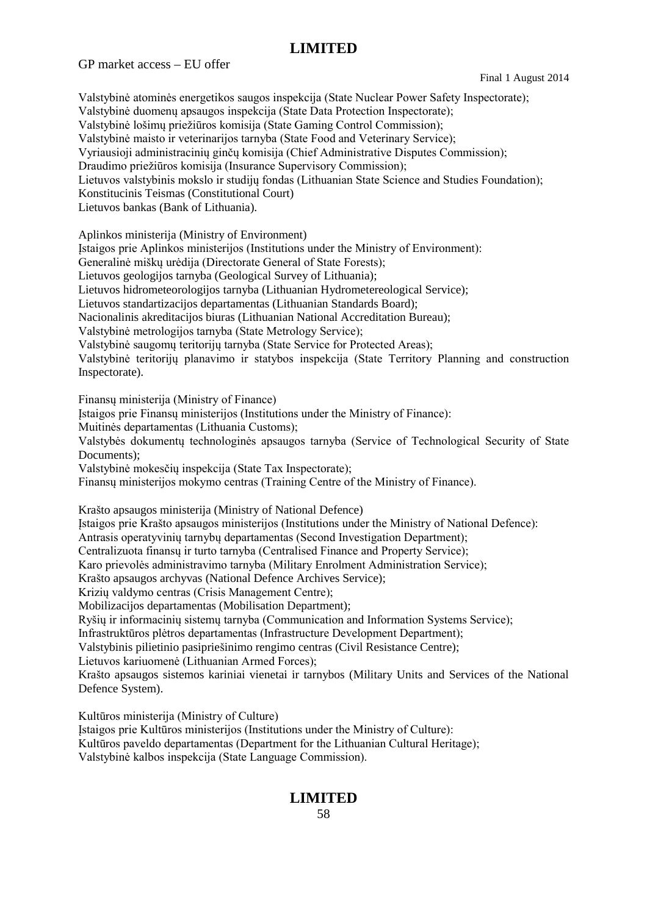GP market access – EU offer

Final 1 August 2014

Valstybinė atominės energetikos saugos inspekcija (State Nuclear Power Safety Inspectorate); Valstybinė duomenų apsaugos inspekcija (State Data Protection Inspectorate); Valstybinė lošimų priežiūros komisija (State Gaming Control Commission); Valstybinė maisto ir veterinarijos tarnyba (State Food and Veterinary Service); Vyriausioji administracinių ginčų komisija (Chief Administrative Disputes Commission); Draudimo priežiūros komisija (Insurance Supervisory Commission); Lietuvos valstybinis mokslo ir studijų fondas (Lithuanian State Science and Studies Foundation); Konstitucinis Teismas (Constitutional Court) Lietuvos bankas (Bank of Lithuania). Aplinkos ministerija (Ministry of Environment) Įstaigos prie Aplinkos ministerijos (Institutions under the Ministry of Environment): Generalinė miškų urėdija (Directorate General of State Forests); Lietuvos geologijos tarnyba (Geological Survey of Lithuania); Lietuvos hidrometeorologijos tarnyba (Lithuanian Hydrometereological Service); Lietuvos standartizacijos departamentas (Lithuanian Standards Board); Nacionalinis akreditacijos biuras (Lithuanian National Accreditation Bureau); Valstybinė metrologijos tarnyba (State Metrology Service); Valstybinė saugomų teritorijų tarnyba (State Service for Protected Areas); Valstybinė teritorijų planavimo ir statybos inspekcija (State Territory Planning and construction Inspectorate). Finansų ministerija (Ministry of Finance) Įstaigos prie Finansų ministerijos (Institutions under the Ministry of Finance): Muitinės departamentas (Lithuania Customs); Valstybės dokumentų technologinės apsaugos tarnyba (Service of Technological Security of State Documents); Valstybinė mokesčių inspekcija (State Tax Inspectorate); Finansų ministerijos mokymo centras (Training Centre of the Ministry of Finance). Krašto apsaugos ministerija (Ministry of National Defence) Įstaigos prie Krašto apsaugos ministerijos (Institutions under the Ministry of National Defence): Antrasis operatyvinių tarnybų departamentas (Second Investigation Department); Centralizuota finansų ir turto tarnyba (Centralised Finance and Property Service); Karo prievolės administravimo tarnyba (Military Enrolment Administration Service); Krašto apsaugos archyvas (National Defence Archives Service); Krizių valdymo centras (Crisis Management Centre); Mobilizacijos departamentas (Mobilisation Department); Ryšių ir informacinių sistemų tarnyba (Communication and Information Systems Service); Infrastruktūros plėtros departamentas (Infrastructure Development Department); Valstybinis pilietinio pasipriešinimo rengimo centras (Civil Resistance Centre); Lietuvos kariuomenė (Lithuanian Armed Forces); Krašto apsaugos sistemos kariniai vienetai ir tarnybos (Military Units and Services of the National Defence System). Kultūros ministerija (Ministry of Culture) Įstaigos prie Kultūros ministerijos (Institutions under the Ministry of Culture): Kultūros paveldo departamentas (Department for the Lithuanian Cultural Heritage);

Valstybinė kalbos inspekcija (State Language Commission).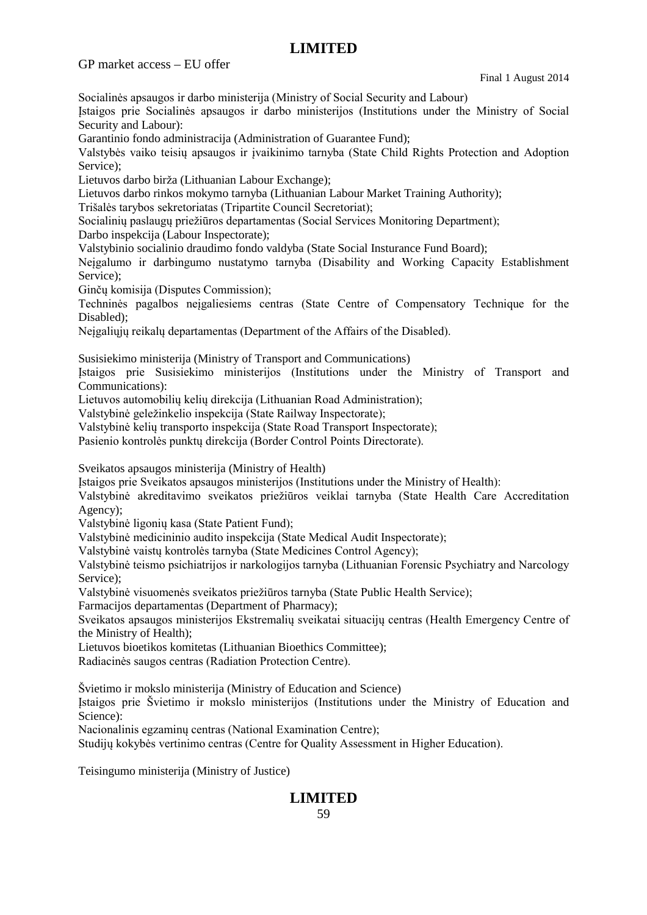GP market access – EU offer

Final 1 August 2014

Socialinės apsaugos ir darbo ministerija (Ministry of Social Security and Labour)

Įstaigos prie Socialinės apsaugos ir darbo ministerijos (Institutions under the Ministry of Social Security and Labour):

Garantinio fondo administracija (Administration of Guarantee Fund);

Valstybės vaiko teisių apsaugos ir įvaikinimo tarnyba (State Child Rights Protection and Adoption Service);

Lietuvos darbo birža (Lithuanian Labour Exchange);

Lietuvos darbo rinkos mokymo tarnyba (Lithuanian Labour Market Training Authority);

Trišalės tarybos sekretoriatas (Tripartite Council Secretoriat);

Socialinių paslaugų priežiūros departamentas (Social Services Monitoring Department);

Darbo inspekcija (Labour Inspectorate);

Valstybinio socialinio draudimo fondo valdyba (State Social Insturance Fund Board);

Neįgalumo ir darbingumo nustatymo tarnyba (Disability and Working Capacity Establishment Service);

Ginčų komisija (Disputes Commission);

Techninės pagalbos neįgaliesiems centras (State Centre of Compensatory Technique for the Disabled);

Neįgaliųjų reikalų departamentas (Department of the Affairs of the Disabled).

Susisiekimo ministerija (Ministry of Transport and Communications)

Įstaigos prie Susisiekimo ministerijos (Institutions under the Ministry of Transport and Communications):

Lietuvos automobilių kelių direkcija (Lithuanian Road Administration);

Valstybinė geležinkelio inspekcija (State Railway Inspectorate);

Valstybinė kelių transporto inspekcija (State Road Transport Inspectorate);

Pasienio kontrolės punktų direkcija (Border Control Points Directorate).

Sveikatos apsaugos ministerija (Ministry of Health)

Įstaigos prie Sveikatos apsaugos ministerijos (Institutions under the Ministry of Health):

Valstybinė akreditavimo sveikatos priežiūros veiklai tarnyba (State Health Care Accreditation Agency);

Valstybinė ligonių kasa (State Patient Fund);

Valstybinė medicininio audito inspekcija (State Medical Audit Inspectorate);

Valstybinė vaistų kontrolės tarnyba (State Medicines Control Agency);

Valstybinė teismo psichiatrijos ir narkologijos tarnyba (Lithuanian Forensic Psychiatry and Narcology Service);

Valstybinė visuomenės sveikatos priežiūros tarnyba (State Public Health Service);

Farmacijos departamentas (Department of Pharmacy);

Sveikatos apsaugos ministerijos Ekstremalių sveikatai situacijų centras (Health Emergency Centre of the Ministry of Health);

Lietuvos bioetikos komitetas (Lithuanian Bioethics Committee);

Radiacinės saugos centras (Radiation Protection Centre).

Švietimo ir mokslo ministerija (Ministry of Education and Science)

Įstaigos prie Švietimo ir mokslo ministerijos (Institutions under the Ministry of Education and Science):

Nacionalinis egzaminų centras (National Examination Centre);

Studijų kokybės vertinimo centras (Centre for Quality Assessment in Higher Education).

Teisingumo ministerija (Ministry of Justice)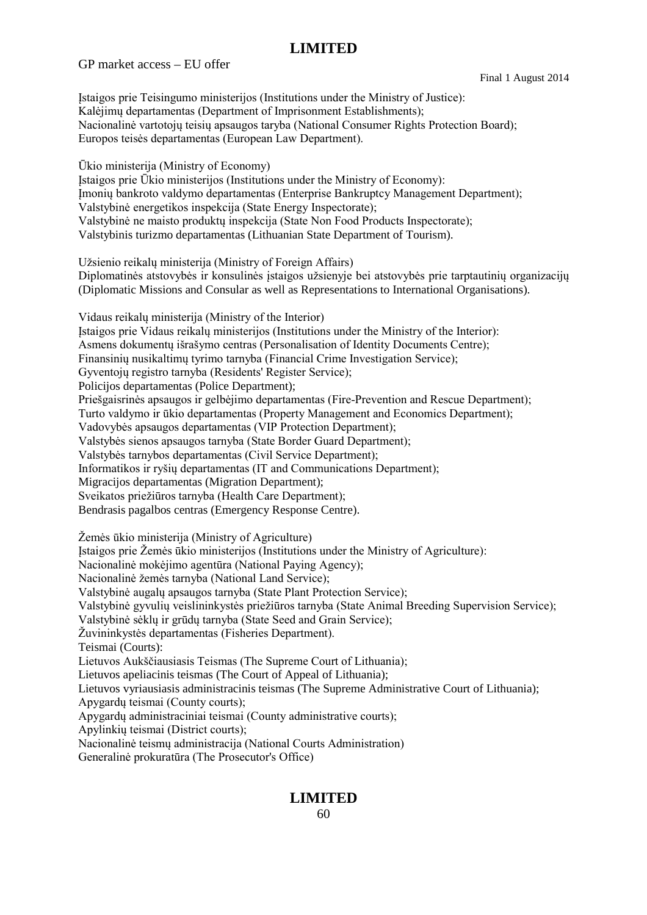GP market access – EU offer

Final 1 August 2014

Įstaigos prie Teisingumo ministerijos (Institutions under the Ministry of Justice): Kalėjimų departamentas (Department of Imprisonment Establishments); Nacionalinė vartotojų teisių apsaugos taryba (National Consumer Rights Protection Board); Europos teisės departamentas (European Law Department).

Ūkio ministerija (Ministry of Economy) Įstaigos prie Ūkio ministerijos (Institutions under the Ministry of Economy): Įmonių bankroto valdymo departamentas (Enterprise Bankruptcy Management Department); Valstybinė energetikos inspekcija (State Energy Inspectorate); Valstybinė ne maisto produktų inspekcija (State Non Food Products Inspectorate); Valstybinis turizmo departamentas (Lithuanian State Department of Tourism).

Užsienio reikalų ministerija (Ministry of Foreign Affairs) Diplomatinės atstovybės ir konsulinės įstaigos užsienyje bei atstovybės prie tarptautinių organizacijų (Diplomatic Missions and Consular as well as Representations to International Organisations).

Vidaus reikalų ministerija (Ministry of the Interior) Įstaigos prie Vidaus reikalų ministerijos (Institutions under the Ministry of the Interior): Asmens dokumentų išrašymo centras (Personalisation of Identity Documents Centre); Finansinių nusikaltimų tyrimo tarnyba (Financial Crime Investigation Service); Gyventojų registro tarnyba (Residents' Register Service); Policijos departamentas (Police Department); Priešgaisrinės apsaugos ir gelbėjimo departamentas (Fire-Prevention and Rescue Department); Turto valdymo ir ūkio departamentas (Property Management and Economics Department); Vadovybės apsaugos departamentas (VIP Protection Department); Valstybės sienos apsaugos tarnyba (State Border Guard Department); Valstybės tarnybos departamentas (Civil Service Department); Informatikos ir ryšių departamentas (IT and Communications Department); Migracijos departamentas (Migration Department); Sveikatos priežiūros tarnyba (Health Care Department); Bendrasis pagalbos centras (Emergency Response Centre).

Žemės ūkio ministerija (Ministry of Agriculture)

Įstaigos prie Žemės ūkio ministerijos (Institutions under the Ministry of Agriculture):

Nacionalinė mokėjimo agentūra (National Paying Agency);

Nacionalinė žemės tarnyba (National Land Service);

Valstybinė augalų apsaugos tarnyba (State Plant Protection Service);

Valstybinė gyvulių veislininkystės priežiūros tarnyba (State Animal Breeding Supervision Service);

Valstybinė sėklų ir grūdų tarnyba (State Seed and Grain Service);

Žuvininkystės departamentas (Fisheries Department).

Teismai (Courts):

Lietuvos Aukščiausiasis Teismas (The Supreme Court of Lithuania);

Lietuvos apeliacinis teismas (The Court of Appeal of Lithuania);

Lietuvos vyriausiasis administracinis teismas (The Supreme Administrative Court of Lithuania);

Apygardų teismai (County courts);

Apygardų administraciniai teismai (County administrative courts);

Apylinkių teismai (District courts);

Nacionalinė teismų administracija (National Courts Administration)

Generalinė prokuratūra (The Prosecutor's Office)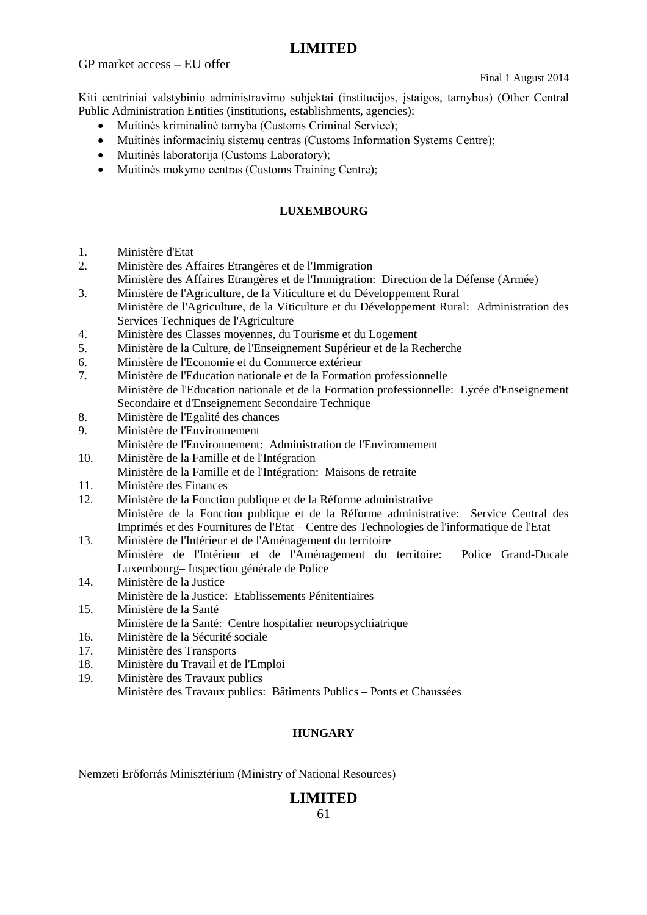GP market access – EU offer

Final 1 August 2014

Kiti centriniai valstybinio administravimo subjektai (institucijos, įstaigos, tarnybos) (Other Central Public Administration Entities (institutions, establishments, agencies):

- Muitinės kriminalinė tarnyba (Customs Criminal Service);
- Muitinės informacinių sistemų centras (Customs Information Systems Centre);
- Muitinės laboratorija (Customs Laboratory);
- Muitinės mokymo centras (Customs Training Centre);

#### **LUXEMBOURG**

- 1. Ministère d'Etat
- 2. Ministère des Affaires Etrangères et de l'Immigration
- Ministère des Affaires Etrangères et de l'Immigration: Direction de la Défense (Armée)
- 3. Ministère de l'Agriculture, de la Viticulture et du Développement Rural Ministère de l'Agriculture, de la Viticulture et du Développement Rural: Administration des Services Techniques de l'Agriculture
- 4. Ministère des Classes moyennes, du Tourisme et du Logement
- 5. Ministère de la Culture, de l'Enseignement Supérieur et de la Recherche
- 6. Ministère de l'Economie et du Commerce extérieur
- 7. Ministère de l'Education nationale et de la Formation professionnelle Ministère de l'Education nationale et de la Formation professionnelle: Lycée d'Enseignement Secondaire et d'Enseignement Secondaire Technique
- 8. Ministère de l'Egalité des chances
- 9. Ministère de l'Environnement Ministère de l'Environnement: Administration de l'Environnement
- 10. Ministère de la Famille et de l'Intégration Ministère de la Famille et de l'Intégration: Maisons de retraite
- 11. Ministère des Finances
- 12. Ministère de la Fonction publique et de la Réforme administrative Ministère de la Fonction publique et de la Réforme administrative: Service Central des Imprimés et des Fournitures de l'Etat – Centre des Technologies de l'informatique de l'Etat
- 13. Ministère de l'Intérieur et de l'Aménagement du territoire Ministère de l'Intérieur et de l'Aménagement du territoire: Police Grand-Ducale Luxembourg– Inspection générale de Police
- 14. Ministère de la Justice Ministère de la Justice: Etablissements Pénitentiaires
- 15. Ministère de la Santé Ministère de la Santé: Centre hospitalier neuropsychiatrique
- 16. Ministère de la Sécurité sociale
- 17. Ministère des Transports
- 18. Ministère du Travail et de l'Emploi
- 19. Ministère des Travaux publics Ministère des Travaux publics: Bâtiments Publics – Ponts et Chaussées

### **HUNGARY**

Nemzeti Erőforrás Minisztérium (Ministry of National Resources)

### **LIMITED**

61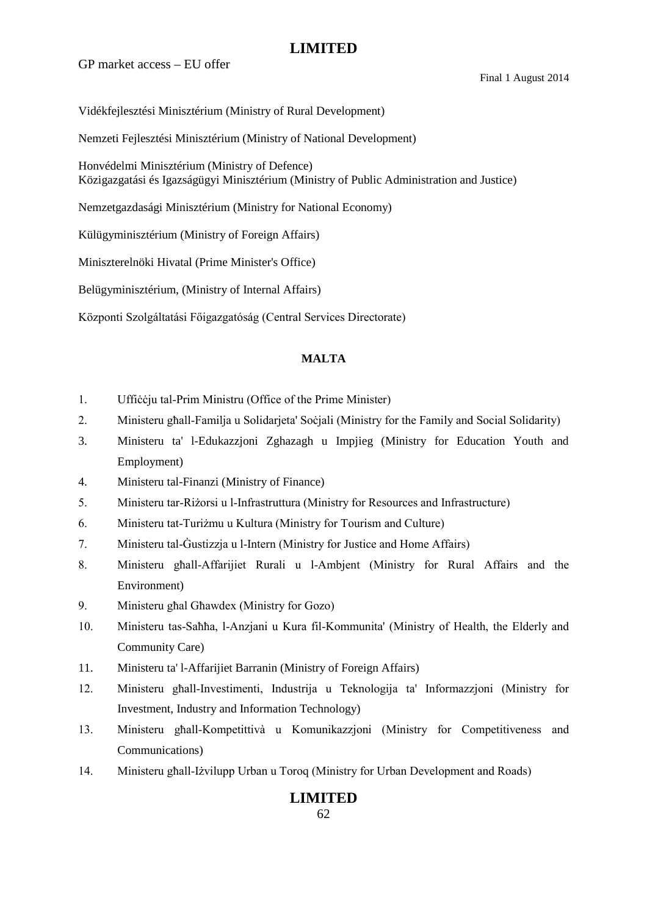GP market access – EU offer

Final 1 August 2014

Vidékfejlesztési Minisztérium (Ministry of Rural Development)

Nemzeti Fejlesztési Minisztérium (Ministry of National Development)

Honvédelmi Minisztérium (Ministry of Defence) Közigazgatási és Igazságügyi Minisztérium (Ministry of Public Administration and Justice)

Nemzetgazdasági Minisztérium (Ministry for National Economy)

Külügyminisztérium (Ministry of Foreign Affairs)

Miniszterelnöki Hivatal (Prime Minister's Office)

Belügyminisztérium, (Ministry of Internal Affairs)

Központi Szolgáltatási Főigazgatóság (Central Services Directorate)

### **MALTA**

- 1. Ufficcju tal-Prim Ministru (Office of the Prime Minister)
- 2. Ministeru għall-Familja u Solidarjeta' Soċjali (Ministry for the Family and Social Solidarity)
- 3. Ministeru ta' l-Edukazzjoni Zghazagh u Impjieg (Ministry for Education Youth and Employment)
- 4. Ministeru tal-Finanzi (Ministry of Finance)
- 5. Ministeru tar-Riżorsi u l-Infrastruttura (Ministry for Resources and Infrastructure)
- 6. Ministeru tat-Turiżmu u Kultura (Ministry for Tourism and Culture)
- 7. Ministeru tal-Ġustizzja u l-Intern (Ministry for Justice and Home Affairs)
- 8. Ministeru għall-Affarijiet Rurali u l-Ambjent (Ministry for Rural Affairs and the Environment)
- 9. Ministeru għal Għawdex (Ministry for Gozo)
- 10. Ministeru tas-Saħħa, l-Anzjani u Kura fil-Kommunita' (Ministry of Health, the Elderly and Community Care)
- 11. Ministeru ta' l-Affarijiet Barranin (Ministry of Foreign Affairs)
- 12. Ministeru għall-Investimenti, Industrija u Teknologija ta' Informazzjoni (Ministry for Investment, Industry and Information Technology)
- 13. Ministeru għall-Kompetittivà u Komunikazzjoni (Ministry for Competitiveness and Communications)
- 14. Ministeru għall-Iżvilupp Urban u Toroq (Ministry for Urban Development and Roads)

## **LIMITED**

62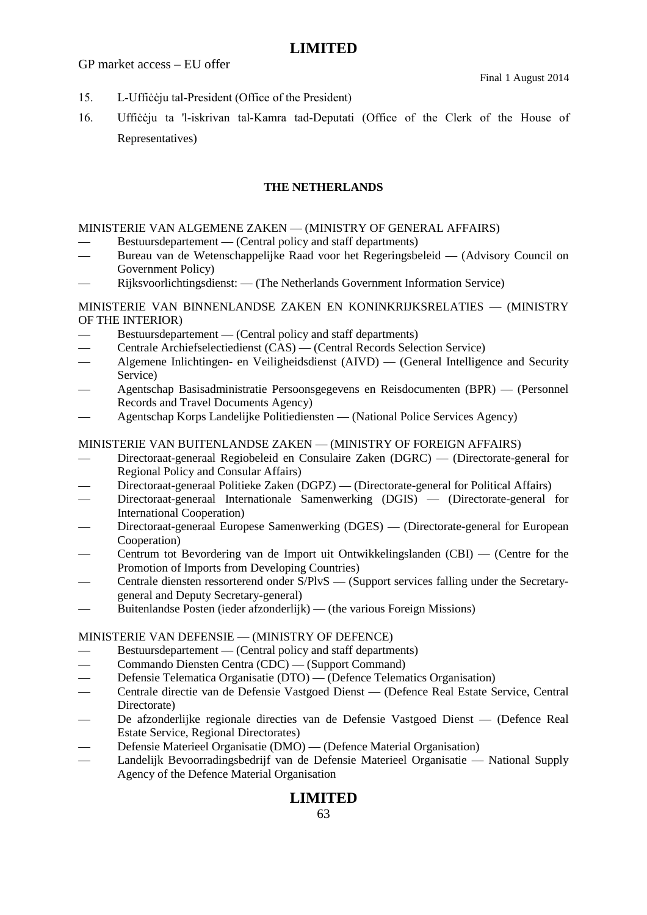GP market access – EU offer

- 15. L-Uffiċċju tal-President (Office of the President)
- 16. Uffiċċju ta 'l-iskrivan tal-Kamra tad-Deputati (Office of the Clerk of the House of Representatives)

#### **THE NETHERLANDS**

#### MINISTERIE VAN ALGEMENE ZAKEN — (MINISTRY OF GENERAL AFFAIRS)

- Bestuursdepartement (Central policy and staff departments)
- Bureau van de Wetenschappelijke Raad voor het Regeringsbeleid (Advisory Council on Government Policy)
- Rijksvoorlichtingsdienst: (The Netherlands Government Information Service)

### MINISTERIE VAN BINNENLANDSE ZAKEN EN KONINKRIJKSRELATIES — (MINISTRY OF THE INTERIOR)

- Bestuursdepartement (Central policy and staff departments)
- Centrale Archiefselectiedienst (CAS) (Central Records Selection Service)
- Algemene Inlichtingen- en Veiligheidsdienst (AIVD) (General Intelligence and Security Service)
- Agentschap Basisadministratie Persoonsgegevens en Reisdocumenten (BPR) (Personnel Records and Travel Documents Agency)
- Agentschap Korps Landelijke Politiediensten (National Police Services Agency)

#### MINISTERIE VAN BUITENLANDSE ZAKEN — (MINISTRY OF FOREIGN AFFAIRS)

- Directoraat-generaal Regiobeleid en Consulaire Zaken (DGRC) (Directorate-general for Regional Policy and Consular Affairs)
- Directoraat-generaal Politieke Zaken (DGPZ) (Directorate-general for Political Affairs)
- Directoraat-generaal Internationale Samenwerking (DGIS) (Directorate-general for International Cooperation)
- Directoraat-generaal Europese Samenwerking (DGES) (Directorate-general for European Cooperation)
- Centrum tot Bevordering van de Import uit Ontwikkelingslanden (CBI) (Centre for the Promotion of Imports from Developing Countries)
- Centrale diensten ressorterend onder S/PlvS (Support services falling under the Secretarygeneral and Deputy Secretary-general)
- Buitenlandse Posten (ieder afzonderlijk) (the various Foreign Missions)

#### MINISTERIE VAN DEFENSIE — (MINISTRY OF DEFENCE)

- Bestuursdepartement (Central policy and staff departments)
- Commando Diensten Centra (CDC) (Support Command)
- Defensie Telematica Organisatie (DTO) (Defence Telematics Organisation)
- Centrale directie van de Defensie Vastgoed Dienst (Defence Real Estate Service, Central Directorate)
- De afzonderlijke regionale directies van de Defensie Vastgoed Dienst (Defence Real Estate Service, Regional Directorates)
- Defensie Materieel Organisatie (DMO) (Defence Material Organisation)
- Landelijk Bevoorradingsbedrijf van de Defensie Materieel Organisatie National Supply Agency of the Defence Material Organisation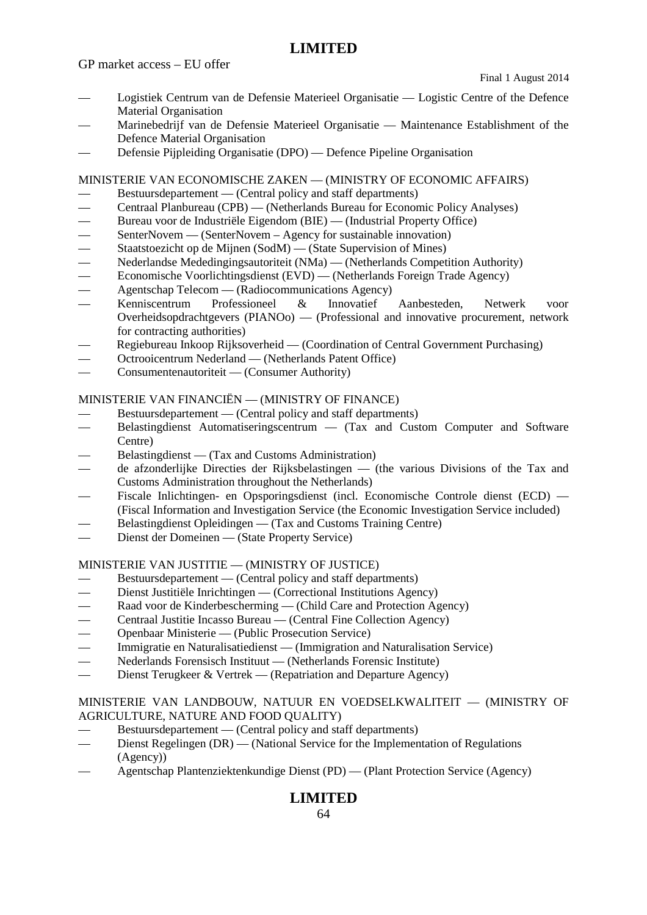GP market access – EU offer

Final 1 August 2014

- Logistiek Centrum van de Defensie Materieel Organisatie Logistic Centre of the Defence Material Organisation
- Marinebedrijf van de Defensie Materieel Organisatie Maintenance Establishment of the Defence Material Organisation
- Defensie Pijpleiding Organisatie (DPO) Defence Pipeline Organisation

MINISTERIE VAN ECONOMISCHE ZAKEN — (MINISTRY OF ECONOMIC AFFAIRS)

- Bestuursdepartement (Central policy and staff departments)
- Centraal Planbureau (CPB) (Netherlands Bureau for Economic Policy Analyses)
- Bureau voor de Industriële Eigendom (BIE) (Industrial Property Office)
- 
- Staatstoezicht op de Mijnen (SodM) (State Supervision of Mines)
- SenterNovem (SenterNovem Agency for sustainable innovation)<br>
Staatstoezicht op de Mijnen (SodM) (State Supervision of Mines)<br>
Nederlandse Mededingingsautoriteit (NMa) (Netherlands Competit — Nederlandse Mededingingsautoriteit (NMa) — (Netherlands Competition Authority)
- Economische Voorlichtingsdienst (EVD) (Netherlands Foreign Trade Agency)
- Agentschap Telecom (Radiocommunications Agency)<br>Kenniscentrum Professioneel & Innovatief
- Kenniscentrum Professioneel & Innovatief Aanbesteden, Netwerk voor Overheidsopdrachtgevers (PIANOo) — (Professional and innovative procurement, network for contracting authorities)
- Regiebureau Inkoop Rijksoverheid (Coordination of Central Government Purchasing)
- Octrooicentrum Nederland (Netherlands Patent Office)
- Consumentenautoriteit (Consumer Authority)

### MINISTERIE VAN FINANCIËN — (MINISTRY OF FINANCE)

- Bestuursdepartement (Central policy and staff departments)
- Belastingdienst Automatiseringscentrum (Tax and Custom Computer and Software Centre)
- Belastingdienst (Tax and Customs Administration)
- de afzonderlijke Directies der Rijksbelastingen (the various Divisions of the Tax and Customs Administration throughout the Netherlands)
- Fiscale Inlichtingen- en Opsporingsdienst (incl. Economische Controle dienst (ECD) (Fiscal Information and Investigation Service (the Economic Investigation Service included)
- Belastingdienst Opleidingen (Tax and Customs Training Centre)
- Dienst der Domeinen (State Property Service)

#### MINISTERIE VAN JUSTITIE — (MINISTRY OF JUSTICE)

- Bestuursdepartement (Central policy and staff departments)
- Dienst Justitiële Inrichtingen (Correctional Institutions Agency)
- Raad voor de Kinderbescherming (Child Care and Protection Agency)
- Centraal Justitie Incasso Bureau (Central Fine Collection Agency)
- Openbaar Ministerie (Public Prosecution Service)
- Immigratie en Naturalisatiedienst (Immigration and Naturalisation Service)
- Nederlands Forensisch Instituut (Netherlands Forensic Institute)
- Dienst Terugkeer & Vertrek (Repatriation and Departure Agency)

#### MINISTERIE VAN LANDBOUW, NATUUR EN VOEDSELKWALITEIT — (MINISTRY OF AGRICULTURE, NATURE AND FOOD QUALITY)

- Bestuursdepartement (Central policy and staff departments)
- Dienst Regelingen (DR) (National Service for the Implementation of Regulations (Agency))
- Agentschap Plantenziektenkundige Dienst (PD) (Plant Protection Service (Agency)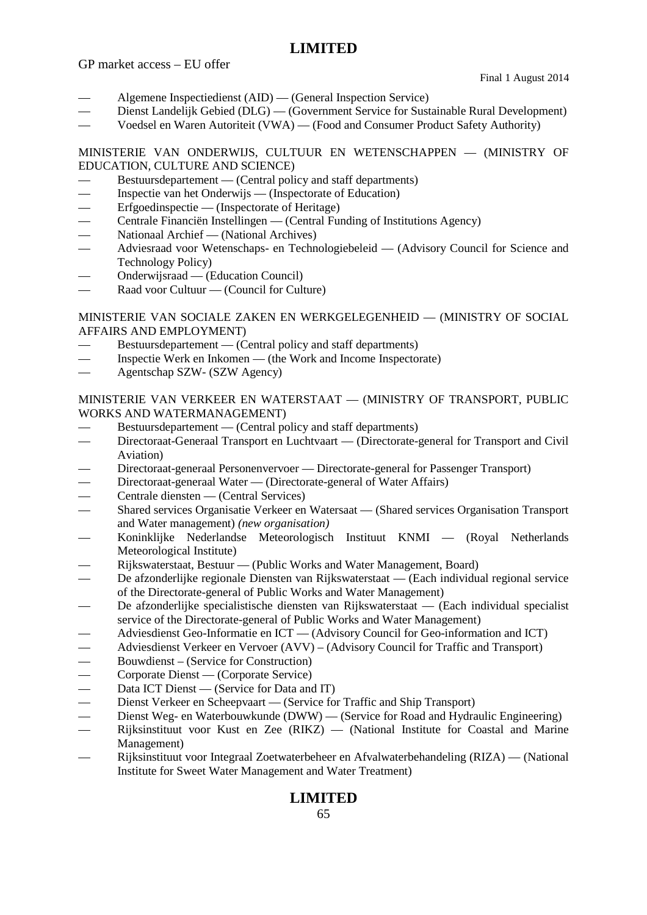GP market access – EU offer

Final 1 August 2014

- Algemene Inspectiedienst (AID) (General Inspection Service)
- Dienst Landelijk Gebied (DLG) (Government Service for Sustainable Rural Development)
- Voedsel en Waren Autoriteit (VWA) (Food and Consumer Product Safety Authority)

MINISTERIE VAN ONDERWIJS, CULTUUR EN WETENSCHAPPEN — (MINISTRY OF EDUCATION, CULTURE AND SCIENCE)

- Bestuursdepartement (Central policy and staff departments)
- Inspectie van het Onderwijs (Inspectorate of Education)
- Erfgoedinspectie (Inspectorate of Heritage)
- Centrale Financiën Instellingen (Central Funding of Institutions Agency)
- Nationaal Archief (National Archives)
- Adviesraad voor Wetenschaps- en Technologiebeleid (Advisory Council for Science and Technology Policy)
- Onderwijsraad (Education Council)
- Raad voor Cultuur (Council for Culture)

### MINISTERIE VAN SOCIALE ZAKEN EN WERKGELEGENHEID — (MINISTRY OF SOCIAL AFFAIRS AND EMPLOYMENT)

- Bestuursdepartement (Central policy and staff departments)
- Inspectie Werk en Inkomen (the Work and Income Inspectorate)
- Agentschap SZW- (SZW Agency)

#### MINISTERIE VAN VERKEER EN WATERSTAAT — (MINISTRY OF TRANSPORT, PUBLIC WORKS AND WATERMANAGEMENT)

- Bestuursdepartement (Central policy and staff departments)
- Directoraat-Generaal Transport en Luchtvaart (Directorate-general for Transport and Civil Aviation)
- Directoraat-generaal Personenvervoer Directorate-general for Passenger Transport)
- Directoraat-generaal Water (Directorate-general of Water Affairs)
- Centrale diensten (Central Services)
- Shared services Organisatie Verkeer en Watersaat (Shared services Organisation Transport and Water management) *(new organisation)*
- Koninklijke Nederlandse Meteorologisch Instituut KNMI (Royal Netherlands Meteorological Institute)
- Rijkswaterstaat, Bestuur (Public Works and Water Management, Board)
- De afzonderlijke regionale Diensten van Rijkswaterstaat (Each individual regional service of the Directorate-general of Public Works and Water Management)
- De afzonderlijke specialistische diensten van Rijkswaterstaat (Each individual specialist service of the Directorate-general of Public Works and Water Management)
- Adviesdienst Geo-Informatie en ICT (Advisory Council for Geo-information and ICT)
- Adviesdienst Verkeer en Vervoer (AVV) (Advisory Council for Traffic and Transport)
- 
- Corporate Dienst (Corporate Service)
- Bouwdienst (Service for Construction)<br>
Corporate Dienst (Corporate Service)<br>
Data ICT Dienst (Service for Data and<br>
Dienst Verkeer en Scheepvaart (Service Data ICT Dienst — (Service for Data and IT)
- Dienst Verkeer en Scheepvaart (Service for Traffic and Ship Transport)
- Dienst Weg- en Waterbouwkunde (DWW) (Service for Road and Hydraulic Engineering)
- Rijksinstituut voor Kust en Zee (RIKZ) (National Institute for Coastal and Marine Management)
- Rijksinstituut voor Integraal Zoetwaterbeheer en Afvalwaterbehandeling (RIZA) (National Institute for Sweet Water Management and Water Treatment)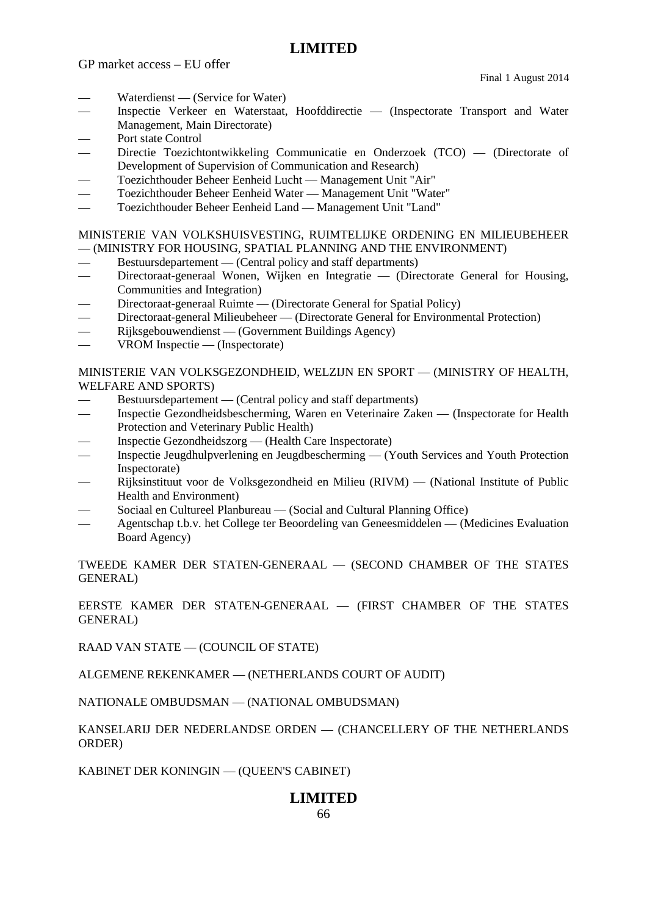GP market access – EU offer

Final 1 August 2014

- Waterdienst (Service for Water)
- Inspectie Verkeer en Waterstaat, Hoofddirectie (Inspectorate Transport and Water Management, Main Directorate)
- Port state Control
- Directie Toezichtontwikkeling Communicatie en Onderzoek (TCO) (Directorate of Development of Supervision of Communication and Research)
- Toezichthouder Beheer Eenheid Lucht Management Unit "Air"
- Toezichthouder Beheer Eenheid Water Management Unit "Water"
- Toezichthouder Beheer Eenheid Land Management Unit "Land"

#### MINISTERIE VAN VOLKSHUISVESTING, RUIMTELIJKE ORDENING EN MILIEUBEHEER — (MINISTRY FOR HOUSING, SPATIAL PLANNING AND THE ENVIRONMENT)

- Bestuursdepartement (Central policy and staff departments)
- Directoraat-generaal Wonen, Wijken en Integratie (Directorate General for Housing, Communities and Integration)
- Directoraat-generaal Ruimte (Directorate General for Spatial Policy)
- Directoraat-general Milieubeheer (Directorate General for Environmental Protection)
- Rijksgebouwendienst (Government Buildings Agency)
- VROM Inspectie (Inspectorate)

### MINISTERIE VAN VOLKSGEZONDHEID, WELZIJN EN SPORT — (MINISTRY OF HEALTH, WELFARE AND SPORTS)

- Bestuursdepartement (Central policy and staff departments)
- Inspectie Gezondheidsbescherming, Waren en Veterinaire Zaken (Inspectorate for Health Protection and Veterinary Public Health)
- Inspectie Gezondheidszorg (Health Care Inspectorate)
- Inspectie Jeugdhulpverlening en Jeugdbescherming (Youth Services and Youth Protection Inspectorate)
- Rijksinstituut voor de Volksgezondheid en Milieu (RIVM) (National Institute of Public Health and Environment)
- Sociaal en Cultureel Planbureau (Social and Cultural Planning Office)
- Agentschap t.b.v. het College ter Beoordeling van Geneesmiddelen (Medicines Evaluation Board Agency)

TWEEDE KAMER DER STATEN-GENERAAL — (SECOND CHAMBER OF THE STATES GENERAL)

EERSTE KAMER DER STATEN-GENERAAL — (FIRST CHAMBER OF THE STATES GENERAL)

RAAD VAN STATE — (COUNCIL OF STATE)

ALGEMENE REKENKAMER — (NETHERLANDS COURT OF AUDIT)

NATIONALE OMBUDSMAN — (NATIONAL OMBUDSMAN)

KANSELARIJ DER NEDERLANDSE ORDEN — (CHANCELLERY OF THE NETHERLANDS ORDER)

KABINET DER KONINGIN — (QUEEN'S CABINET)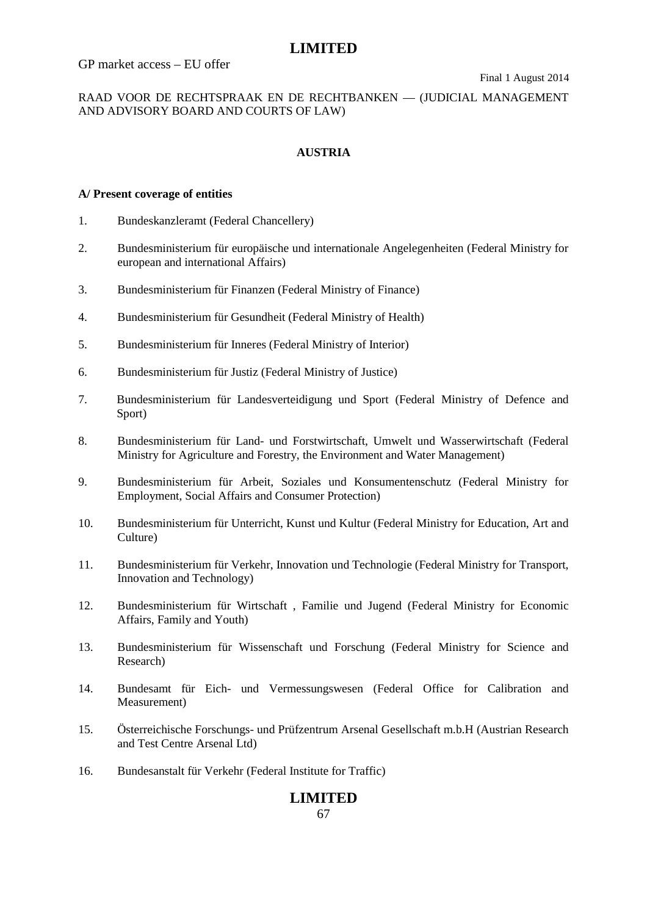GP market access – EU offer

RAAD VOOR DE RECHTSPRAAK EN DE RECHTBANKEN — (JUDICIAL MANAGEMENT AND ADVISORY BOARD AND COURTS OF LAW)

### **AUSTRIA**

#### **A/ Present coverage of entities**

- 1. Bundeskanzleramt (Federal Chancellery)
- 2. Bundesministerium für europäische und internationale Angelegenheiten (Federal Ministry for european and international Affairs)
- 3. Bundesministerium für Finanzen (Federal Ministry of Finance)
- 4. Bundesministerium für Gesundheit (Federal Ministry of Health)
- 5. Bundesministerium für Inneres (Federal Ministry of Interior)
- 6. Bundesministerium für Justiz (Federal Ministry of Justice)
- 7. Bundesministerium für Landesverteidigung und Sport (Federal Ministry of Defence and Sport)
- 8. Bundesministerium für Land- und Forstwirtschaft, Umwelt und Wasserwirtschaft (Federal Ministry for Agriculture and Forestry, the Environment and Water Management)
- 9. Bundesministerium für Arbeit, Soziales und Konsumentenschutz (Federal Ministry for Employment, Social Affairs and Consumer Protection)
- 10. Bundesministerium für Unterricht, Kunst und Kultur (Federal Ministry for Education, Art and Culture)
- 11. Bundesministerium für Verkehr, Innovation und Technologie (Federal Ministry for Transport, Innovation and Technology)
- 12. Bundesministerium für Wirtschaft , Familie und Jugend (Federal Ministry for Economic Affairs, Family and Youth)
- 13. Bundesministerium für Wissenschaft und Forschung (Federal Ministry for Science and Research)
- 14. Bundesamt für Eich- und Vermessungswesen (Federal Office for Calibration and Measurement)
- 15. Österreichische Forschungs- und Prüfzentrum Arsenal Gesellschaft m.b.H (Austrian Research and Test Centre Arsenal Ltd)
- 16. Bundesanstalt für Verkehr (Federal Institute for Traffic)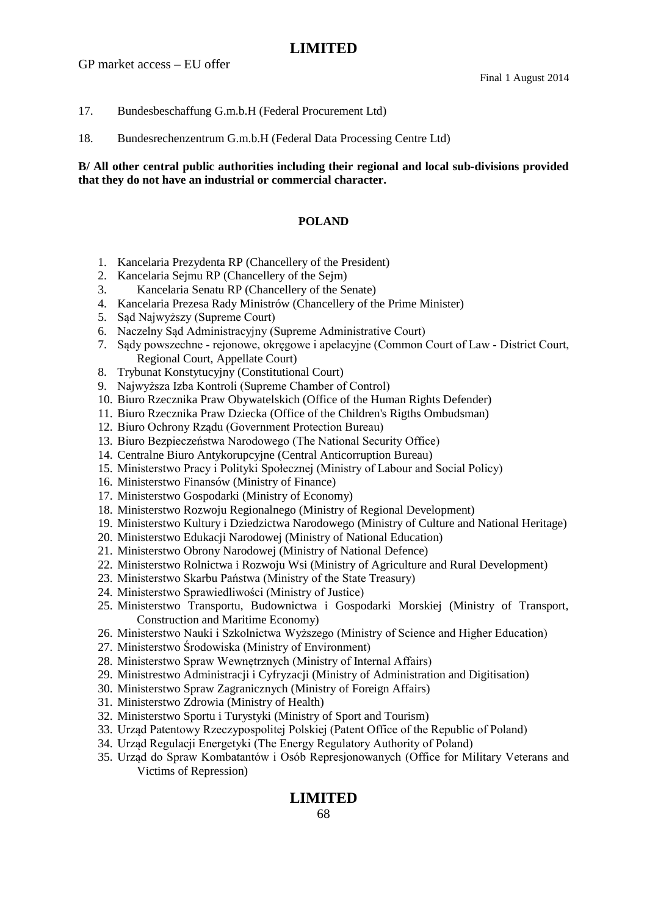GP market access – EU offer

#### 17. Bundesbeschaffung G.m.b.H (Federal Procurement Ltd)

18. Bundesrechenzentrum G.m.b.H (Federal Data Processing Centre Ltd)

#### **B/ All other central public authorities including their regional and local sub-divisions provided that they do not have an industrial or commercial character.**

#### **POLAND**

- 1. Kancelaria Prezydenta RP (Chancellery of the President)
- 2. Kancelaria Sejmu RP (Chancellery of the Sejm)
- 3. Kancelaria Senatu RP (Chancellery of the Senate)
- 4. Kancelaria Prezesa Rady Ministrów (Chancellery of the Prime Minister)
- 5. Sąd Najwyższy (Supreme Court)
- 6. Naczelny Sąd Administracyjny (Supreme Administrative Court)
- 7. Sądy powszechne rejonowe, okręgowe i apelacyjne (Common Court of Law District Court, Regional Court, Appellate Court)
- 8. Trybunat Konstytucyjny (Constitutional Court)
- 9. Najwyższa Izba Kontroli (Supreme Chamber of Control)
- 10. Biuro Rzecznika Praw Obywatelskich (Office of the Human Rights Defender)
- 11. Biuro Rzecznika Praw Dziecka (Office of the Children's Rigths Ombudsman)
- 12. Biuro Ochrony Rządu (Government Protection Bureau)
- 13. Biuro Bezpieczeństwa Narodowego (The National Security Office)
- 14. Centralne Biuro Antykorupcyjne (Central Anticorruption Bureau)
- 15. Ministerstwo Pracy i Polityki Społecznej (Ministry of Labour and Social Policy)
- 16. Ministerstwo Finansów (Ministry of Finance)
- 17. Ministerstwo Gospodarki (Ministry of Economy)
- 18. Ministerstwo Rozwoju Regionalnego (Ministry of Regional Development)
- 19. Ministerstwo Kultury i Dziedzictwa Narodowego (Ministry of Culture and National Heritage)
- 20. Ministerstwo Edukacji Narodowej (Ministry of National Education)
- 21. Ministerstwo Obrony Narodowej (Ministry of National Defence)
- 22. Ministerstwo Rolnictwa i Rozwoju Wsi (Ministry of Agriculture and Rural Development)
- 23. Ministerstwo Skarbu Państwa (Ministry of the State Treasury)
- 24. Ministerstwo Sprawiedliwości (Ministry of Justice)
- 25. Ministerstwo Transportu, Budownictwa i Gospodarki Morskiej (Ministry of Transport, Construction and Maritime Economy)
- 26. Ministerstwo Nauki i Szkolnictwa Wyższego (Ministry of Science and Higher Education)
- 27. Ministerstwo Środowiska (Ministry of Environment)
- 28. Ministerstwo Spraw Wewnętrznych (Ministry of Internal Affairs)
- 29. Ministrestwo Administracji i Cyfryzacji (Ministry of Administration and Digitisation)
- 30. Ministerstwo Spraw Zagranicznych (Ministry of Foreign Affairs)
- 31. Ministerstwo Zdrowia (Ministry of Health)
- 32. Ministerstwo Sportu i Turystyki (Ministry of Sport and Tourism)
- 33. Urząd Patentowy Rzeczypospolitej Polskiej (Patent Office of the Republic of Poland)
- 34. Urząd Regulacji Energetyki (The Energy Regulatory Authority of Poland)
- 35. Urząd do Spraw Kombatantów i Osób Represjonowanych (Office for Military Veterans and Victims of Repression)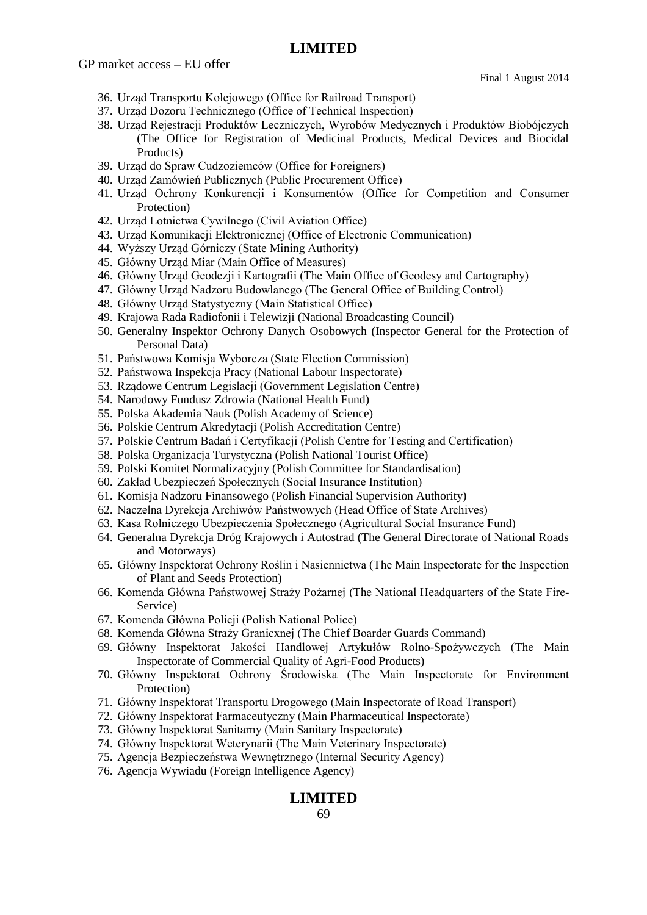GP market access – EU offer

Final 1 August 2014

- 36. Urząd Transportu Kolejowego (Office for Railroad Transport)
- 37. Urząd Dozoru Technicznego (Office of Technical Inspection)
- 38. Urząd Rejestracji Produktów Leczniczych, Wyrobów Medycznych i Produktów Biobójczych (The Office for Registration of Medicinal Products, Medical Devices and Biocidal Products)
- 39. Urząd do Spraw Cudzoziemców (Office for Foreigners)
- 40. Urząd Zamówień Publicznych (Public Procurement Office)
- 41. Urząd Ochrony Konkurencji i Konsumentów (Office for Competition and Consumer Protection)
- 42. Urząd Lotnictwa Cywilnego (Civil Aviation Office)
- 43. Urząd Komunikacji Elektronicznej (Office of Electronic Communication)
- 44. Wyższy Urząd Górniczy (State Mining Authority)
- 45. Główny Urząd Miar (Main Office of Measures)
- 46. Główny Urząd Geodezji i Kartografii (The Main Office of Geodesy and Cartography)
- 47. Główny Urząd Nadzoru Budowlanego (The General Office of Building Control)
- 48. Główny Urząd Statystyczny (Main Statistical Office)
- 49. Krajowa Rada Radiofonii i Telewizji (National Broadcasting Council)
- 50. Generalny Inspektor Ochrony Danych Osobowych (Inspector General for the Protection of Personal Data)
- 51. Państwowa Komisja Wyborcza (State Election Commission)
- 52. Państwowa Inspekcja Pracy (National Labour Inspectorate)
- 53. Rządowe Centrum Legislacji (Government Legislation Centre)
- 54. Narodowy Fundusz Zdrowia (National Health Fund)
- 55. Polska Akademia Nauk (Polish Academy of Science)
- 56. Polskie Centrum Akredytacji (Polish Accreditation Centre)
- 57. Polskie Centrum Badań i Certyfikacji (Polish Centre for Testing and Certification)
- 58. Polska Organizacja Turystyczna (Polish National Tourist Office)
- 59. Polski Komitet Normalizacyjny (Polish Committee for Standardisation)
- 60. Zakład Ubezpieczeń Społecznych (Social Insurance Institution)
- 61. Komisja Nadzoru Finansowego (Polish Financial Supervision Authority)
- 62. Naczelna Dyrekcja Archiwów Państwowych (Head Office of State Archives)
- 63. Kasa Rolniczego Ubezpieczenia Społecznego (Agricultural Social Insurance Fund)
- 64. Generalna Dyrekcja Dróg Krajowych i Autostrad (The General Directorate of National Roads and Motorways)
- 65. Główny Inspektorat Ochrony Roślin i Nasiennictwa (The Main Inspectorate for the Inspection of Plant and Seeds Protection)
- 66. Komenda Główna Państwowej Straży Pożarnej (The National Headquarters of the State Fire-Service)
- 67. Komenda Główna Policji (Polish National Police)
- 68. Komenda Główna Straży Granicxnej (The Chief Boarder Guards Command)
- 69. Główny Inspektorat Jakości Handlowej Artykułów Rolno-Spożywczych (The Main Inspectorate of Commercial Quality of Agri-Food Products)
- 70. Główny Inspektorat Ochrony Środowiska (The Main Inspectorate for Environment Protection)
- 71. Główny Inspektorat Transportu Drogowego (Main Inspectorate of Road Transport)
- 72. Główny Inspektorat Farmaceutyczny (Main Pharmaceutical Inspectorate)
- 73. Główny Inspektorat Sanitarny (Main Sanitary Inspectorate)
- 74. Główny Inspektorat Weterynarii (The Main Veterinary Inspectorate)
- 75. Agencja Bezpieczeństwa Wewnętrznego (Internal Security Agency)
- 76. Agencja Wywiadu (Foreign Intelligence Agency)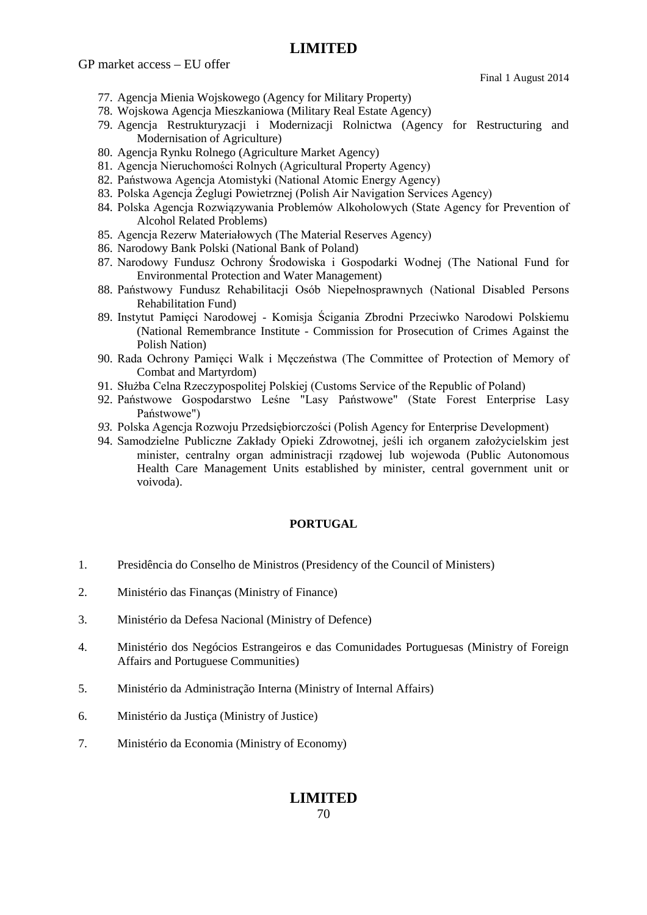GP market access – EU offer

Final 1 August 2014

- 77. Agencja Mienia Wojskowego (Agency for Military Property)
- 78. Wojskowa Agencja Mieszkaniowa (Military Real Estate Agency)
- 79. Agencja Restrukturyzacji i Modernizacji Rolnictwa (Agency for Restructuring and Modernisation of Agriculture)
- 80. Agencja Rynku Rolnego (Agriculture Market Agency)
- 81. Agencja Nieruchomości Rolnych (Agricultural Property Agency)
- 82. Państwowa Agencja Atomistyki (National Atomic Energy Agency)
- 83. Polska Agencja Żeglugi Powietrznej (Polish Air Navigation Services Agency)
- 84. Polska Agencja Rozwiązywania Problemów Alkoholowych (State Agency for Prevention of Alcohol Related Problems)
- 85. Agencja Rezerw Materiałowych (The Material Reserves Agency)
- 86. Narodowy Bank Polski (National Bank of Poland)
- 87. Narodowy Fundusz Ochrony Środowiska i Gospodarki Wodnej (The National Fund for Environmental Protection and Water Management)
- 88. Państwowy Fundusz Rehabilitacji Osób Niepełnosprawnych (National Disabled Persons Rehabilitation Fund)
- 89. Instytut Pamięci Narodowej Komisja Ścigania Zbrodni Przeciwko Narodowi Polskiemu (National Remembrance Institute - Commission for Prosecution of Crimes Against the Polish Nation)
- 90. Rada Ochrony Pamięci Walk i Męczeństwa (The Committee of Protection of Memory of Combat and Martyrdom)
- 91. Służba Celna Rzeczypospolitej Polskiej (Customs Service of the Republic of Poland)
- 92. Państwowe Gospodarstwo Leśne "Lasy Państwowe" (State Forest Enterprise Lasy Państwowe")
- *93.* Polska Agencja Rozwoju Przedsiębiorczości (Polish Agency for Enterprise Development)
- 94. Samodzielne Publiczne Zakłady Opieki Zdrowotnej, jeśli ich organem założycielskim jest minister, centralny organ administracji rządowej lub wojewoda (Public Autonomous Health Care Management Units established by minister, central government unit or voivoda).

#### **PORTUGAL**

- 1. Presidência do Conselho de Ministros (Presidency of the Council of Ministers)
- 2. Ministério das Finanças (Ministry of Finance)
- 3. Ministério da Defesa Nacional (Ministry of Defence)
- 4. Ministério dos Negócios Estrangeiros e das Comunidades Portuguesas (Ministry of Foreign Affairs and Portuguese Communities)
- 5. Ministério da Administração Interna (Ministry of Internal Affairs)
- 6. Ministério da Justiça (Ministry of Justice)
- 7. Ministério da Economia (Ministry of Economy)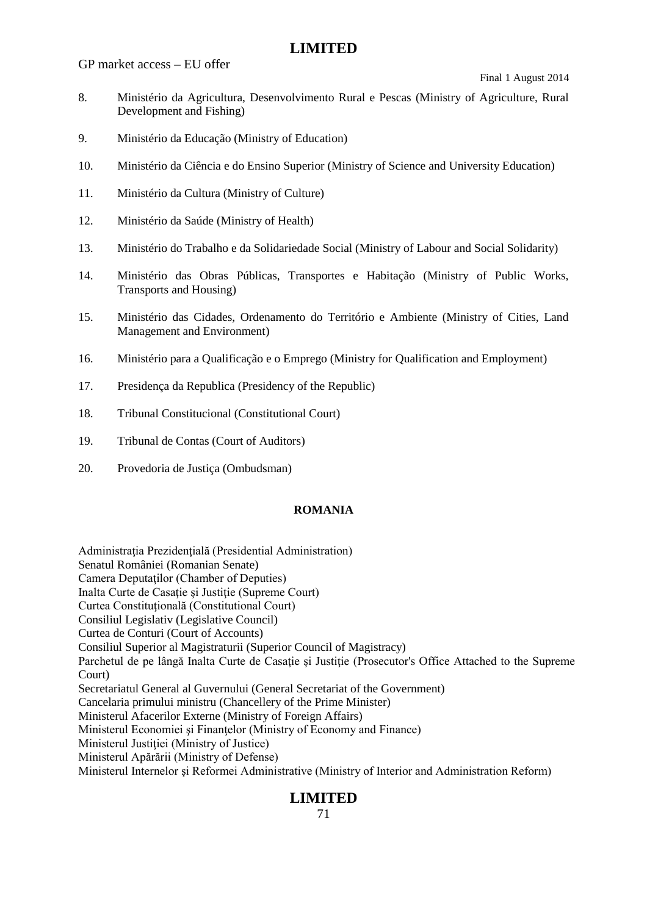GP market access – EU offer

Final 1 August 2014

- 8. Ministério da Agricultura, Desenvolvimento Rural e Pescas (Ministry of Agriculture, Rural Development and Fishing)
- 9. Ministério da Educação (Ministry of Education)
- 10. Ministério da Ciência e do Ensino Superior (Ministry of Science and University Education)
- 11. Ministério da Cultura (Ministry of Culture)
- 12. Ministério da Saúde (Ministry of Health)
- 13. Ministério do Trabalho e da Solidariedade Social (Ministry of Labour and Social Solidarity)
- 14. Ministério das Obras Públicas, Transportes e Habitação (Ministry of Public Works, Transports and Housing)
- 15. Ministério das Cidades, Ordenamento do Território e Ambiente (Ministry of Cities, Land Management and Environment)
- 16. Ministério para a Qualificação e o Emprego (Ministry for Qualification and Employment)
- 17. Presidença da Republica (Presidency of the Republic)
- 18. Tribunal Constitucional (Constitutional Court)
- 19. Tribunal de Contas (Court of Auditors)
- 20. Provedoria de Justiça (Ombudsman)

#### **ROMANIA**

Administraţia Prezidenţială (Presidential Administration) Senatul României (Romanian Senate) Camera Deputatilor (Chamber of Deputies) Inalta Curte de Casație și Justiție (Supreme Court) Curtea Constituţională (Constitutional Court) Consiliul Legislativ (Legislative Council) Curtea de Conturi (Court of Accounts) Consiliul Superior al Magistraturii (Superior Council of Magistracy) Parchetul de pe lângă Inalta Curte de Casatie și Justiție (Prosecutor's Office Attached to the Supreme Court) Secretariatul General al Guvernului (General Secretariat of the Government) Cancelaria primului ministru (Chancellery of the Prime Minister) Ministerul Afacerilor Externe (Ministry of Foreign Affairs) Ministerul Economiei și Finanțelor (Ministry of Economy and Finance) Ministerul Justiției (Ministry of Justice) Ministerul Apărării (Ministry of Defense) Ministerul Internelor şi Reformei Administrative (Ministry of Interior and Administration Reform)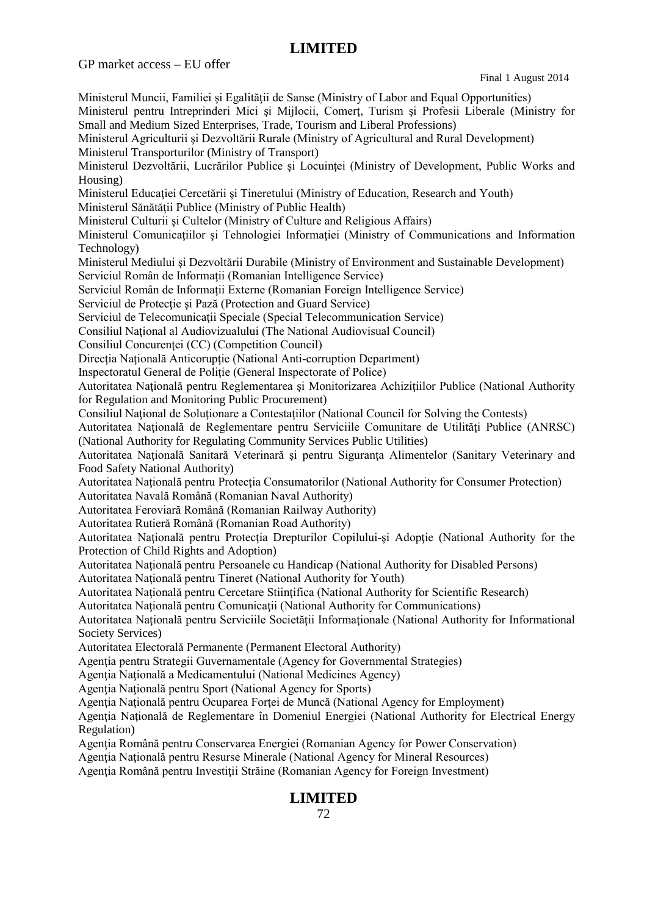GP market access – EU offer

Ministerul Muncii, Familiei și Egalității de Sanse (Ministry of Labor and Equal Opportunities) Ministerul pentru Intreprinderi Mici şi Mijlocii, Comerţ, Turism şi Profesii Liberale (Ministry for Small and Medium Sized Enterprises, Trade, Tourism and Liberal Professions) Ministerul Agriculturii şi Dezvoltării Rurale (Ministry of Agricultural and Rural Development) Ministerul Transporturilor (Ministry of Transport) Ministerul Dezvoltării, Lucrărilor Publice și Locuinței (Ministry of Development, Public Works and Housing) Ministerul Educaţiei Cercetării şi Tineretului (Ministry of Education, Research and Youth) Ministerul Sănătății Publice (Ministry of Public Health) Ministerul Culturii şi Cultelor (Ministry of Culture and Religious Affairs) Ministerul Comunicatiilor si Tehnologiei Informatiei (Ministry of Communications and Information Technology) Ministerul Mediului şi Dezvoltării Durabile (Ministry of Environment and Sustainable Development) Serviciul Român de Informații (Romanian Intelligence Service) Serviciul Român de Informații Externe (Romanian Foreign Intelligence Service) Serviciul de Protecție și Pază (Protection and Guard Service) Serviciul de Telecomunicatii Speciale (Special Telecommunication Service) Consiliul National al Audiovizualului (The National Audiovisual Council) Consiliul Concurentei (CC) (Competition Council) Directia Natională Anticoruptie (National Anti-corruption Department) Inspectoratul General de Poliţie (General Inspectorate of Police) Autoritatea Naţională pentru Reglementarea şi Monitorizarea Achiziţiilor Publice (National Authority for Regulation and Monitoring Public Procurement) Consiliul National de Solutionare a Contestatiilor (National Council for Solving the Contests) Autoritatea Natională de Reglementare pentru Serviciile Comunitare de Utilități Publice (ANRSC) (National Authority for Regulating Community Services Public Utilities) Autoritatea Natională Sanitară Veterinară și pentru Siguranța Alimentelor (Sanitary Veterinary and Food Safety National Authority) Autoritatea Natională pentru Protecția Consumatorilor (National Authority for Consumer Protection) Autoritatea Navală Română (Romanian Naval Authority) Autoritatea Feroviară Română (Romanian Railway Authority) Autoritatea Rutieră Română (Romanian Road Authority) Autoritatea Națională pentru Protecția Drepturilor Copilului-și Adopție (National Authority for the Protection of Child Rights and Adoption) Autoritatea Naţională pentru Persoanele cu Handicap (National Authority for Disabled Persons) Autoritatea Natională pentru Tineret (National Authority for Youth) Autoritatea Naţională pentru Cercetare Stiinţifica (National Authority for Scientific Research) Autoritatea Naţională pentru Comunicaţii (National Authority for Communications) Autoritatea Naţională pentru Serviciile Societăţii Informaţionale (National Authority for Informational Society Services) Autoritatea Electorală Permanente (Permanent Electoral Authority) Agentia pentru Strategii Guvernamentale (Agency for Governmental Strategies) Agenția Națională a Medicamentului (National Medicines Agency) Agenția Națională pentru Sport (National Agency for Sports) Agentia Natională pentru Ocuparea Fortei de Muncă (National Agency for Employment) Agenția Națională de Reglementare în Domeniul Energiei (National Authority for Electrical Energy Regulation) Agenţia Română pentru Conservarea Energiei (Romanian Agency for Power Conservation) Agenţia Naţională pentru Resurse Minerale (National Agency for Mineral Resources) Agentia Română pentru Investiții Străine (Romanian Agency for Foreign Investment)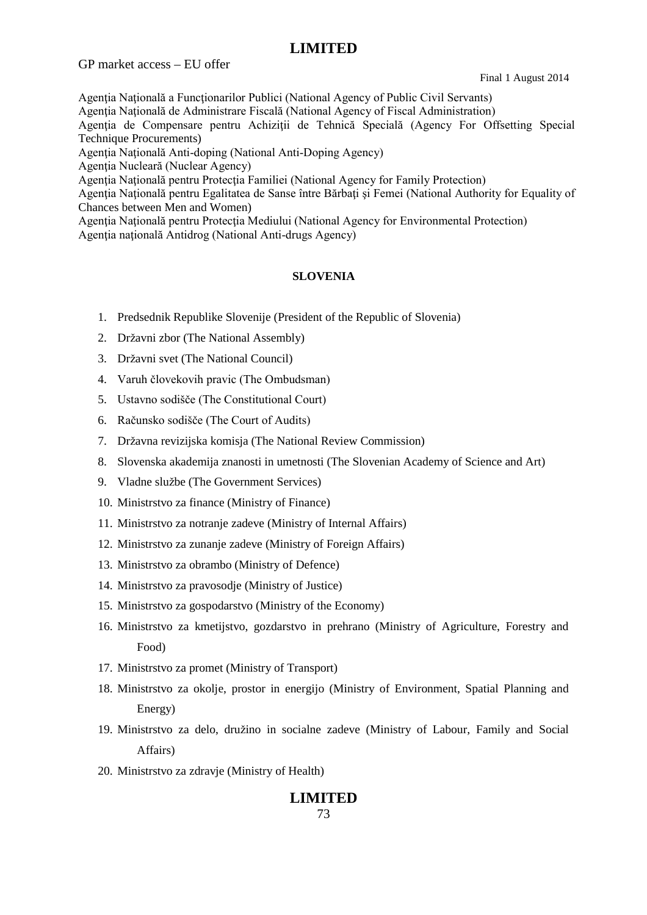GP market access – EU offer

Final 1 August 2014

Agentia Natională a Functionarilor Publici (National Agency of Public Civil Servants)

Agenţia Naţională de Administrare Fiscală (National Agency of Fiscal Administration)

Agenţia de Compensare pentru Achiziţii de Tehnică Specială (Agency For Offsetting Special Technique Procurements)

Agenția Națională Anti-doping (National Anti-Doping Agency)

Agenția Nucleară (Nuclear Agency)

Agentia Natională pentru Protecția Familiei (National Agency for Family Protection)

Agenţia Naţională pentru Egalitatea de Sanse între Bărbaţi şi Femei (National Authority for Equality of Chances between Men and Women)

Agentia Natională pentru Protectia Mediului (National Agency for Environmental Protection) Agentia natională Antidrog (National Anti-drugs Agency)

#### **SLOVENIA**

- 1. Predsednik Republike Slovenije (President of the Republic of Slovenia)
- 2. Državni zbor (The National Assembly)
- 3. Državni svet (The National Council)
- 4. Varuh človekovih pravic (The Ombudsman)
- 5. Ustavno sodišče (The Constitutional Court)
- 6. Računsko sodišče (The Court of Audits)
- 7. Državna revizijska komisja (The National Review Commission)
- 8. Slovenska akademija znanosti in umetnosti (The Slovenian Academy of Science and Art)
- 9. Vladne službe (The Government Services)
- 10. Ministrstvo za finance (Ministry of Finance)
- 11. Ministrstvo za notranje zadeve (Ministry of Internal Affairs)
- 12. Ministrstvo za zunanje zadeve (Ministry of Foreign Affairs)
- 13. Ministrstvo za obrambo (Ministry of Defence)
- 14. Ministrstvo za pravosodje (Ministry of Justice)
- 15. Ministrstvo za gospodarstvo (Ministry of the Economy)
- 16. Ministrstvo za kmetijstvo, gozdarstvo in prehrano (Ministry of Agriculture, Forestry and Food)
- 17. Ministrstvo za promet (Ministry of Transport)
- 18. Ministrstvo za okolje, prostor in energijo (Ministry of Environment, Spatial Planning and Energy)
- 19. Ministrstvo za delo, družino in socialne zadeve (Ministry of Labour, Family and Social Affairs)
- 20. Ministrstvo za zdravje (Ministry of Health)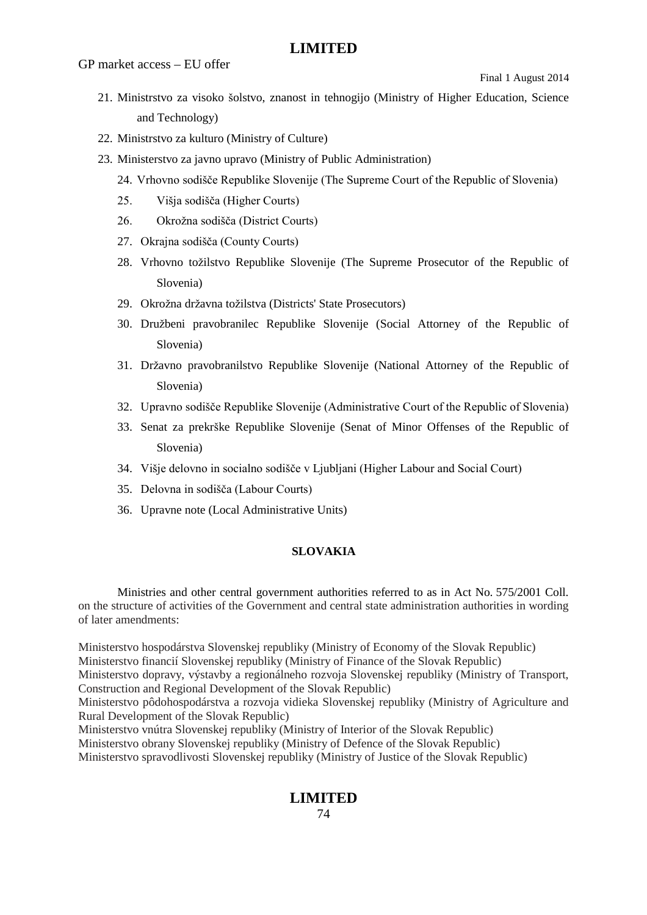- 21. Ministrstvo za visoko šolstvo, znanost in tehnogijo (Ministry of Higher Education, Science and Technology)
- 22. Ministrstvo za kulturo (Ministry of Culture)
- 23. Ministerstvo za javno upravo (Ministry of Public Administration)
	- 24. Vrhovno sodišče Republike Slovenije (The Supreme Court of the Republic of Slovenia)
	- 25. Višja sodišča (Higher Courts)
	- 26. Okrožna sodišča (District Courts)
	- 27. Okrajna sodišča (County Courts)
	- 28. Vrhovno tožilstvo Republike Slovenije (The Supreme Prosecutor of the Republic of Slovenia)
	- 29. Okrožna državna tožilstva (Districts' State Prosecutors)
	- 30. Družbeni pravobranilec Republike Slovenije (Social Attorney of the Republic of Slovenia)
	- 31. Državno pravobranilstvo Republike Slovenije (National Attorney of the Republic of Slovenia)
	- 32. Upravno sodišče Republike Slovenije (Administrative Court of the Republic of Slovenia)
	- 33. Senat za prekrške Republike Slovenije (Senat of Minor Offenses of the Republic of Slovenia)
	- 34. Višje delovno in socialno sodišče v Ljubljani (Higher Labour and Social Court)
	- 35. Delovna in sodišča (Labour Courts)
	- 36. Upravne note (Local Administrative Units)

#### **SLOVAKIA**

Ministries and other central government authorities referred to as in Act No. 575/2001 Coll. on the structure of activities of the Government and central state administration authorities in wording of later amendments:

Ministerstvo hospodárstva Slovenskej republiky (Ministry of Economy of the Slovak Republic) Ministerstvo financií Slovenskej republiky (Ministry of Finance of the Slovak Republic)

Ministerstvo dopravy, výstavby a regionálneho rozvoja Slovenskej republiky (Ministry of Transport, Construction and Regional Development of the Slovak Republic)

Ministerstvo pôdohospodárstva a rozvoja vidieka Slovenskej republiky (Ministry of Agriculture and Rural Development of the Slovak Republic)

Ministerstvo vnútra Slovenskej republiky (Ministry of Interior of the Slovak Republic)

Ministerstvo obrany Slovenskej republiky (Ministry of Defence of the Slovak Republic)

Ministerstvo spravodlivosti Slovenskej republiky (Ministry of Justice of the Slovak Republic)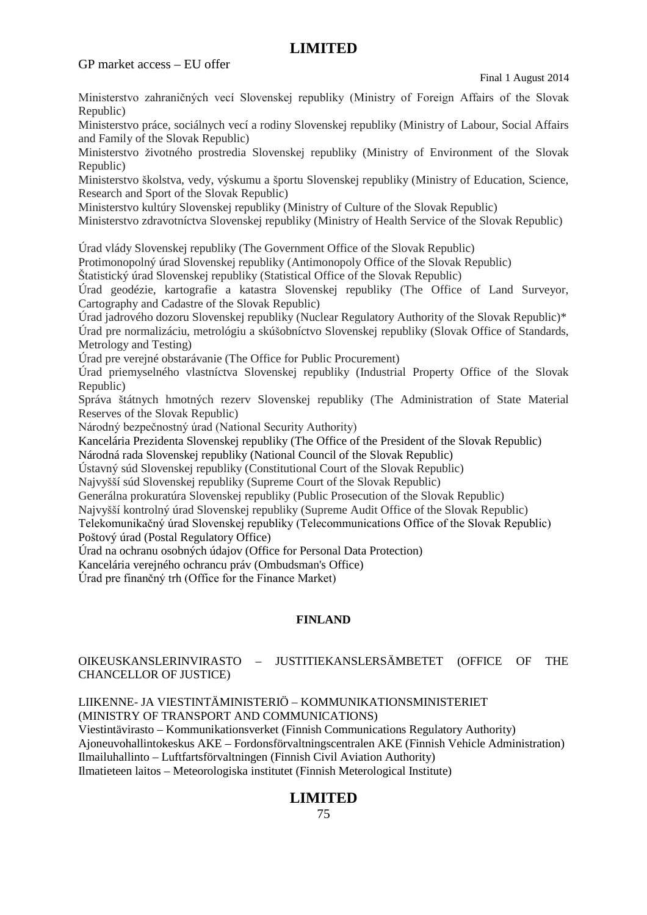Ministerstvo zahraničných vecí Slovenskej republiky (Ministry of Foreign Affairs of the Slovak Republic)

Ministerstvo práce, sociálnych vecí a rodiny Slovenskej republiky (Ministry of Labour, Social Affairs and Family of the Slovak Republic)

Ministerstvo životného prostredia Slovenskej republiky (Ministry of Environment of the Slovak Republic)

Ministerstvo školstva, vedy, výskumu a športu Slovenskej republiky (Ministry of Education, Science, Research and Sport of the Slovak Republic)

Ministerstvo kultúry Slovenskej republiky (Ministry of Culture of the Slovak Republic)

Ministerstvo zdravotníctva Slovenskej republiky (Ministry of Health Service of the Slovak Republic)

Úrad vlády Slovenskej republiky (The Government Office of the Slovak Republic)

Protimonopolný úrad Slovenskej republiky (Antimonopoly Office of the Slovak Republic)

Štatistický úrad Slovenskej republiky (Statistical Office of the Slovak Republic)

Úrad geodézie, kartografie a katastra Slovenskej republiky (The Office of Land Surveyor, Cartography and Cadastre of the Slovak Republic)

Úrad jadrového dozoru Slovenskej republiky (Nuclear Regulatory Authority of the Slovak Republic)\* Úrad pre normalizáciu, metrológiu a skúšobníctvo Slovenskej republiky (Slovak Office of Standards, Metrology and Testing)

Úrad pre verejné obstarávanie (The Office for Public Procurement)

Úrad priemyselného vlastníctva Slovenskej republiky (Industrial Property Office of the Slovak Republic)

Správa štátnych hmotných rezerv Slovenskej republiky (The Administration of State Material Reserves of the Slovak Republic)

Národný bezpečnostný úrad (National Security Authority)

Kancelária Prezidenta Slovenskej republiky (The Office of the President of the Slovak Republic)

Národná rada Slovenskej republiky (National Council of the Slovak Republic)

Ústavný súd Slovenskej republiky (Constitutional Court of the Slovak Republic)

Najvyšší súd Slovenskej republiky (Supreme Court of the Slovak Republic)

Generálna prokuratúra Slovenskej republiky (Public Prosecution of the Slovak Republic)

Najvyšší kontrolný úrad Slovenskej republiky (Supreme Audit Office of the Slovak Republic)

Telekomunikačný úrad Slovenskej republiky (Telecommunications Office of the Slovak Republic) Poštový úrad (Postal Regulatory Office)

Úrad na ochranu osobných údajov (Office for Personal Data Protection)

Kancelária verejného ochrancu práv (Ombudsman's Office)

Úrad pre finančný trh (Office for the Finance Market)

#### **FINLAND**

#### OIKEUSKANSLERINVIRASTO – JUSTITIEKANSLERSÄMBETET (OFFICE OF THE CHANCELLOR OF JUSTICE)

LIIKENNE- JA VIESTINTÄMINISTERIÖ – KOMMUNIKATIONSMINISTERIET (MINISTRY OF TRANSPORT AND COMMUNICATIONS)

Viestintävirasto – Kommunikationsverket (Finnish Communications Regulatory Authority)

Ajoneuvohallintokeskus AKE – Fordonsförvaltningscentralen AKE (Finnish Vehicle Administration) Ilmailuhallinto – Luftfartsförvaltningen (Finnish Civil Aviation Authority)

Ilmatieteen laitos – Meteorologiska institutet (Finnish Meterological Institute)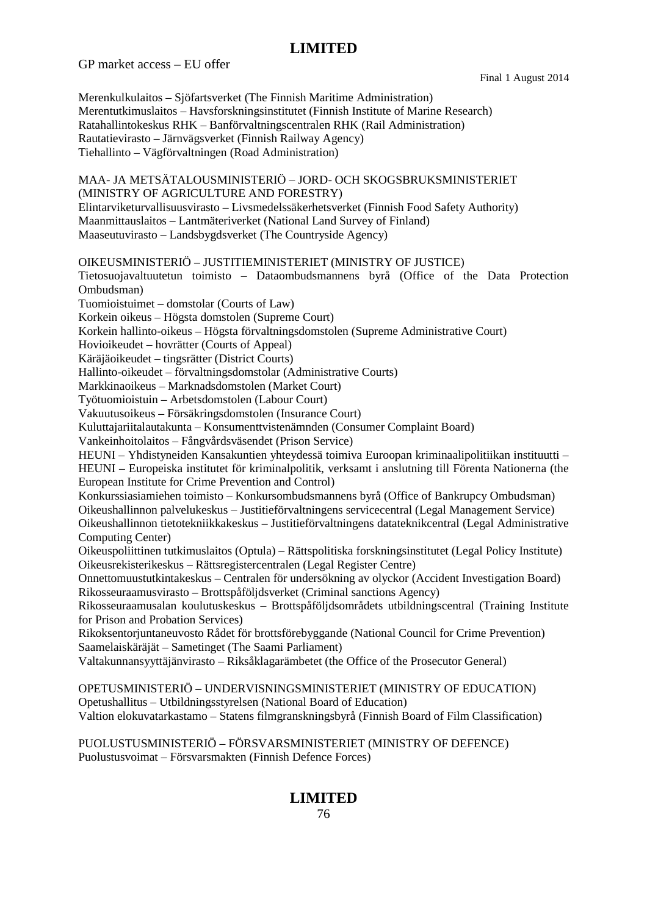GP market access – EU offer

Final 1 August 2014

Merenkulkulaitos – Sjöfartsverket (The Finnish Maritime Administration) Merentutkimuslaitos – Havsforskningsinstitutet (Finnish Institute of Marine Research) Ratahallintokeskus RHK – Banförvaltningscentralen RHK (Rail Administration) Rautatievirasto – Järnvägsverket (Finnish Railway Agency) Tiehallinto – Vägförvaltningen (Road Administration) MAA- JA METSÄTALOUSMINISTERIÖ – JORD- OCH SKOGSBRUKSMINISTERIET (MINISTRY OF AGRICULTURE AND FORESTRY) Elintarviketurvallisuusvirasto – Livsmedelssäkerhetsverket (Finnish Food Safety Authority) Maanmittauslaitos – Lantmäteriverket (National Land Survey of Finland) Maaseutuvirasto – Landsbygdsverket (The Countryside Agency) OIKEUSMINISTERIÖ – JUSTITIEMINISTERIET (MINISTRY OF JUSTICE) Tietosuojavaltuutetun toimisto – Dataombudsmannens byrå (Office of the Data Protection Ombudsman) Tuomioistuimet – domstolar (Courts of Law) Korkein oikeus – Högsta domstolen (Supreme Court) Korkein hallinto-oikeus – Högsta förvaltningsdomstolen (Supreme Administrative Court) Hovioikeudet – hovrätter (Courts of Appeal) Käräjäoikeudet – tingsrätter (District Courts) Hallinto-oikeudet – förvaltningsdomstolar (Administrative Courts) Markkinaoikeus – Marknadsdomstolen (Market Court) Työtuomioistuin – Arbetsdomstolen (Labour Court) Vakuutusoikeus – Försäkringsdomstolen (Insurance Court) Kuluttajariitalautakunta – Konsumenttvistenämnden (Consumer Complaint Board) Vankeinhoitolaitos – Fångvårdsväsendet (Prison Service) HEUNI – Yhdistyneiden Kansakuntien yhteydessä toimiva Euroopan kriminaalipolitiikan instituutti – HEUNI – Europeiska institutet för kriminalpolitik, verksamt i anslutning till Förenta Nationerna (the European Institute for Crime Prevention and Control) Konkurssiasiamiehen toimisto – Konkursombudsmannens byrå (Office of Bankrupcy Ombudsman) Oikeushallinnon palvelukeskus – Justitieförvaltningens servicecentral (Legal Management Service) Oikeushallinnon tietotekniikkakeskus – Justitieförvaltningens datateknikcentral (Legal Administrative Computing Center) Oikeuspoliittinen tutkimuslaitos (Optula) – Rättspolitiska forskningsinstitutet (Legal Policy Institute) Oikeusrekisterikeskus – Rättsregistercentralen (Legal Register Centre) Onnettomuustutkintakeskus – Centralen för undersökning av olyckor (Accident Investigation Board) Rikosseuraamusvirasto – Brottspåföljdsverket (Criminal sanctions Agency) Rikosseuraamusalan koulutuskeskus – Brottspåföljdsområdets utbildningscentral (Training Institute for Prison and Probation Services) Rikoksentorjuntaneuvosto Rådet för brottsförebyggande (National Council for Crime Prevention) Saamelaiskäräjät – Sametinget (The Saami Parliament) Valtakunnansyyttäjänvirasto – Riksåklagarämbetet (the Office of the Prosecutor General) OPETUSMINISTERIÖ – UNDERVISNINGSMINISTERIET (MINISTRY OF EDUCATION) Opetushallitus – Utbildningsstyrelsen (National Board of Education) Valtion elokuvatarkastamo – Statens filmgranskningsbyrå (Finnish Board of Film Classification)

PUOLUSTUSMINISTERIÖ – FÖRSVARSMINISTERIET (MINISTRY OF DEFENCE) Puolustusvoimat – Försvarsmakten (Finnish Defence Forces)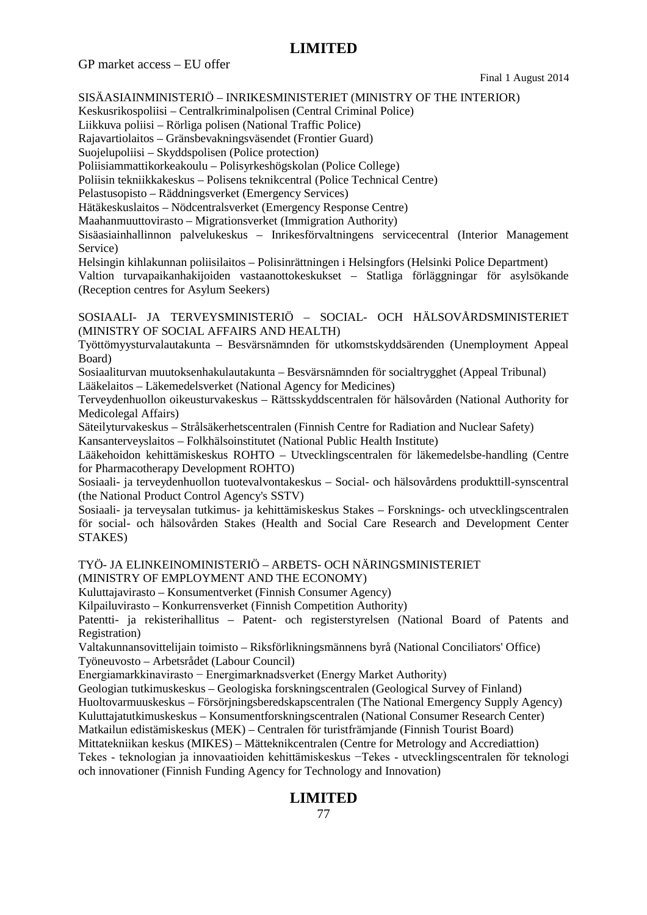GP market access – EU offer

Final 1 August 2014

SISÄASIAINMINISTERIÖ – INRIKESMINISTERIET (MINISTRY OF THE INTERIOR)

Keskusrikospoliisi – Centralkriminalpolisen (Central Criminal Police)

Liikkuva poliisi – Rörliga polisen (National Traffic Police)

Rajavartiolaitos – Gränsbevakningsväsendet (Frontier Guard)

Suojelupoliisi – Skyddspolisen (Police protection)

Poliisiammattikorkeakoulu – Polisyrkeshögskolan (Police College)

Poliisin tekniikkakeskus – Polisens teknikcentral (Police Technical Centre)

Pelastusopisto – Räddningsverket (Emergency Services)

Hätäkeskuslaitos – Nödcentralsverket (Emergency Response Centre)

Maahanmuuttovirasto – Migrationsverket (Immigration Authority)

Sisäasiainhallinnon palvelukeskus – Inrikesförvaltningens servicecentral (Interior Management Service)

Helsingin kihlakunnan poliisilaitos – Polisinrättningen i Helsingfors (Helsinki Police Department) Valtion turvapaikanhakijoiden vastaanottokeskukset – Statliga förläggningar för asylsökande (Reception centres for Asylum Seekers)

SOSIAALI- JA TERVEYSMINISTERIÖ – SOCIAL- OCH HÄLSOVÅRDSMINISTERIET (MINISTRY OF SOCIAL AFFAIRS AND HEALTH)

Työttömyysturvalautakunta – Besvärsnämnden för utkomstskyddsärenden (Unemployment Appeal Board)

Sosiaaliturvan muutoksenhakulautakunta – Besvärsnämnden för socialtrygghet (Appeal Tribunal) Lääkelaitos – Läkemedelsverket (National Agency for Medicines)

Terveydenhuollon oikeusturvakeskus – Rättsskyddscentralen för hälsovården (National Authority for Medicolegal Affairs)

Säteilyturvakeskus – Strålsäkerhetscentralen (Finnish Centre for Radiation and Nuclear Safety) Kansanterveyslaitos – Folkhälsoinstitutet (National Public Health Institute)

Lääkehoidon kehittämiskeskus ROHTO – Utvecklingscentralen för läkemedelsbe-handling (Centre for Pharmacotherapy Development ROHTO)

Sosiaali- ja terveydenhuollon tuotevalvontakeskus – Social- och hälsovårdens produkttill-synscentral (the National Product Control Agency's SSTV)

Sosiaali- ja terveysalan tutkimus- ja kehittämiskeskus Stakes – Forsknings- och utvecklingscentralen för social- och hälsovården Stakes (Health and Social Care Research and Development Center STAKES)

TYÖ- JA ELINKEINOMINISTERIÖ – ARBETS- OCH NÄRINGSMINISTERIET (MINISTRY OF EMPLOYMENT AND THE ECONOMY)

Kuluttajavirasto – Konsumentverket (Finnish Consumer Agency)

Kilpailuvirasto – Konkurrensverket (Finnish Competition Authority)

Patentti- ja rekisterihallitus – Patent- och registerstyrelsen (National Board of Patents and Registration)

Valtakunnansovittelijain toimisto – Riksförlikningsmännens byrå (National Conciliators' Office) Työneuvosto – Arbetsrådet (Labour Council)

Energiamarkkinavirasto − Energimarknadsverket (Energy Market Authority)

Geologian tutkimuskeskus – Geologiska forskningscentralen (Geological Survey of Finland)

Huoltovarmuuskeskus – Försörjningsberedskapscentralen (The National Emergency Supply Agency)

Kuluttajatutkimuskeskus – Konsumentforskningscentralen (National Consumer Research Center)

Matkailun edistämiskeskus (MEK) – Centralen för turistfrämjande (Finnish Tourist Board)

Mittatekniikan keskus (MIKES) – Mätteknikcentralen (Centre for Metrology and Accrediattion) Tekes - teknologian ja innovaatioiden kehittämiskeskus −Tekes - utvecklingscentralen för teknologi och innovationer (Finnish Funding Agency for Technology and Innovation)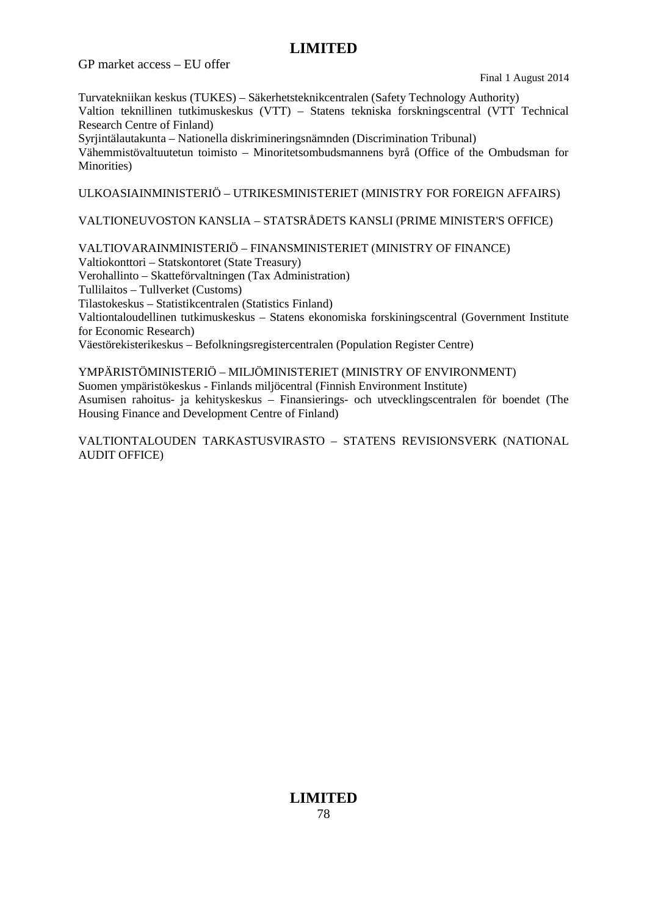GP market access – EU offer

Final 1 August 2014

Turvatekniikan keskus (TUKES) – Säkerhetsteknikcentralen (Safety Technology Authority) Valtion teknillinen tutkimuskeskus (VTT) – Statens tekniska forskningscentral (VTT Technical

Research Centre of Finland)

Syrjintälautakunta – Nationella diskrimineringsnämnden (Discrimination Tribunal)

Vähemmistövaltuutetun toimisto – Minoritetsombudsmannens byrå (Office of the Ombudsman for Minorities)

ULKOASIAINMINISTERIÖ – UTRIKESMINISTERIET (MINISTRY FOR FOREIGN AFFAIRS)

### VALTIONEUVOSTON KANSLIA – STATSRÅDETS KANSLI (PRIME MINISTER'S OFFICE)

VALTIOVARAINMINISTERIÖ – FINANSMINISTERIET (MINISTRY OF FINANCE)

Valtiokonttori – Statskontoret (State Treasury)

Verohallinto – Skatteförvaltningen (Tax Administration)

Tullilaitos – Tullverket (Customs)

Tilastokeskus – Statistikcentralen (Statistics Finland)

Valtiontaloudellinen tutkimuskeskus – Statens ekonomiska forskiningscentral (Government Institute for Economic Research)

Väestörekisterikeskus – Befolkningsregistercentralen (Population Register Centre)

YMPÄRISTÖMINISTERIÖ – MILJÖMINISTERIET (MINISTRY OF ENVIRONMENT) Suomen ympäristökeskus - Finlands miljöcentral (Finnish Environment Institute) Asumisen rahoitus- ja kehityskeskus – Finansierings- och utvecklingscentralen för boendet (The Housing Finance and Development Centre of Finland)

VALTIONTALOUDEN TARKASTUSVIRASTO – STATENS REVISIONSVERK (NATIONAL AUDIT OFFICE)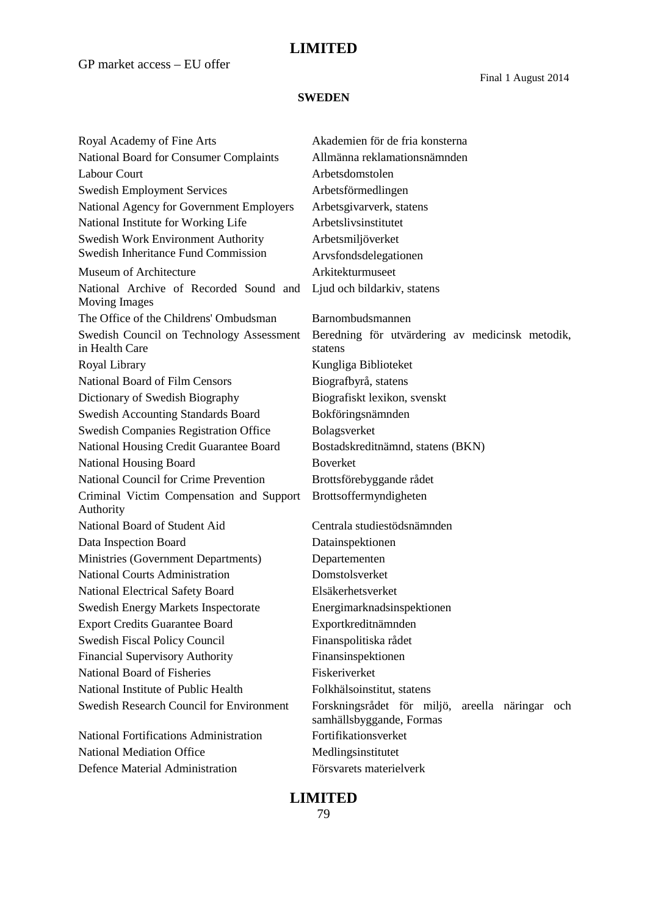GP market access – EU offer

Final 1 August 2014

#### **SWEDEN**

Royal Academy of Fine Arts Akademien för de fria konsterna National Board for Consumer Complaints Allmänna reklamationsnämnden Labour Court **Arbetsdomstolen** Swedish Employment Services Arbetsförmedlingen National Agency for Government Employers Arbetsgivarverk, statens National Institute for Working Life Arbetslivsinstitutet Swedish Work Environment Authority Arbetsmiljöverket Swedish Inheritance Fund Commission Arvsfondsdelegationen Museum of Architecture **Arkitekturmuse** National Archive of Recorded Sound and Moving Images The Office of the Childrens' Ombudsman Barnombudsmannen Swedish Council on Technology Assessment in Health Care Royal Library **Kungliga Biblioteket** National Board of Film Censors Biografbyrå, statens Dictionary of Swedish Biography Biografiskt lexikon, svenskt Swedish Accounting Standards Board Bokföringsnämnden Swedish Companies Registration Office Bolagsverket National Housing Credit Guarantee Board Bostadskreditnämnd, statens (BKN) National Housing Board Boverket National Council for Crime Prevention Brottsförebyggande rådet Criminal Victim Compensation and Support Authority National Board of Student Aid Centrala studiestödsnämnden Data Inspection Board Datainspektionen Ministries (Government Departments) Departementen National Courts Administration Domstolsverket National Electrical Safety Board Elsäkerhetsverket Swedish Energy Markets Inspectorate Energimarknadsinspektionen Export Credits Guarantee Board Exportkreditnämnden Swedish Fiscal Policy Council Finanspolitiska rådet Financial Supervisory Authority Finansinspektionen National Board of Fisheries Fiskeriverket National Institute of Public Health Folkhälsoinstitut, statens

National Mediation Office Medlingsinstitutet Defence Material Administration Försvarets materielverk

Ljud och bildarkiv, statens

Beredning för utvärdering av medicinsk metodik, statens Brottsoffermyndigheten

Swedish Research Council for Environment Forskningsrådet för miljö, areella näringar och samhällsbyggande, Formas National Fortifications Administration Fortifikationsverket

**LIMITED**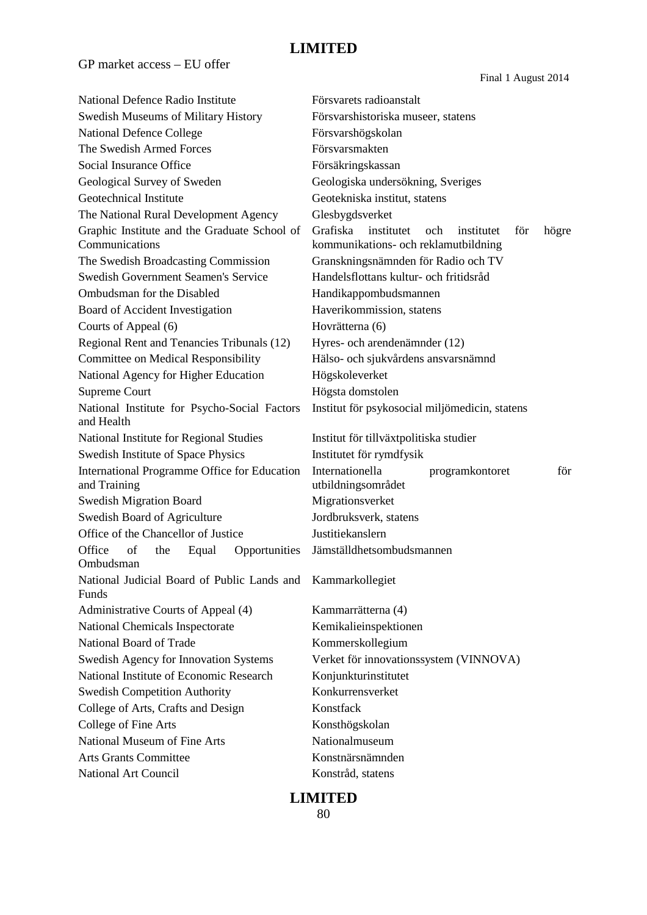GP market access – EU offer

Final 1 August 2014

| National Defence Radio Institute                             | Försvarets radioanstalt                                                |  |  |  |
|--------------------------------------------------------------|------------------------------------------------------------------------|--|--|--|
| Swedish Museums of Military History                          | Försvarshistoriska museer, statens                                     |  |  |  |
| <b>National Defence College</b>                              | Försvarshögskolan                                                      |  |  |  |
| The Swedish Armed Forces                                     | Försvarsmakten                                                         |  |  |  |
| Social Insurance Office                                      | Försäkringskassan                                                      |  |  |  |
| Geological Survey of Sweden                                  | Geologiska undersökning, Sveriges                                      |  |  |  |
| Geotechnical Institute                                       | Geotekniska institut, statens                                          |  |  |  |
| The National Rural Development Agency                        | Glesbygdsverket                                                        |  |  |  |
| Graphic Institute and the Graduate School of                 | Grafiska<br>institutet<br><sub>och</sub><br>institutet<br>för<br>högre |  |  |  |
| Communications                                               | kommunikations- och reklamutbildning                                   |  |  |  |
| The Swedish Broadcasting Commission                          | Granskningsnämnden för Radio och TV                                    |  |  |  |
| <b>Swedish Government Seamen's Service</b>                   | Handelsflottans kultur- och fritidsråd                                 |  |  |  |
| Ombudsman for the Disabled                                   | Handikappombudsmannen                                                  |  |  |  |
| Board of Accident Investigation                              | Haverikommission, statens                                              |  |  |  |
| Courts of Appeal (6)                                         | Hovrätterna (6)                                                        |  |  |  |
| Regional Rent and Tenancies Tribunals (12)                   | Hyres- och arendenämnder (12)                                          |  |  |  |
| <b>Committee on Medical Responsibility</b>                   | Hälso- och sjukvårdens ansvarsnämnd                                    |  |  |  |
| National Agency for Higher Education                         | Högskoleverket                                                         |  |  |  |
| <b>Supreme Court</b>                                         | Högsta domstolen                                                       |  |  |  |
| National Institute for Psycho-Social Factors<br>and Health   | Institut för psykosocial miljömedicin, statens                         |  |  |  |
| National Institute for Regional Studies                      | Institut för tillväxtpolitiska studier                                 |  |  |  |
| Swedish Institute of Space Physics                           | Institutet för rymdfysik                                               |  |  |  |
| International Programme Office for Education<br>and Training | Internationella<br>programkontoret<br>för<br>utbildningsområdet        |  |  |  |
| <b>Swedish Migration Board</b>                               | Migrationsverket                                                       |  |  |  |
| Swedish Board of Agriculture                                 | Jordbruksverk, statens                                                 |  |  |  |
| Office of the Chancellor of Justice                          | Justitiekanslern                                                       |  |  |  |
| Office<br>of<br>Opportunities<br>the<br>Equal<br>Ombudsman   | Jämställdhetsombudsmannen                                              |  |  |  |
| National Judicial Board of Public Lands and<br>Funds         | Kammarkollegiet                                                        |  |  |  |
| Administrative Courts of Appeal (4)                          | Kammarrätterna (4)                                                     |  |  |  |
| National Chemicals Inspectorate                              | Kemikalieinspektionen                                                  |  |  |  |
| National Board of Trade                                      | Kommerskollegium                                                       |  |  |  |
| Swedish Agency for Innovation Systems                        | Verket för innovationssystem (VINNOVA)                                 |  |  |  |
| National Institute of Economic Research                      | Konjunkturinstitutet                                                   |  |  |  |
| <b>Swedish Competition Authority</b>                         | Konkurrensverket                                                       |  |  |  |
| College of Arts, Crafts and Design                           | Konstfack                                                              |  |  |  |
| College of Fine Arts                                         | Konsthögskolan                                                         |  |  |  |
| National Museum of Fine Arts                                 | Nationalmuseum                                                         |  |  |  |
| <b>Arts Grants Committee</b>                                 | Konstnärsnämnden                                                       |  |  |  |
| <b>National Art Council</b>                                  | Konstråd, statens                                                      |  |  |  |
|                                                              |                                                                        |  |  |  |

### **LIMITED**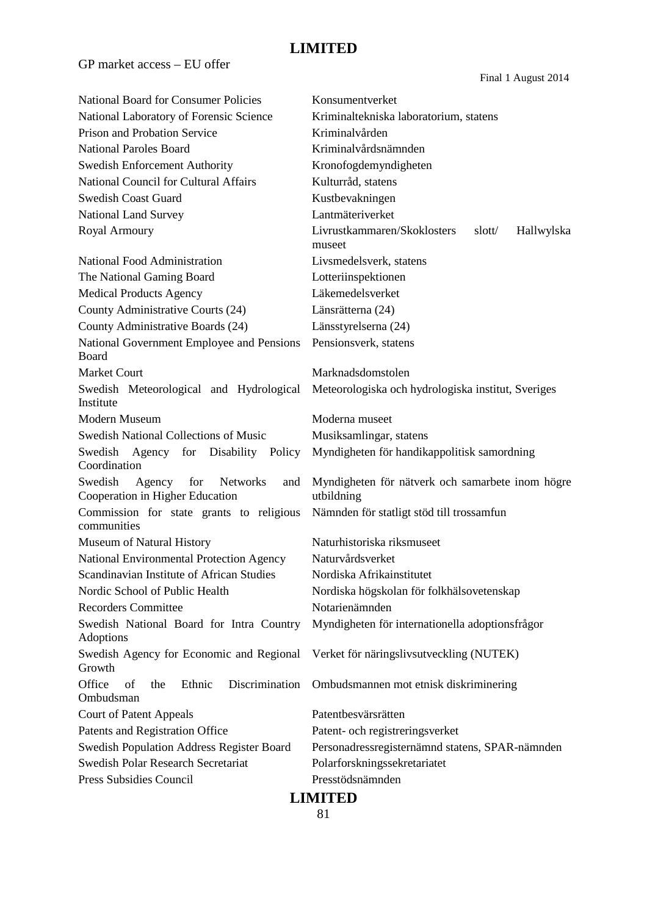GP market access – EU offer

Final 1 August 2014

| <b>National Board for Consumer Policies</b>                                 | Konsumentverket                                                |  |
|-----------------------------------------------------------------------------|----------------------------------------------------------------|--|
| National Laboratory of Forensic Science                                     | Kriminaltekniska laboratorium, statens                         |  |
| Prison and Probation Service                                                | Kriminalvården                                                 |  |
| <b>National Paroles Board</b>                                               | Kriminalvårdsnämnden                                           |  |
| <b>Swedish Enforcement Authority</b>                                        | Kronofogdemyndigheten                                          |  |
| <b>National Council for Cultural Affairs</b>                                | Kulturråd, statens                                             |  |
| <b>Swedish Coast Guard</b>                                                  | Kustbevakningen                                                |  |
| National Land Survey                                                        | Lantmäteriverket                                               |  |
| Royal Armoury                                                               | Livrustkammaren/Skoklosters<br>slott/<br>Hallwylska            |  |
|                                                                             | museet                                                         |  |
| National Food Administration                                                | Livsmedelsverk, statens                                        |  |
| The National Gaming Board                                                   | Lotteriinspektionen                                            |  |
| <b>Medical Products Agency</b>                                              | Läkemedelsverket                                               |  |
| County Administrative Courts (24)                                           | Länsrätterna (24)                                              |  |
| County Administrative Boards (24)                                           | Länsstyrelserna (24)                                           |  |
| National Government Employee and Pensions                                   | Pensionsverk, statens                                          |  |
| Board                                                                       |                                                                |  |
| <b>Market Court</b>                                                         | Marknadsdomstolen                                              |  |
| Swedish Meteorological and Hydrological<br>Institute                        | Meteorologiska och hydrologiska institut, Sveriges             |  |
| Modern Museum                                                               | Moderna museet                                                 |  |
| Swedish National Collections of Music                                       | Musiksamlingar, statens                                        |  |
| Swedish Agency for Disability Policy<br>Coordination                        | Myndigheten för handikappolitisk samordning                    |  |
| Swedish<br>Agency for<br>Networks<br>and<br>Cooperation in Higher Education | Myndigheten för nätverk och samarbete inom högre<br>utbildning |  |
| Commission for state grants to religious<br>communities                     | Nämnden för statligt stöd till trossamfun                      |  |
| Museum of Natural History                                                   | Naturhistoriska riksmuseet                                     |  |
| National Environmental Protection Agency                                    | Naturvårdsverket                                               |  |
| Scandinavian Institute of African Studies                                   | Nordiska Afrikainstitutet                                      |  |
| Nordic School of Public Health                                              | Nordiska högskolan för folkhälsovetenskap                      |  |
| <b>Recorders Committee</b>                                                  | Notarienämnden                                                 |  |
| Swedish National Board for Intra Country<br>Adoptions                       | Myndigheten för internationella adoptionsfrågor                |  |
| Swedish Agency for Economic and Regional<br>Growth                          | Verket för näringslivsutveckling (NUTEK)                       |  |
| Office<br>of<br>Discrimination<br>the<br>Ethnic<br>Ombudsman                | Ombudsmannen mot etnisk diskriminering                         |  |
| <b>Court of Patent Appeals</b>                                              | Patentbesvärsrätten                                            |  |
| Patents and Registration Office                                             | Patent- och registreringsverket                                |  |
| <b>Swedish Population Address Register Board</b>                            | Personadressregisternämnd statens, SPAR-nämnden                |  |
| <b>Swedish Polar Research Secretariat</b>                                   | Polarforskningssekretariatet                                   |  |
| Press Subsidies Council                                                     | Presstödsnämnden                                               |  |
| <b>LIMITED</b>                                                              |                                                                |  |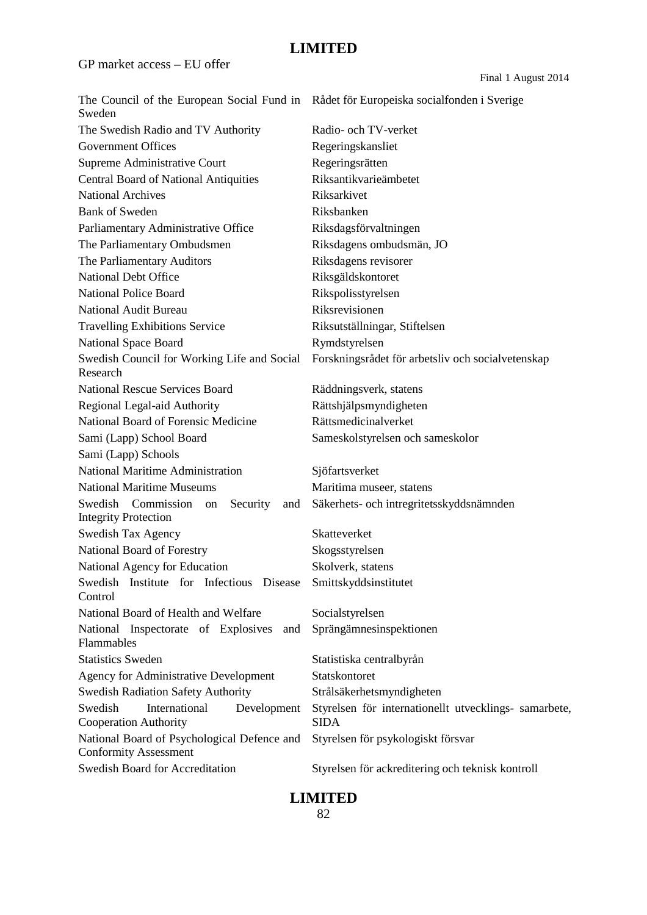GP market access – EU offer

Final 1 August 2014

| The Council of the European Social Fund in Rådet för Europeiska socialfonden i Sverige<br>Sweden |                                                                      |
|--------------------------------------------------------------------------------------------------|----------------------------------------------------------------------|
| The Swedish Radio and TV Authority                                                               | Radio- och TV-verket                                                 |
| <b>Government Offices</b>                                                                        | Regeringskansliet                                                    |
| Supreme Administrative Court                                                                     | Regeringsrätten                                                      |
| <b>Central Board of National Antiquities</b>                                                     | Riksantikvarieämbetet                                                |
| <b>National Archives</b>                                                                         | Riksarkivet                                                          |
| <b>Bank of Sweden</b>                                                                            | Riksbanken                                                           |
| Parliamentary Administrative Office                                                              | Riksdagsförvaltningen                                                |
| The Parliamentary Ombudsmen                                                                      | Riksdagens ombudsmän, JO                                             |
| The Parliamentary Auditors                                                                       | Riksdagens revisorer                                                 |
| <b>National Debt Office</b>                                                                      | Riksgäldskontoret                                                    |
| <b>National Police Board</b>                                                                     | Rikspolisstyrelsen                                                   |
| <b>National Audit Bureau</b>                                                                     | Riksrevisionen                                                       |
| <b>Travelling Exhibitions Service</b>                                                            | Riksutställningar, Stiftelsen                                        |
| <b>National Space Board</b>                                                                      | Rymdstyrelsen                                                        |
| Swedish Council for Working Life and Social<br>Research                                          | Forskningsrådet för arbetsliv och socialvetenskap                    |
| <b>National Rescue Services Board</b>                                                            | Räddningsverk, statens                                               |
| Regional Legal-aid Authority                                                                     | Rättshjälpsmyndigheten                                               |
| National Board of Forensic Medicine                                                              | Rättsmedicinalverket                                                 |
| Sami (Lapp) School Board                                                                         | Sameskolstyrelsen och sameskolor                                     |
| Sami (Lapp) Schools                                                                              |                                                                      |
| <b>National Maritime Administration</b>                                                          | Sjöfartsverket                                                       |
| <b>National Maritime Museums</b>                                                                 | Maritima museer, statens                                             |
| Swedish Commission<br>Security<br>on<br>and<br><b>Integrity Protection</b>                       | Säkerhets- och intregritetsskyddsnämnden                             |
| Swedish Tax Agency                                                                               | Skatteverket                                                         |
| National Board of Forestry                                                                       | Skogsstyrelsen                                                       |
| National Agency for Education                                                                    | Skolverk, statens                                                    |
| Swedish Institute for Infectious Disease<br>Control                                              | Smittskyddsinstitutet                                                |
| National Board of Health and Welfare                                                             | Socialstyrelsen                                                      |
| National Inspectorate of Explosives<br>and<br>Flammables                                         | Sprängämnesinspektionen                                              |
| <b>Statistics Sweden</b>                                                                         | Statistiska centralbyrån                                             |
| <b>Agency for Administrative Development</b>                                                     | Statskontoret                                                        |
| <b>Swedish Radiation Safety Authority</b>                                                        | Strålsäkerhetsmyndigheten                                            |
| International<br>Swedish<br>Development<br><b>Cooperation Authority</b>                          | Styrelsen för internationellt utvecklings- samarbete,<br><b>SIDA</b> |
| National Board of Psychological Defence and<br><b>Conformity Assessment</b>                      | Styrelsen för psykologiskt försvar                                   |
| Swedish Board for Accreditation                                                                  | Styrelsen för ackreditering och teknisk kontroll                     |

### **LIMITED**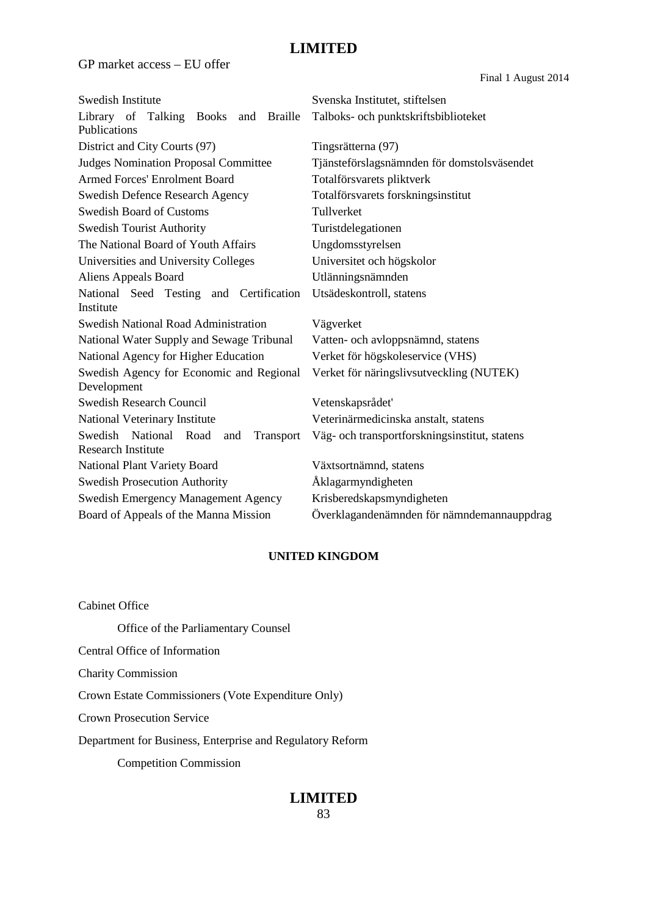GP market access – EU offer

Final 1 August 2014

| Swedish Institute                                      | Svenska Institutet, stiftelsen                |
|--------------------------------------------------------|-----------------------------------------------|
| Library of Talking Books and Braille                   | Talboks- och punktskriftsbiblioteket          |
| Publications                                           |                                               |
| District and City Courts (97)                          | Tingsrätterna (97)                            |
| <b>Judges Nomination Proposal Committee</b>            | Tjänsteförslagsnämnden för domstolsväsendet   |
| <b>Armed Forces' Enrolment Board</b>                   | Totalförsvarets pliktverk                     |
| <b>Swedish Defence Research Agency</b>                 | Totalförsvarets forskningsinstitut            |
| <b>Swedish Board of Customs</b>                        | Tullverket                                    |
| <b>Swedish Tourist Authority</b>                       | Turistdelegationen                            |
| The National Board of Youth Affairs                    | Ungdomsstyrelsen                              |
| Universities and University Colleges                   | Universitet och högskolor                     |
| Aliens Appeals Board                                   | Utlänningsnämnden                             |
| National Seed Testing and Certification                | Utsädeskontroll, statens                      |
| Institute                                              |                                               |
| <b>Swedish National Road Administration</b>            | Vägverket                                     |
| National Water Supply and Sewage Tribunal              | Vatten- och avloppsnämnd, statens             |
| National Agency for Higher Education                   | Verket för högskoleservice (VHS)              |
| Swedish Agency for Economic and Regional               | Verket för näringslivsutveckling (NUTEK)      |
| Development                                            |                                               |
| <b>Swedish Research Council</b>                        | Vetenskapsrådet'                              |
| National Veterinary Institute                          | Veterinärmedicinska anstalt, statens          |
| National<br>Swedish<br>Road<br>and<br><b>Transport</b> | Väg- och transportforskningsinstitut, statens |
| <b>Research Institute</b>                              |                                               |
| National Plant Variety Board                           | Växtsortnämnd, statens                        |
| <b>Swedish Prosecution Authority</b>                   | Åklagarmyndigheten                            |
| Swedish Emergency Management Agency                    | Krisberedskapsmyndigheten                     |
| Board of Appeals of the Manna Mission                  | Överklagandenämnden för nämndemannauppdrag    |
|                                                        |                                               |

#### **UNITED KINGDOM**

Cabinet Office Office of the Parliamentary Counsel Central Office of Information Charity Commission Crown Estate Commissioners (Vote Expenditure Only) Crown Prosecution Service Department for Business, Enterprise and Regulatory Reform Competition Commission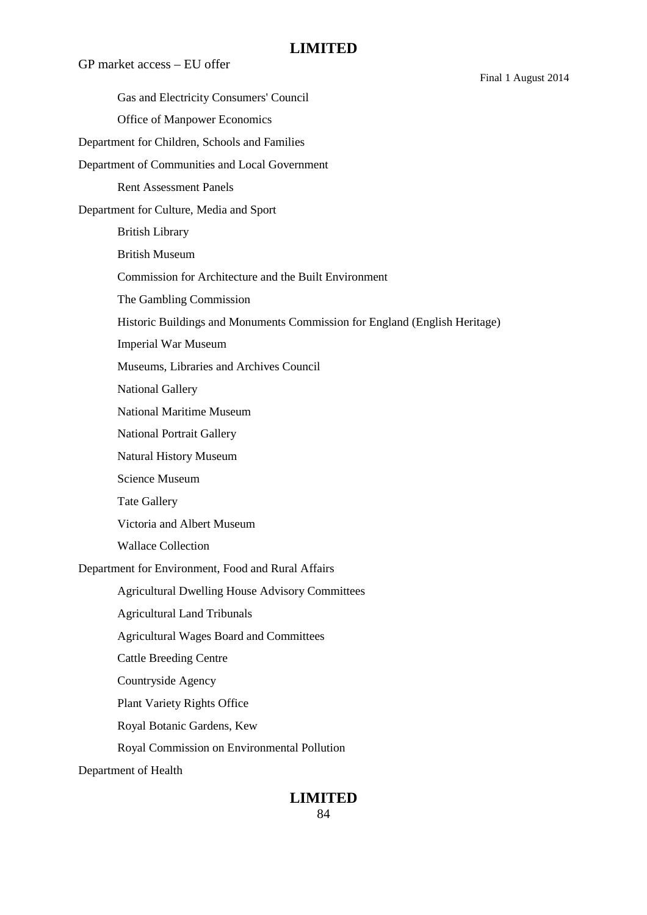GP market access – EU offer Final 1 August 2014 Gas and Electricity Consumers' Council Office of Manpower Economics Department for Children, Schools and Families Department of Communities and Local Government Rent Assessment Panels Department for Culture, Media and Sport British Library British Museum Commission for Architecture and the Built Environment The Gambling Commission Historic Buildings and Monuments Commission for England (English Heritage) Imperial War Museum Museums, Libraries and Archives Council National Gallery National Maritime Museum National Portrait Gallery Natural History Museum Science Museum Tate Gallery Victoria and Albert Museum Wallace Collection Department for Environment, Food and Rural Affairs Agricultural Dwelling House Advisory Committees Agricultural Land Tribunals Agricultural Wages Board and Committees Cattle Breeding Centre Countryside Agency Plant Variety Rights Office Royal Botanic Gardens, Kew Royal Commission on Environmental Pollution Department of Health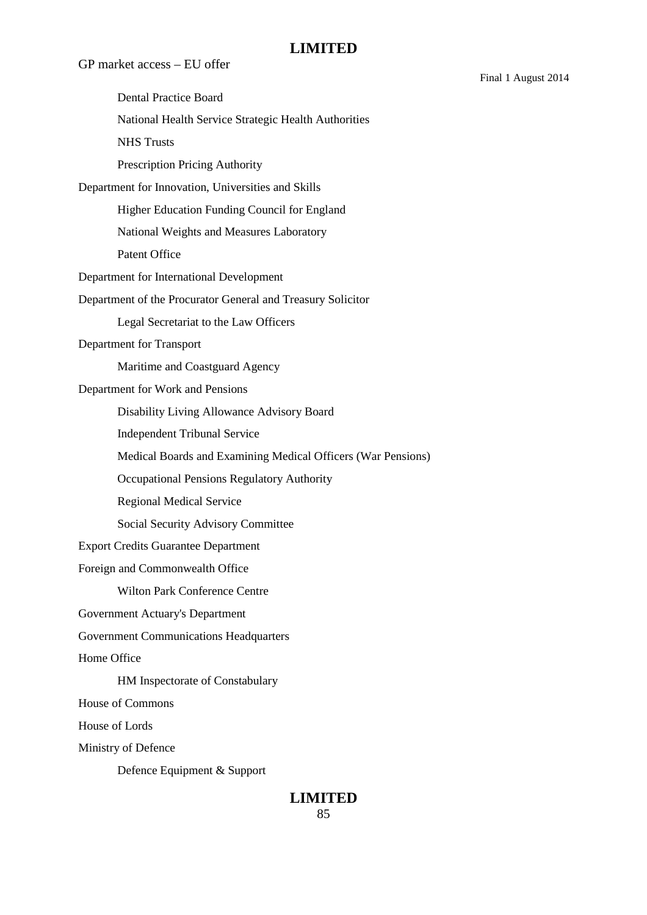GP market access – EU offer Dental Practice Board National Health Service Strategic Health Authorities NHS Trusts Prescription Pricing Authority Department for Innovation, Universities and Skills Higher Education Funding Council for England National Weights and Measures Laboratory Patent Office Department for International Development Department of the Procurator General and Treasury Solicitor Legal Secretariat to the Law Officers Department for Transport Maritime and Coastguard Agency Department for Work and Pensions Disability Living Allowance Advisory Board Independent Tribunal Service Medical Boards and Examining Medical Officers (War Pensions) Occupational Pensions Regulatory Authority Regional Medical Service Social Security Advisory Committee Export Credits Guarantee Department Foreign and Commonwealth Office Wilton Park Conference Centre Government Actuary's Department Government Communications Headquarters Home Office HM Inspectorate of Constabulary House of Commons House of Lords Ministry of Defence Defence Equipment & Support

# **LIMITED**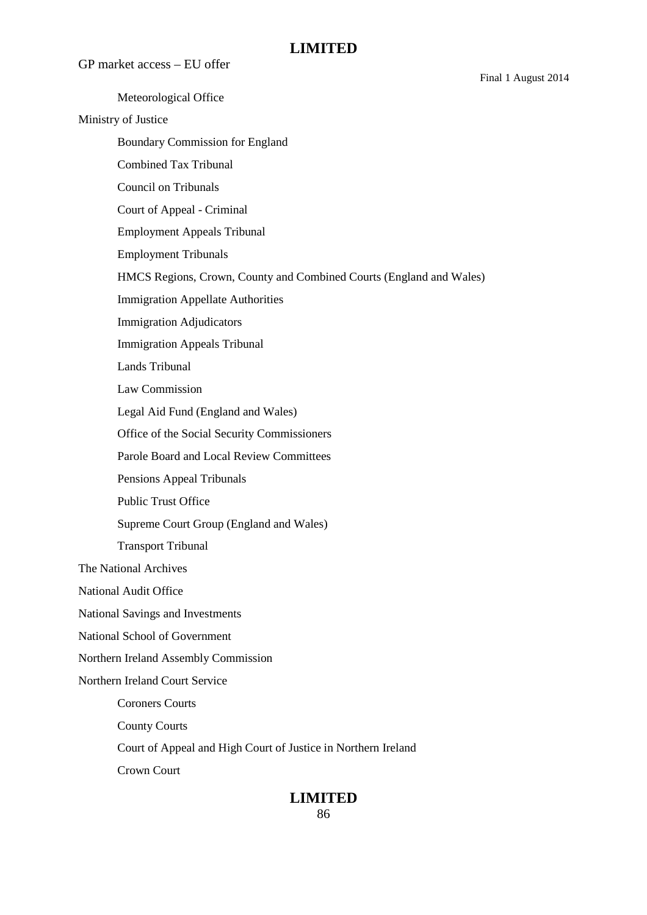GP market access – EU offer

Meteorological Office Ministry of Justice Boundary Commission for England Combined Tax Tribunal Council on Tribunals Court of Appeal - Criminal Employment Appeals Tribunal Employment Tribunals HMCS Regions, Crown, County and Combined Courts (England and Wales) Immigration Appellate Authorities Immigration Adjudicators Immigration Appeals Tribunal Lands Tribunal Law Commission Legal Aid Fund (England and Wales) Office of the Social Security Commissioners Parole Board and Local Review Committees Pensions Appeal Tribunals Public Trust Office Supreme Court Group (England and Wales) Transport Tribunal The National Archives National Audit Office National Savings and Investments National School of Government Northern Ireland Assembly Commission Northern Ireland Court Service Coroners Courts County Courts Court of Appeal and High Court of Justice in Northern Ireland Crown Court

## **LIMITED**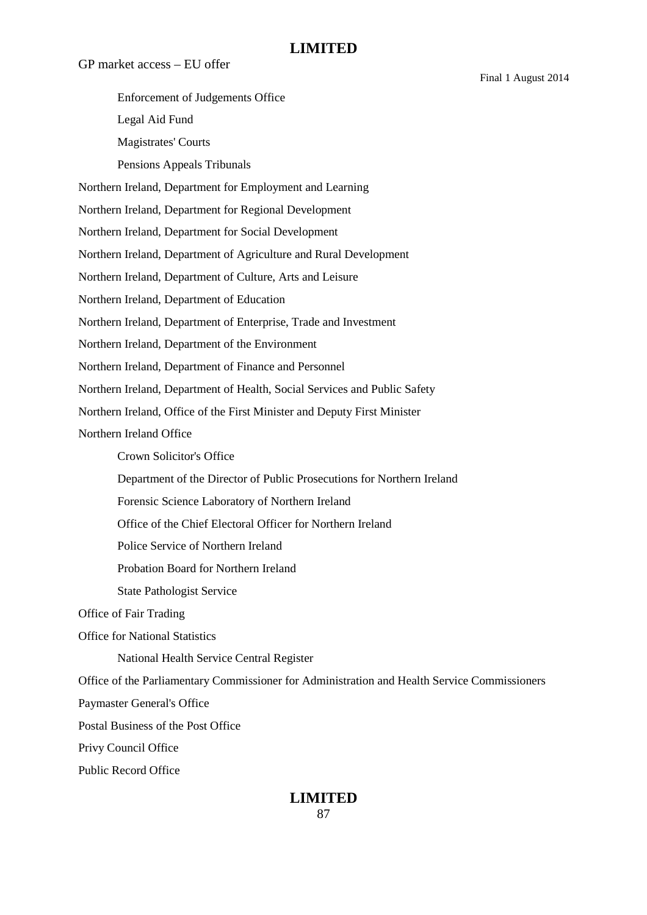GP market access – EU offer Enforcement of Judgements Office Legal Aid Fund Magistrates' Courts Pensions Appeals Tribunals Northern Ireland, Department for Employment and Learning Northern Ireland, Department for Regional Development Northern Ireland, Department for Social Development Northern Ireland, Department of Agriculture and Rural Development Northern Ireland, Department of Culture, Arts and Leisure Northern Ireland, Department of Education Northern Ireland, Department of Enterprise, Trade and Investment Northern Ireland, Department of the Environment Northern Ireland, Department of Finance and Personnel Northern Ireland, Department of Health, Social Services and Public Safety Northern Ireland, Office of the First Minister and Deputy First Minister Northern Ireland Office Crown Solicitor's Office Department of the Director of Public Prosecutions for Northern Ireland Forensic Science Laboratory of Northern Ireland Office of the Chief Electoral Officer for Northern Ireland Police Service of Northern Ireland Probation Board for Northern Ireland State Pathologist Service Office of Fair Trading Office for National Statistics National Health Service Central Register Office of the Parliamentary Commissioner for Administration and Health Service Commissioners Paymaster General's Office Postal Business of the Post Office Privy Council Office Public Record Office

#### **LIMITED** 87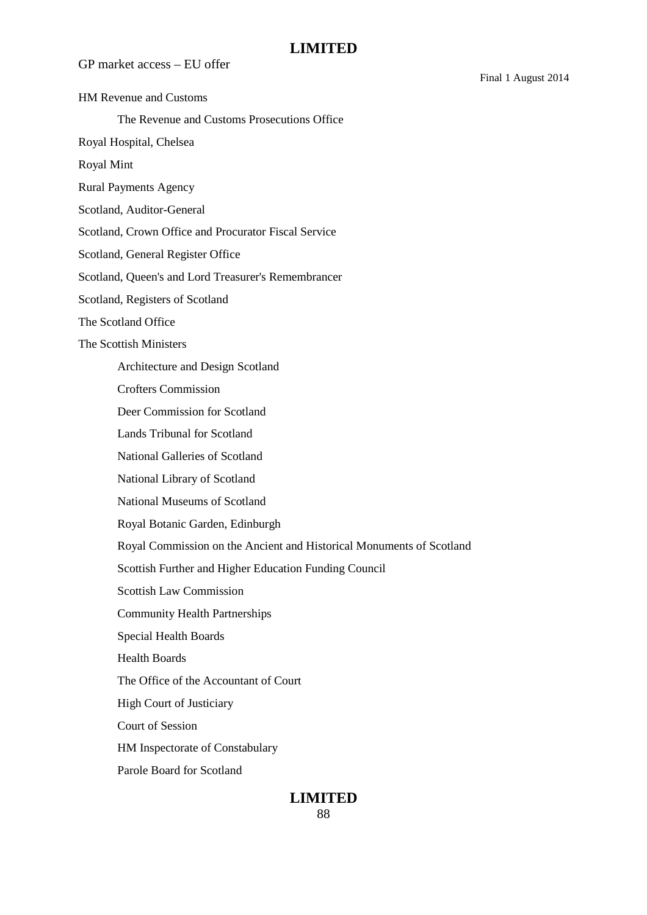GP market access – EU offer

HM Revenue and Customs

The Revenue and Customs Prosecutions Office

Royal Hospital, Chelsea

Royal Mint

Rural Payments Agency

Scotland, Auditor-General

Scotland, Crown Office and Procurator Fiscal Service

Scotland, General Register Office

Scotland, Queen's and Lord Treasurer's Remembrancer

Scotland, Registers of Scotland

The Scotland Office

The Scottish Ministers

Architecture and Design Scotland

Crofters Commission

Deer Commission for Scotland

Lands Tribunal for Scotland

National Galleries of Scotland

National Library of Scotland

National Museums of Scotland

Royal Botanic Garden, Edinburgh

Royal Commission on the Ancient and Historical Monuments of Scotland

Scottish Further and Higher Education Funding Council

Scottish Law Commission

Community Health Partnerships

Special Health Boards

Health Boards

The Office of the Accountant of Court

High Court of Justiciary

Court of Session

HM Inspectorate of Constabulary

Parole Board for Scotland

#### **LIMITED** 88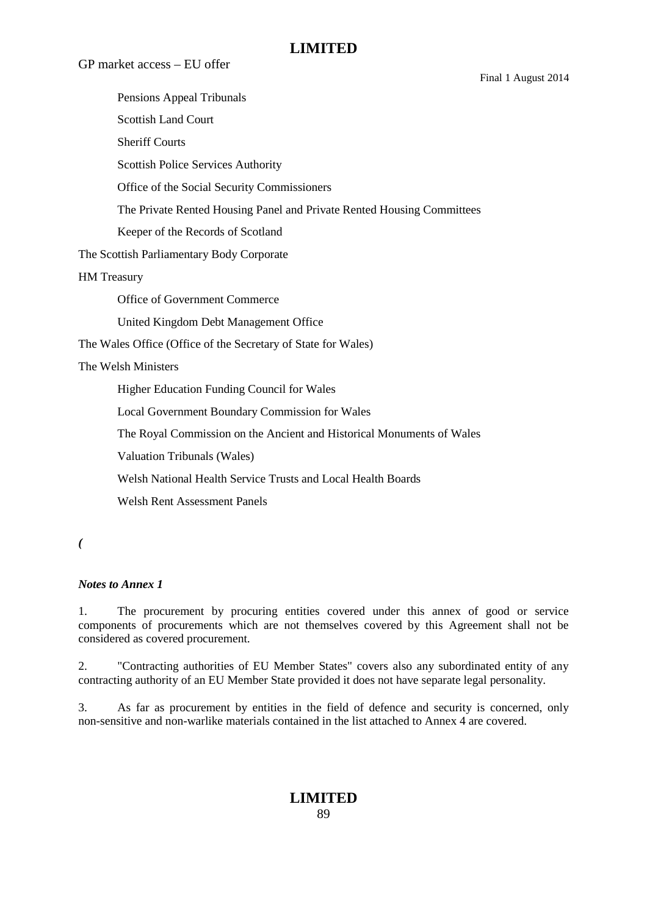Final 1 August 2014

GP market access – EU offer

Pensions Appeal Tribunals Scottish Land Court Sheriff Courts Scottish Police Services Authority Office of the Social Security Commissioners The Private Rented Housing Panel and Private Rented Housing Committees Keeper of the Records of Scotland The Scottish Parliamentary Body Corporate HM Treasury Office of Government Commerce United Kingdom Debt Management Office The Wales Office (Office of the Secretary of State for Wales) The Welsh Ministers Higher Education Funding Council for Wales Local Government Boundary Commission for Wales The Royal Commission on the Ancient and Historical Monuments of Wales Valuation Tribunals (Wales) Welsh National Health Service Trusts and Local Health Boards Welsh Rent Assessment Panels

*(*

#### *Notes to Annex 1*

1. The procurement by procuring entities covered under this annex of good or service components of procurements which are not themselves covered by this Agreement shall not be considered as covered procurement.

2. "Contracting authorities of EU Member States" covers also any subordinated entity of any contracting authority of an EU Member State provided it does not have separate legal personality.

3. As far as procurement by entities in the field of defence and security is concerned, only non-sensitive and non-warlike materials contained in the list attached to Annex 4 are covered.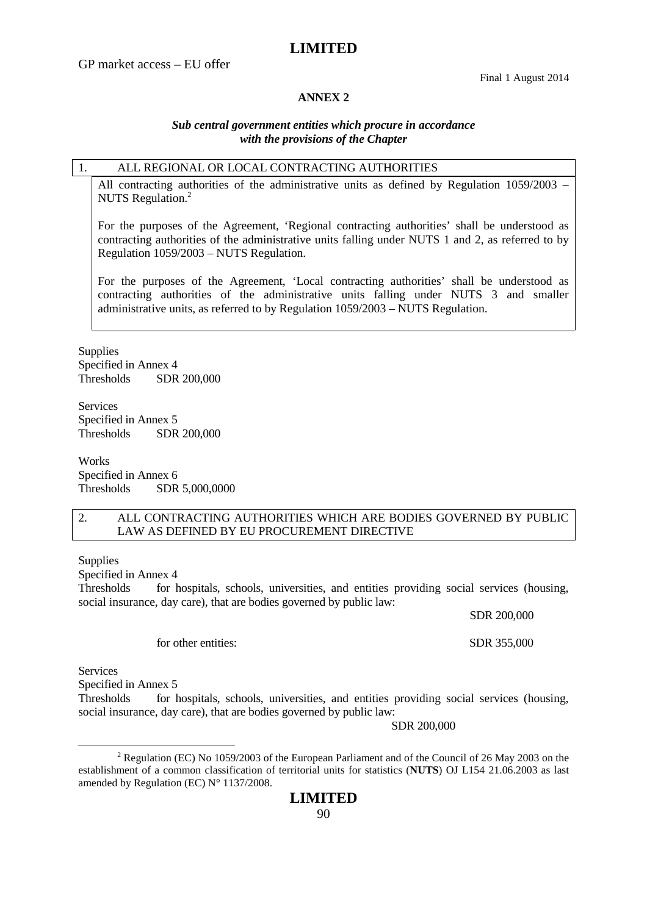#### **ANNEX 2**

#### *Sub central government entities which procure in accordance with the provisions of the Chapter*

#### 1. ALL REGIONAL OR LOCAL CONTRACTING AUTHORITIES

All contracting authorities of the administrative units as defined by Regulation 1059/2003 – NUTS Regulation.<sup>2</sup>

For the purposes of the Agreement, 'Regional contracting authorities' shall be understood as contracting authorities of the administrative units falling under NUTS 1 and 2, as referred to by Regulation 1059/2003 – NUTS Regulation.

For the purposes of the Agreement, 'Local contracting authorities' shall be understood as contracting authorities of the administrative units falling under NUTS 3 and smaller administrative units, as referred to by Regulation 1059/2003 – NUTS Regulation.

**Supplies** Specified in Annex 4 Thresholds SDR 200,000

Services Specified in Annex 5 Thresholds SDR 200,000

**Works** Specified in Annex 6 Thresholds SDR 5,000,0000

#### 2. ALL CONTRACTING AUTHORITIES WHICH ARE BODIES GOVERNED BY PUBLIC LAW AS DEFINED BY EU PROCUREMENT DIRECTIVE

**Supplies** 

Specified in Annex 4

Thresholds for hospitals, schools, universities, and entities providing social services (housing, social insurance, day care), that are bodies governed by public law:

SDR 200,000

for other entities: SDR 355,000

Services

Specified in Annex 5

Thresholds for hospitals, schools, universities, and entities providing social services (housing, social insurance, day care), that are bodies governed by public law:

SDR 200,000

<sup>2</sup> Regulation (EC) No 1059/2003 of the European Parliament and of the Council of 26 May 2003 on the establishment of a common classification of territorial units for statistics (**NUTS**) OJ L154 21.06.2003 as last amended by Regulation (EC) N° 1137/2008.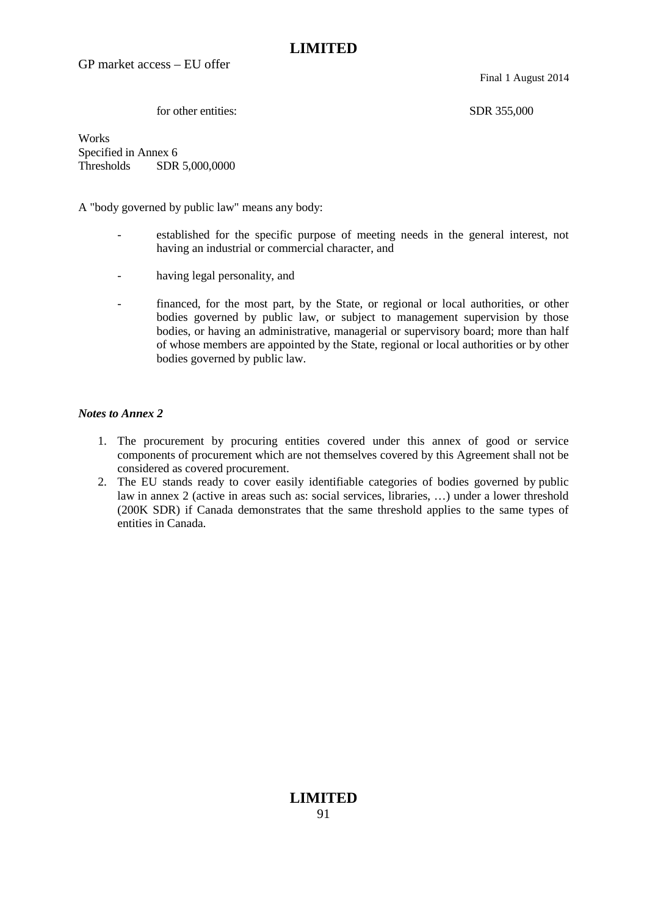GP market access – EU offer

Final 1 August 2014

for other entities: SDR 355,000

Works Specified in Annex 6 Thresholds SDR 5,000,0000

A "body governed by public law" means any body:

- established for the specific purpose of meeting needs in the general interest, not having an industrial or commercial character, and
- having legal personality, and
- financed, for the most part, by the State, or regional or local authorities, or other bodies governed by public law, or subject to management supervision by those bodies, or having an administrative, managerial or supervisory board; more than half of whose members are appointed by the State, regional or local authorities or by other bodies governed by public law.

#### *Notes to Annex 2*

- 1. The procurement by procuring entities covered under this annex of good or service components of procurement which are not themselves covered by this Agreement shall not be considered as covered procurement.
- 2. The EU stands ready to cover easily identifiable categories of bodies governed by public law in annex 2 (active in areas such as: social services, libraries, …) under a lower threshold (200K SDR) if Canada demonstrates that the same threshold applies to the same types of entities in Canada.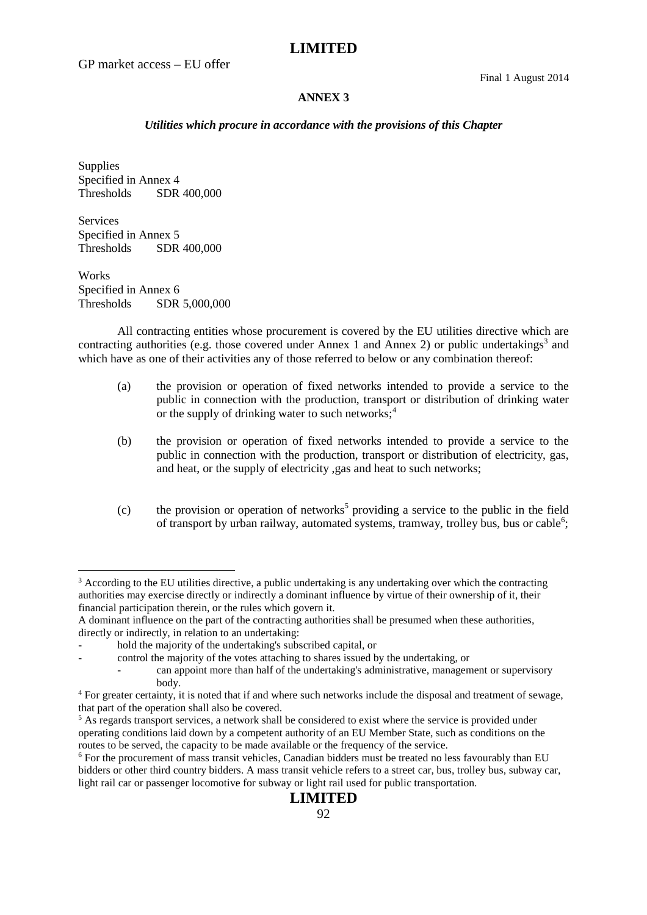GP market access – EU offer

Final 1 August 2014

#### **ANNEX 3**

#### *Utilities which procure in accordance with the provisions of this Chapter*

Supplies Specified in Annex 4 Thresholds SDR 400,000

Services Specified in Annex 5 Thresholds SDR 400,000

Works Specified in Annex 6 Thresholds SDR 5,000,000

All contracting entities whose procurement is covered by the EU utilities directive which are contracting authorities (e.g. those covered under Annex 1 and Annex 2) or public undertakings<sup>3</sup> and which have as one of their activities any of those referred to below or any combination thereof:

- (a) the provision or operation of fixed networks intended to provide a service to the public in connection with the production, transport or distribution of drinking water or the supply of drinking water to such networks; $4$
- (b) the provision or operation of fixed networks intended to provide a service to the public in connection with the production, transport or distribution of electricity, gas, and heat, or the supply of electricity ,gas and heat to such networks;
- $(c)$  the provision or operation of networks<sup>5</sup> providing a service to the public in the field of transport by urban railway, automated systems, tramway, trolley bus, bus or cable<sup>6</sup>;

<sup>&</sup>lt;sup>3</sup> According to the EU utilities directive, a public undertaking is any undertaking over which the contracting authorities may exercise directly or indirectly a dominant influence by virtue of their ownership of it, their financial participation therein, or the rules which govern it.

A dominant influence on the part of the contracting authorities shall be presumed when these authorities, directly or indirectly, in relation to an undertaking:

hold the majority of the undertaking's subscribed capital, or

<sup>-</sup> control the majority of the votes attaching to shares issued by the undertaking, or

can appoint more than half of the undertaking's administrative, management or supervisory body.

<sup>4</sup> For greater certainty, it is noted that if and where such networks include the disposal and treatment of sewage, that part of the operation shall also be covered.

 $<sup>5</sup>$  As regards transport services, a network shall be considered to exist where the service is provided under</sup> operating conditions laid down by a competent authority of an EU Member State, such as conditions on the routes to be served, the capacity to be made available or the frequency of the service.

<sup>&</sup>lt;sup>6</sup> For the procurement of mass transit vehicles, Canadian bidders must be treated no less favourably than EU bidders or other third country bidders. A mass transit vehicle refers to a street car, bus, trolley bus, subway car, light rail car or passenger locomotive for subway or light rail used for public transportation.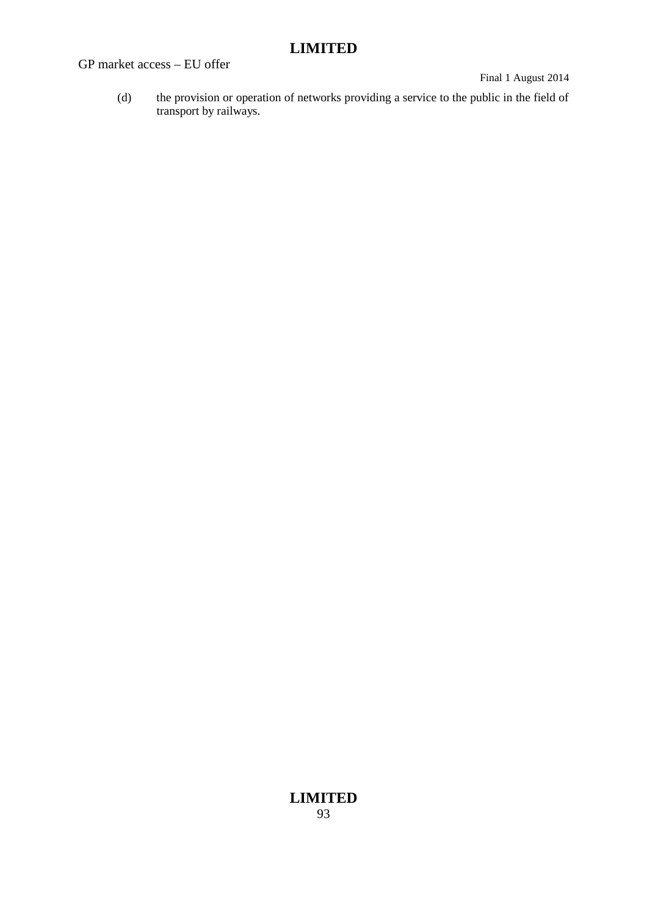GP market access – EU offer

Final 1 August 2014

(d) the provision or operation of networks providing a service to the public in the field of transport by railways.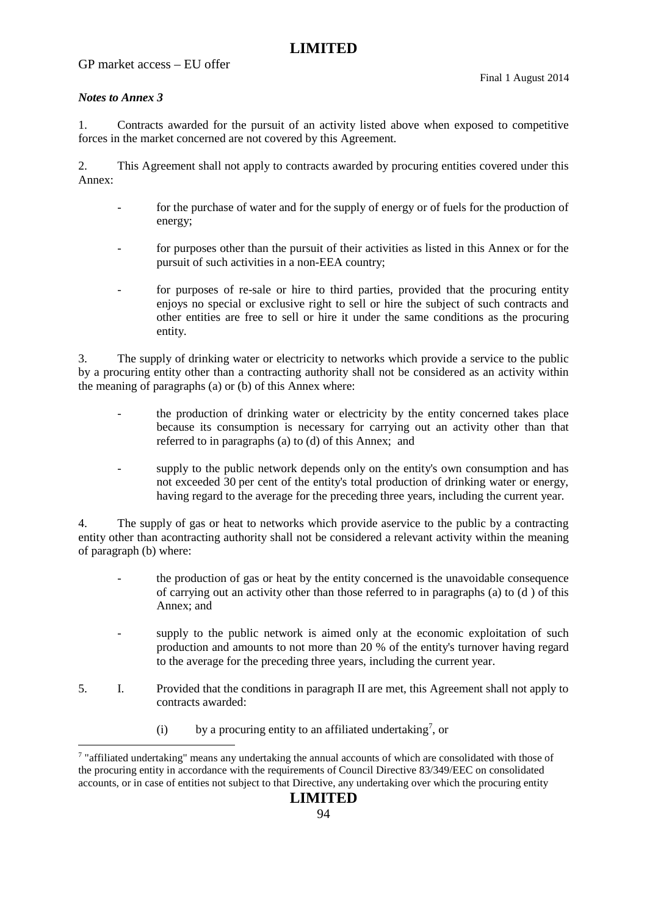### GP market access – EU offer

#### *Notes to Annex 3*

1. Contracts awarded for the pursuit of an activity listed above when exposed to competitive forces in the market concerned are not covered by this Agreement.

2. This Agreement shall not apply to contracts awarded by procuring entities covered under this Annex:

- for the purchase of water and for the supply of energy or of fuels for the production of energy;
- for purposes other than the pursuit of their activities as listed in this Annex or for the pursuit of such activities in a non-EEA country;
- for purposes of re-sale or hire to third parties, provided that the procuring entity enjoys no special or exclusive right to sell or hire the subject of such contracts and other entities are free to sell or hire it under the same conditions as the procuring entity.

3. The supply of drinking water or electricity to networks which provide a service to the public by a procuring entity other than a contracting authority shall not be considered as an activity within the meaning of paragraphs (a) or (b) of this Annex where:

- the production of drinking water or electricity by the entity concerned takes place because its consumption is necessary for carrying out an activity other than that referred to in paragraphs (a) to (d) of this Annex; and
- supply to the public network depends only on the entity's own consumption and has not exceeded 30 per cent of the entity's total production of drinking water or energy, having regard to the average for the preceding three years, including the current year.

4. The supply of gas or heat to networks which provide aservice to the public by a contracting entity other than acontracting authority shall not be considered a relevant activity within the meaning of paragraph (b) where:

- the production of gas or heat by the entity concerned is the unavoidable consequence of carrying out an activity other than those referred to in paragraphs (a) to (d ) of this Annex; and
- supply to the public network is aimed only at the economic exploitation of such production and amounts to not more than 20 % of the entity's turnover having regard to the average for the preceding three years, including the current year.
- 5. I. Provided that the conditions in paragraph II are met, this Agreement shall not apply to contracts awarded:
	- (i) by a procuring entity to an affiliated undertaking<sup>7</sup>, or

<sup>7</sup> "affiliated undertaking" means any undertaking the annual accounts of which are consolidated with those of the procuring entity in accordance with the requirements of Council Directive 83/349/EEC on consolidated accounts, or in case of entities not subject to that Directive, any undertaking over which the procuring entity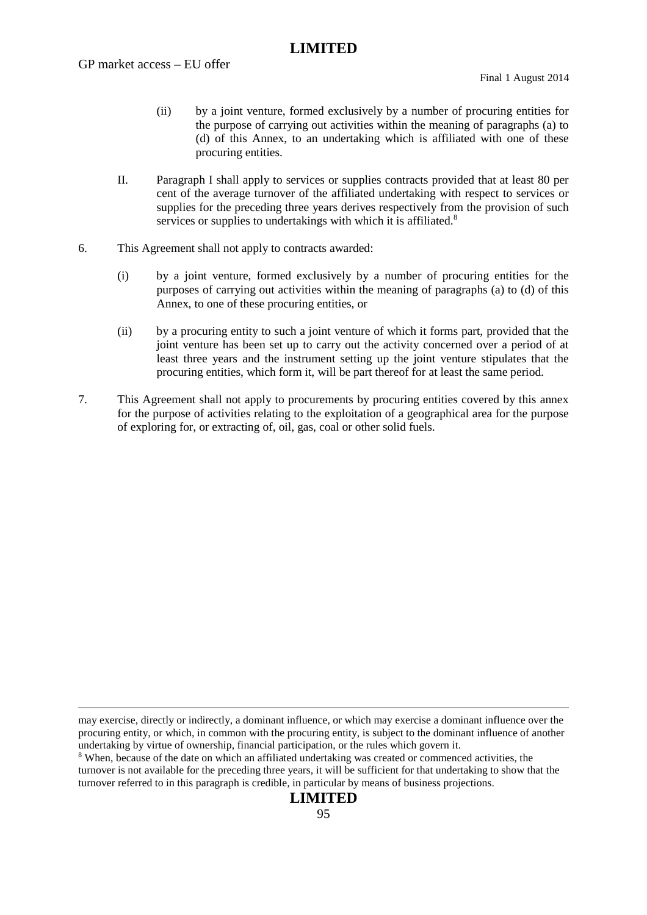- (ii) by a joint venture, formed exclusively by a number of procuring entities for the purpose of carrying out activities within the meaning of paragraphs (a) to (d) of this Annex, to an undertaking which is affiliated with one of these procuring entities.
- II. Paragraph I shall apply to services or supplies contracts provided that at least 80 per cent of the average turnover of the affiliated undertaking with respect to services or supplies for the preceding three years derives respectively from the provision of such services or supplies to undertakings with which it is affiliated.<sup>8</sup>
- 6. This Agreement shall not apply to contracts awarded:
	- (i) by a joint venture, formed exclusively by a number of procuring entities for the purposes of carrying out activities within the meaning of paragraphs (a) to (d) of this Annex, to one of these procuring entities, or
	- (ii) by a procuring entity to such a joint venture of which it forms part, provided that the joint venture has been set up to carry out the activity concerned over a period of at least three years and the instrument setting up the joint venture stipulates that the procuring entities, which form it, will be part thereof for at least the same period.
- 7. This Agreement shall not apply to procurements by procuring entities covered by this annex for the purpose of activities relating to the exploitation of a geographical area for the purpose of exploring for, or extracting of, oil, gas, coal or other solid fuels.

may exercise, directly or indirectly, a dominant influence, or which may exercise a dominant influence over the procuring entity, or which, in common with the procuring entity, is subject to the dominant influence of another undertaking by virtue of ownership, financial participation, or the rules which govern it.

<sup>8</sup> When, because of the date on which an affiliated undertaking was created or commenced activities, the turnover is not available for the preceding three years, it will be sufficient for that undertaking to show that the turnover referred to in this paragraph is credible, in particular by means of business projections.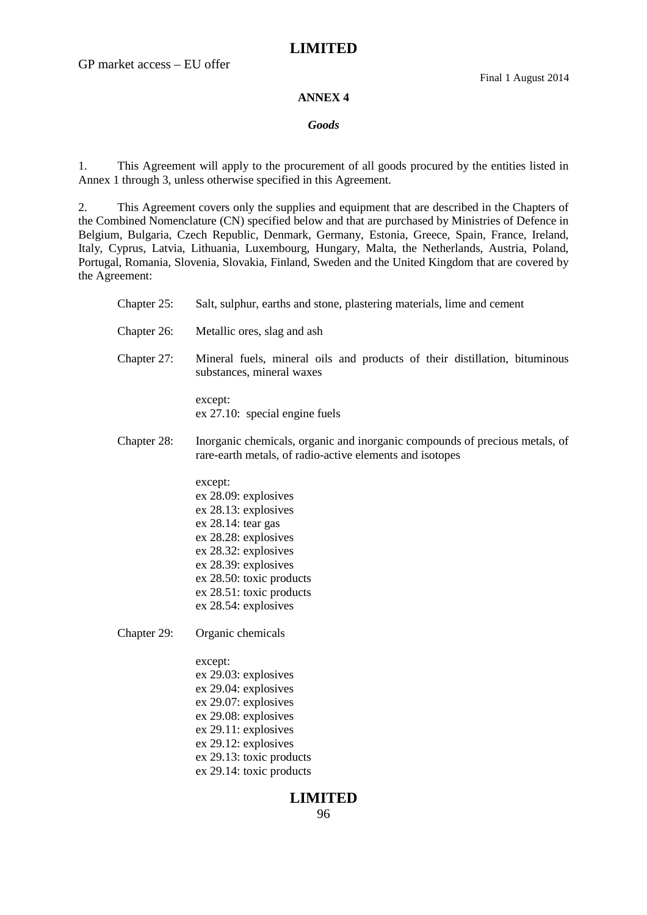GP market access – EU offer

#### **ANNEX 4**

#### *Goods*

1. This Agreement will apply to the procurement of all goods procured by the entities listed in Annex 1 through 3, unless otherwise specified in this Agreement.

2. This Agreement covers only the supplies and equipment that are described in the Chapters of the Combined Nomenclature (CN) specified below and that are purchased by Ministries of Defence in Belgium, Bulgaria, Czech Republic, Denmark, Germany, Estonia, Greece, Spain, France, Ireland, Italy, Cyprus, Latvia, Lithuania, Luxembourg, Hungary, Malta, the Netherlands, Austria, Poland, Portugal, Romania, Slovenia, Slovakia, Finland, Sweden and the United Kingdom that are covered by the Agreement:

| Chapter 25: | Salt, sulphur, earths and stone, plastering materials, lime and cement                                                                                                                                                                |
|-------------|---------------------------------------------------------------------------------------------------------------------------------------------------------------------------------------------------------------------------------------|
| Chapter 26: | Metallic ores, slag and ash                                                                                                                                                                                                           |
| Chapter 27: | Mineral fuels, mineral oils and products of their distillation, bituminous<br>substances, mineral waxes                                                                                                                               |
|             | except:<br>$ex 27.10$ : special engine fuels                                                                                                                                                                                          |
| Chapter 28: | Inorganic chemicals, organic and inorganic compounds of precious metals, of<br>rare-earth metals, of radio-active elements and isotopes                                                                                               |
|             | except:<br>ex 28.09: explosives<br>ex 28.13: explosives<br>ex 28.14: tear gas<br>ex 28.28: explosives<br>ex 28.32: explosives<br>ex 28.39: explosives<br>ex 28.50: toxic products<br>ex 28.51: toxic products<br>ex 28.54: explosives |
| Chapter 29: | Organic chemicals                                                                                                                                                                                                                     |
|             | except:<br>ex 29.03: explosives<br>ex 29.04: explosives<br>ex 29.07: explosives<br>ex 29.08: explosives<br>$ex 29.11$ : explosives<br>$ex 29.12$ : explosives                                                                         |

ex 29.13: toxic products ex 29.14: toxic products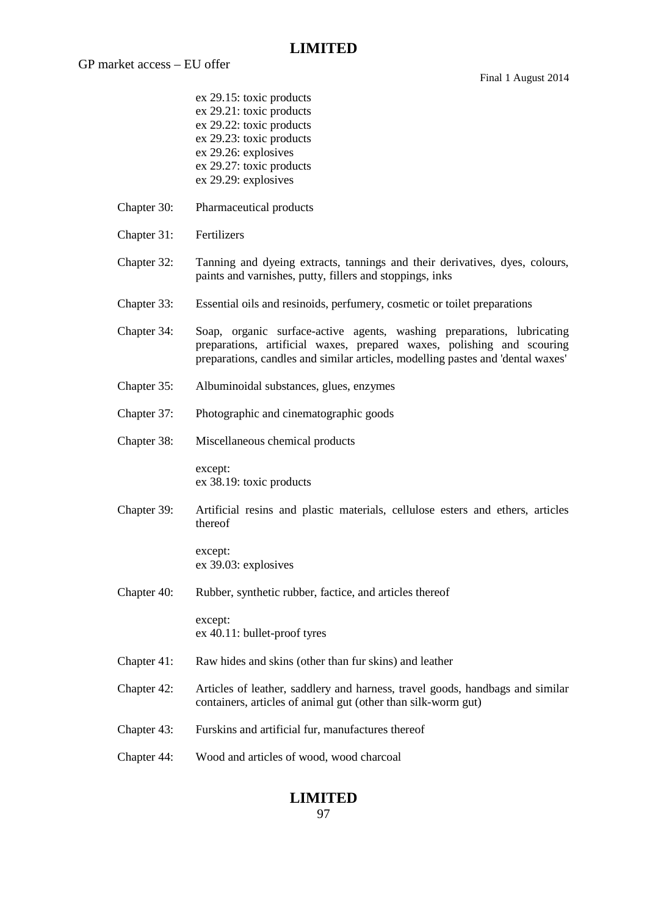Final 1 August 2014

- ex 29.15: toxic products ex 29.21: toxic products ex 29.22: toxic products ex 29.23: toxic products ex 29.26: explosives ex 29.27: toxic products ex 29.29: explosives
- Chapter 30: Pharmaceutical products
- Chapter 31: Fertilizers
- Chapter 32: Tanning and dyeing extracts, tannings and their derivatives, dyes, colours, paints and varnishes, putty, fillers and stoppings, inks
- Chapter 33: Essential oils and resinoids, perfumery, cosmetic or toilet preparations
- Chapter 34: Soap, organic surface-active agents, washing preparations, lubricating preparations, artificial waxes, prepared waxes, polishing and scouring preparations, candles and similar articles, modelling pastes and 'dental waxes'
- Chapter 35: Albuminoidal substances, glues, enzymes
- Chapter 37: Photographic and cinematographic goods
- Chapter 38: Miscellaneous chemical products

except: ex 38.19: toxic products

Chapter 39: Artificial resins and plastic materials, cellulose esters and ethers, articles thereof

> except: ex 39.03: explosives

Chapter 40: Rubber, synthetic rubber, factice, and articles thereof

except: ex 40.11: bullet-proof tyres

- Chapter 41: Raw hides and skins (other than fur skins) and leather
- Chapter 42: Articles of leather, saddlery and harness, travel goods, handbags and similar containers, articles of animal gut (other than silk-worm gut)
- Chapter 43: Furskins and artificial fur, manufactures thereof
- Chapter 44: Wood and articles of wood, wood charcoal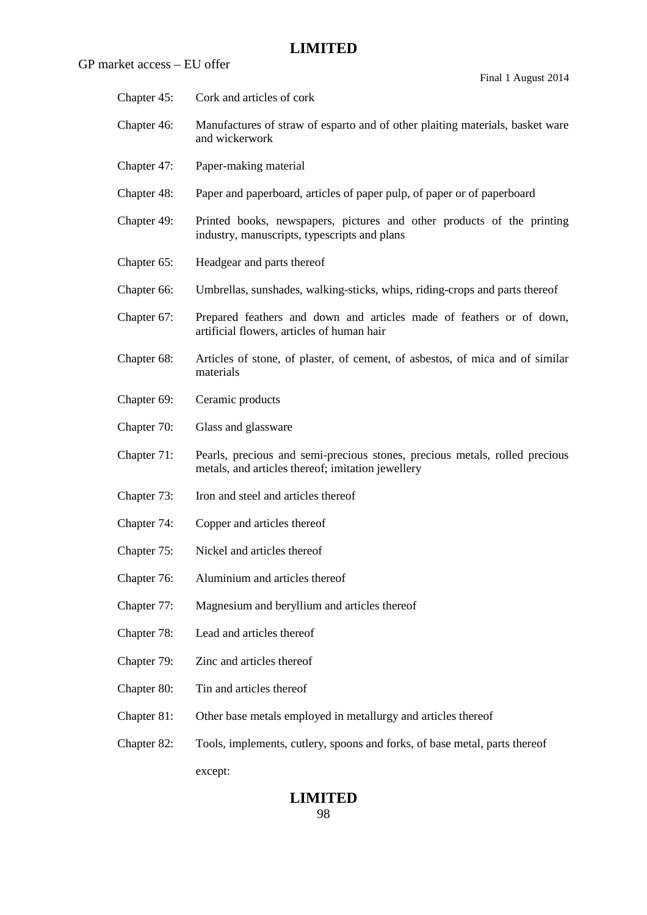| rket access – EU offer | Final 1 August 2014                                                                                                              |
|------------------------|----------------------------------------------------------------------------------------------------------------------------------|
| Chapter 45:            | Cork and articles of cork                                                                                                        |
| Chapter 46:            | Manufactures of straw of esparto and of other plaiting materials, basket ware<br>and wickerwork                                  |
| Chapter 47:            | Paper-making material                                                                                                            |
| Chapter 48:            | Paper and paperboard, articles of paper pulp, of paper or of paperboard                                                          |
| Chapter 49:            | Printed books, newspapers, pictures and other products of the printing<br>industry, manuscripts, typescripts and plans           |
| Chapter 65:            | Headgear and parts thereof                                                                                                       |
| Chapter 66:            | Umbrellas, sunshades, walking-sticks, whips, riding-crops and parts thereof                                                      |
| Chapter 67:            | Prepared feathers and down and articles made of feathers or of down,<br>artificial flowers, articles of human hair               |
| Chapter 68:            | Articles of stone, of plaster, of cement, of asbestos, of mica and of similar<br>materials                                       |
| Chapter 69:            | Ceramic products                                                                                                                 |
| Chapter 70:            | Glass and glassware                                                                                                              |
| Chapter 71:            | Pearls, precious and semi-precious stones, precious metals, rolled precious<br>metals, and articles thereof; imitation jewellery |
| Chapter 73:            | Iron and steel and articles thereof                                                                                              |
| Chapter 74:            | Copper and articles thereof                                                                                                      |
| Chapter 75:            | Nickel and articles thereof                                                                                                      |
| Chapter 76:            | Aluminium and articles thereof                                                                                                   |
| Chapter 77:            | Magnesium and beryllium and articles thereof                                                                                     |
| Chapter 78:            | Lead and articles thereof                                                                                                        |
| Chapter 79:            | Zinc and articles thereof                                                                                                        |
| Chapter 80:            | Tin and articles thereof                                                                                                         |
| Chapter 81:            | Other base metals employed in metallurgy and articles thereof                                                                    |
| Chapter 82:            | Tools, implements, cutlery, spoons and forks, of base metal, parts thereof                                                       |
|                        | except:                                                                                                                          |

# **LIMITED**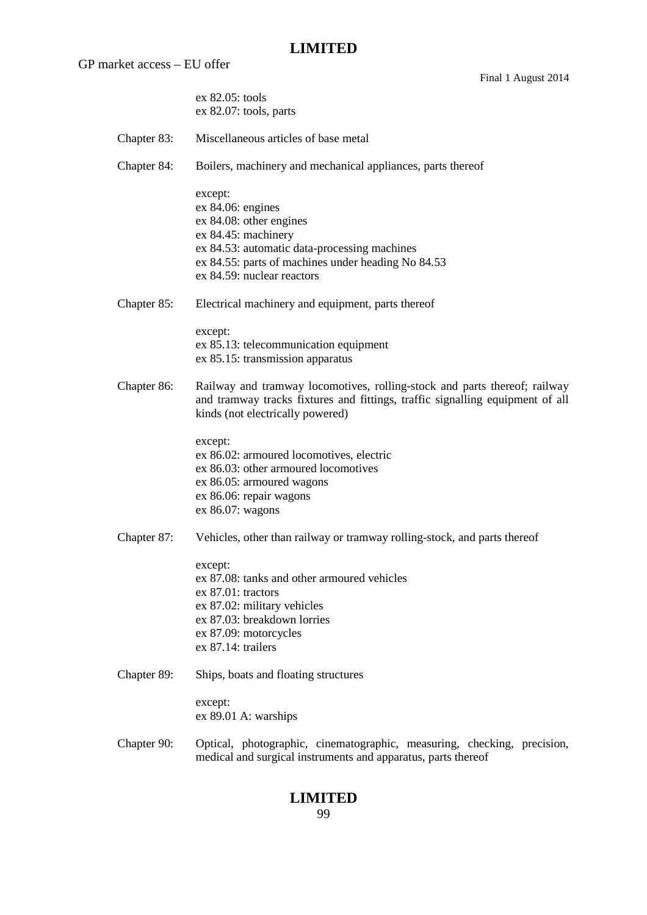GP market access – EU offer

Final 1 August 2014

|             | ex 82.05: tools<br>ex 82.07: tools, parts                                                                                                                                                                            |
|-------------|----------------------------------------------------------------------------------------------------------------------------------------------------------------------------------------------------------------------|
| Chapter 83: | Miscellaneous articles of base metal                                                                                                                                                                                 |
| Chapter 84: | Boilers, machinery and mechanical appliances, parts thereof                                                                                                                                                          |
|             | except:<br>$ex 84.06:$ engines<br>ex 84.08: other engines<br>ex 84.45: machinery<br>ex 84.53: automatic data-processing machines<br>ex 84.55: parts of machines under heading No 84.53<br>ex 84.59: nuclear reactors |
| Chapter 85: | Electrical machinery and equipment, parts thereof                                                                                                                                                                    |
|             | except:<br>ex 85.13: telecommunication equipment<br>ex 85.15: transmission apparatus                                                                                                                                 |
| Chapter 86: | Railway and tramway locomotives, rolling-stock and parts thereof; railway<br>and tramway tracks fixtures and fittings, traffic signalling equipment of all<br>kinds (not electrically powered)                       |
|             | except:<br>ex 86.02: armoured locomotives, electric<br>ex 86.03: other armoured locomotives<br>ex 86.05: armoured wagons<br>ex 86.06: repair wagons<br>ex 86.07: wagons                                              |
| Chapter 87: | Vehicles, other than railway or tramway rolling-stock, and parts thereof                                                                                                                                             |
|             | except:<br>ex 87.08: tanks and other armoured vehicles<br>ex 87.01: tractors<br>ex 87.02: military vehicles<br>ex 87.03: breakdown lorries<br>ex 87.09: motorcycles<br>ex 87.14: trailers                            |
| Chapter 89: | Ships, boats and floating structures                                                                                                                                                                                 |
|             | except:<br>ex 89.01 A: warships                                                                                                                                                                                      |
| Chapter 90: | Optical, photographic, cinematographic, measuring, checking, precision,<br>medical and surgical instruments and apparatus, parts thereof                                                                             |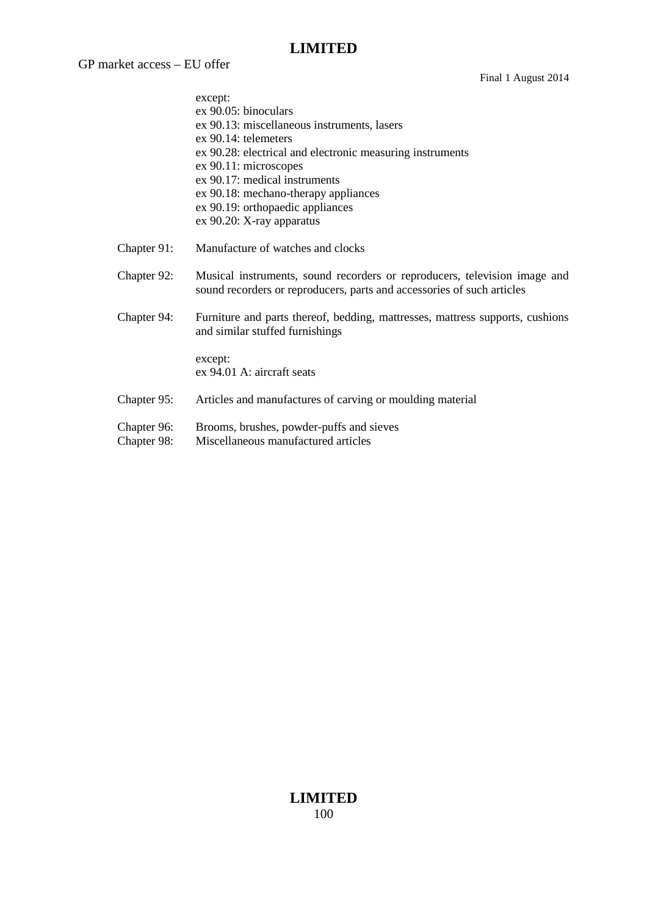GP market access – EU offer

|                            | except:<br>ex 90.05: binoculars                                                                                                                     |
|----------------------------|-----------------------------------------------------------------------------------------------------------------------------------------------------|
|                            | ex 90.13: miscellaneous instruments, lasers                                                                                                         |
|                            | $ex 90.14$ : telemeters                                                                                                                             |
|                            | ex 90.28: electrical and electronic measuring instruments                                                                                           |
|                            | ex 90.11: microscopes                                                                                                                               |
|                            | ex 90.17: medical instruments                                                                                                                       |
|                            | ex 90.18: mechano-therapy appliances                                                                                                                |
|                            | ex 90.19: orthopaedic appliances                                                                                                                    |
|                            | ex 90.20: X-ray apparatus                                                                                                                           |
| Chapter 91:                | Manufacture of watches and clocks                                                                                                                   |
| Chapter 92:                | Musical instruments, sound recorders or reproducers, television image and<br>sound recorders or reproducers, parts and accessories of such articles |
| Chapter 94:                | Furniture and parts thereof, bedding, mattresses, mattress supports, cushions<br>and similar stuffed furnishings                                    |
|                            | except:<br>ex 94.01 A: aircraft seats                                                                                                               |
| Chapter 95:                | Articles and manufactures of carving or moulding material                                                                                           |
| Chapter 96:<br>Chapter 98: | Brooms, brushes, powder-puffs and sieves<br>Miscellaneous manufactured articles                                                                     |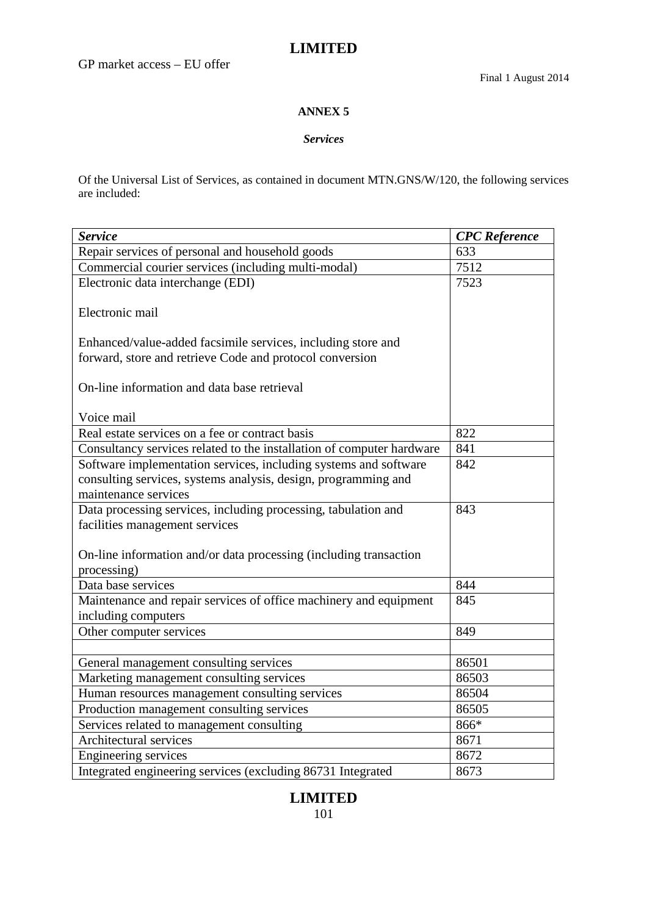#### **ANNEX 5**

#### *Services*

Of the Universal List of Services, as contained in document MTN.GNS/W/120, the following services are included:

| <b>Service</b>                                                        | <b>CPC</b> Reference |
|-----------------------------------------------------------------------|----------------------|
| Repair services of personal and household goods                       | 633                  |
| Commercial courier services (including multi-modal)                   | 7512                 |
| Electronic data interchange (EDI)                                     | 7523                 |
|                                                                       |                      |
| Electronic mail                                                       |                      |
| Enhanced/value-added facsimile services, including store and          |                      |
| forward, store and retrieve Code and protocol conversion              |                      |
|                                                                       |                      |
| On-line information and data base retrieval                           |                      |
|                                                                       |                      |
| Voice mail                                                            |                      |
| Real estate services on a fee or contract basis                       | 822                  |
| Consultancy services related to the installation of computer hardware | 841                  |
| Software implementation services, including systems and software      | 842                  |
| consulting services, systems analysis, design, programming and        |                      |
| maintenance services                                                  |                      |
| Data processing services, including processing, tabulation and        | 843                  |
| facilities management services                                        |                      |
|                                                                       |                      |
| On-line information and/or data processing (including transaction     |                      |
| processing)                                                           |                      |
| Data base services                                                    | 844                  |
| Maintenance and repair services of office machinery and equipment     | 845                  |
| including computers                                                   |                      |
| Other computer services                                               | 849                  |
|                                                                       |                      |
| General management consulting services                                | 86501                |
| Marketing management consulting services                              | 86503                |
| Human resources management consulting services                        | 86504                |
| Production management consulting services                             | 86505                |
| Services related to management consulting                             | 866*                 |
| Architectural services                                                | 8671                 |
| Engineering services                                                  | 8672                 |
| Integrated engineering services (excluding 86731 Integrated           | 8673                 |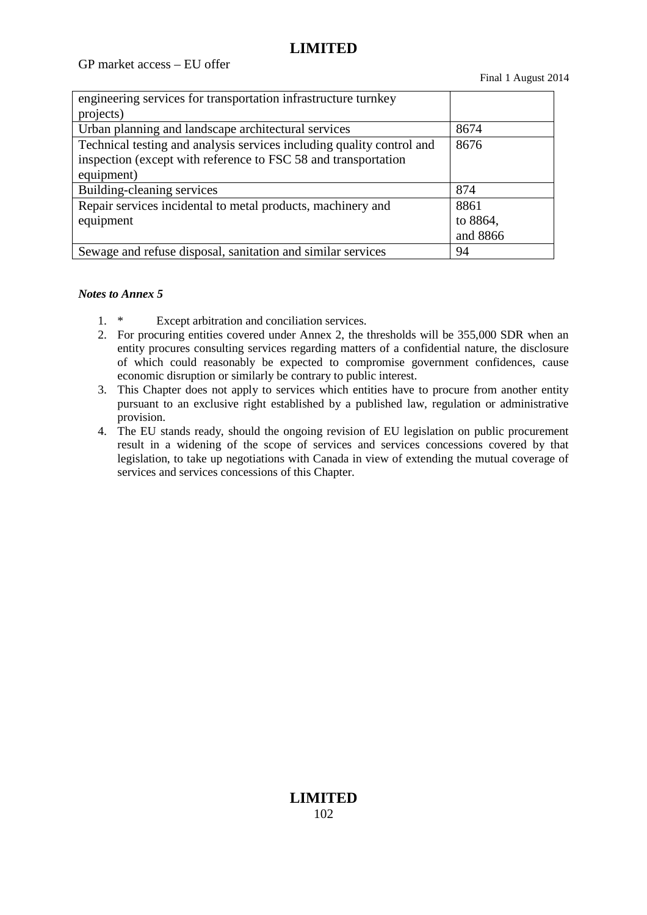GP market access – EU offer

| engineering services for transportation infrastructure turnkey        |          |
|-----------------------------------------------------------------------|----------|
| projects)                                                             |          |
| Urban planning and landscape architectural services                   | 8674     |
| Technical testing and analysis services including quality control and | 8676     |
| inspection (except with reference to FSC 58 and transportation        |          |
| equipment)                                                            |          |
| Building-cleaning services                                            | 874      |
| Repair services incidental to metal products, machinery and           | 8861     |
| equipment                                                             | to 8864, |
|                                                                       | and 8866 |
| Sewage and refuse disposal, sanitation and similar services           | 94       |

#### *Notes to Annex 5*

- 1. \* Except arbitration and conciliation services.
- 2. For procuring entities covered under Annex 2, the thresholds will be 355,000 SDR when an entity procures consulting services regarding matters of a confidential nature, the disclosure of which could reasonably be expected to compromise government confidences, cause economic disruption or similarly be contrary to public interest.
- 3. This Chapter does not apply to services which entities have to procure from another entity pursuant to an exclusive right established by a published law, regulation or administrative provision.
- 4. The EU stands ready, should the ongoing revision of EU legislation on public procurement result in a widening of the scope of services and services concessions covered by that legislation, to take up negotiations with Canada in view of extending the mutual coverage of services and services concessions of this Chapter.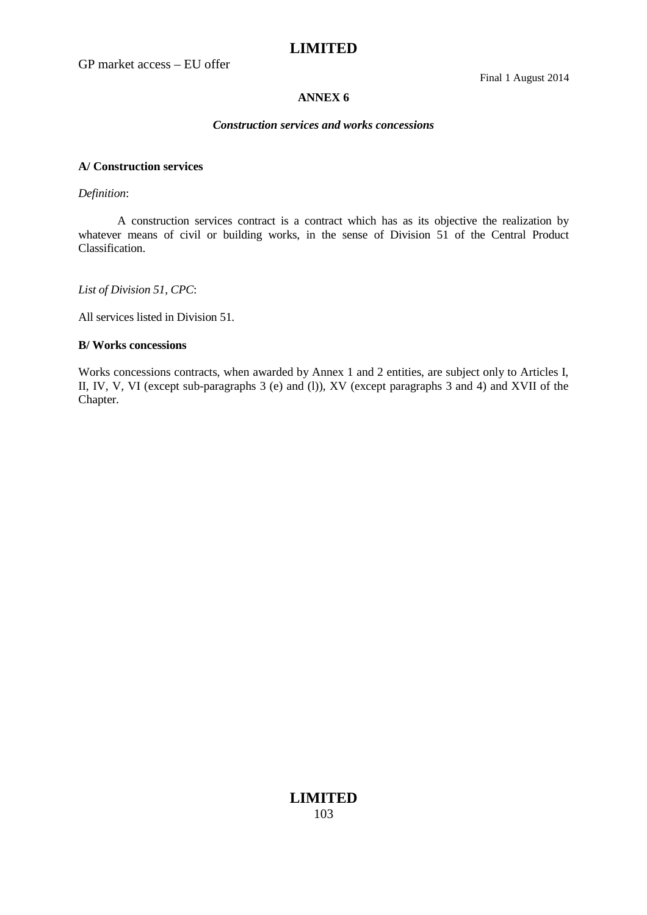GP market access – EU offer

Final 1 August 2014

#### **ANNEX 6**

#### *Construction services and works concessions*

#### **A/ Construction services**

#### *Definition*:

A construction services contract is a contract which has as its objective the realization by whatever means of civil or building works, in the sense of Division 51 of the Central Product Classification.

*List of Division 51, CPC*:

All services listed in Division 51.

#### **B/ Works concessions**

Works concessions contracts, when awarded by Annex 1 and 2 entities, are subject only to Articles I, II, IV, V, VI (except sub-paragraphs 3 (e) and (l)), XV (except paragraphs 3 and 4) and XVII of the Chapter.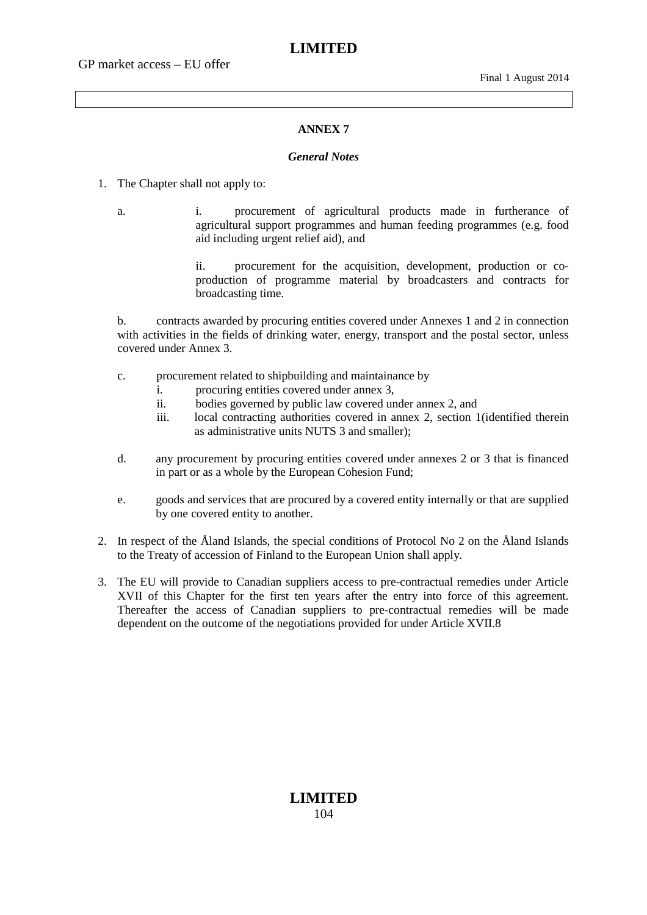#### **ANNEX 7**

#### *General Notes*

- 1. The Chapter shall not apply to:
	- a. i. procurement of agricultural products made in furtherance of agricultural support programmes and human feeding programmes (e.g. food aid including urgent relief aid), and

ii. procurement for the acquisition, development, production or coproduction of programme material by broadcasters and contracts for broadcasting time.

b. contracts awarded by procuring entities covered under Annexes 1 and 2 in connection with activities in the fields of drinking water, energy, transport and the postal sector, unless covered under Annex 3.

- c. procurement related to shipbuilding and maintainance by
	- i. procuring entities covered under annex 3,
	- ii. bodies governed by public law covered under annex 2, and
	- iii. local contracting authorities covered in annex 2, section 1(identified therein as administrative units NUTS 3 and smaller);
- d. any procurement by procuring entities covered under annexes 2 or 3 that is financed in part or as a whole by the European Cohesion Fund;
- e. goods and services that are procured by a covered entity internally or that are supplied by one covered entity to another.
- 2. In respect of the Åland Islands, the special conditions of Protocol No 2 on the Åland Islands to the Treaty of accession of Finland to the European Union shall apply.
- 3. The EU will provide to Canadian suppliers access to pre-contractual remedies under Article XVII of this Chapter for the first ten years after the entry into force of this agreement. Thereafter the access of Canadian suppliers to pre-contractual remedies will be made dependent on the outcome of the negotiations provided for under Article XVII.8